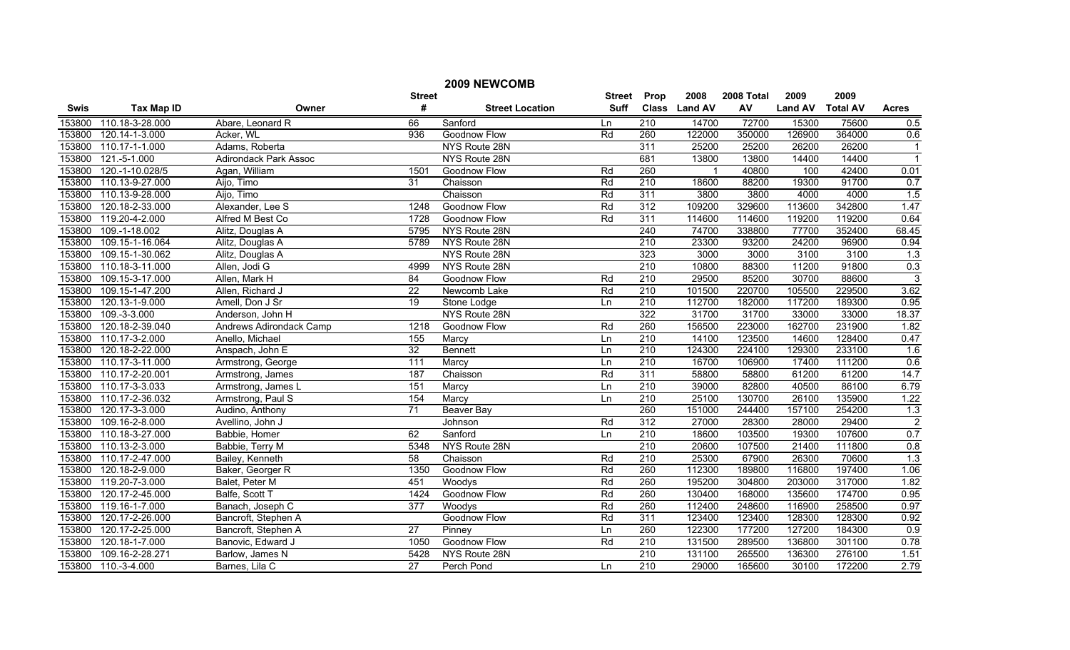|        |                     |                              |                  | 2009 NEWCOMB           |               |                  |                |            |                |                 |                |
|--------|---------------------|------------------------------|------------------|------------------------|---------------|------------------|----------------|------------|----------------|-----------------|----------------|
|        |                     |                              | <b>Street</b>    |                        | <b>Street</b> | Prop             | 2008           | 2008 Total | 2009           | 2009            |                |
| Swis   | <b>Tax Map ID</b>   | Owner                        | #                | <b>Street Location</b> | Suff          |                  | Class Land AV  | AV         | <b>Land AV</b> | <b>Total AV</b> | <b>Acres</b>   |
| 153800 | 110.18-3-28.000     | Abare, Leonard R             | 66               | Sanford                | Ln            | 210              | 14700          | 72700      | 15300          | 75600           | 0.5            |
| 153800 | 120.14-1-3.000      | Acker, WL                    | 936              | <b>Goodnow Flow</b>    | Rd            | 260              | 122000         | 350000     | 126900         | 364000          | 0.6            |
| 153800 | 110.17-1-1.000      | Adams, Roberta               |                  | NYS Route 28N          |               | 311              | 25200          | 25200      | 26200          | 26200           | $\overline{1}$ |
| 153800 | $121.-5-1.000$      | <b>Adirondack Park Assoc</b> |                  | NYS Route 28N          |               | 681              | 13800          | 13800      | 14400          | 14400           | $\overline{1}$ |
| 153800 | 120.-1-10.028/5     | Agan, William                | 1501             | Goodnow Flow           | Rd            | 260              | $\overline{1}$ | 40800      | 100            | 42400           | 0.01           |
| 153800 | 110.13-9-27.000     | Aijo, Timo                   | 31               | Chaisson               | Rd            | 210              | 18600          | 88200      | 19300          | 91700           | 0.7            |
| 153800 | 110.13-9-28.000     | Aijo, Timo                   |                  | Chaisson               | Rd            | 311              | 3800           | 3800       | 4000           | 4000            | 1.5            |
| 153800 | 120.18-2-33.000     | Alexander, Lee S             | 1248             | Goodnow Flow           | Rd            | 312              | 109200         | 329600     | 113600         | 342800          | 1.47           |
| 153800 | 119.20-4-2.000      | Alfred M Best Co             | 1728             | Goodnow Flow           | Rd            | 311              | 114600         | 114600     | 119200         | 119200          | 0.64           |
| 153800 | 109.-1-18.002       | Alitz, Douglas A             | 5795             | NYS Route 28N          |               | 240              | 74700          | 338800     | 77700          | 352400          | 68.45          |
| 153800 | 109.15-1-16.064     | Alitz, Douglas A             | 5789             | NYS Route 28N          |               | $\overline{210}$ | 23300          | 93200      | 24200          | 96900           | 0.94           |
| 153800 | 109.15-1-30.062     | Alitz, Douglas A             |                  | NYS Route 28N          |               | 323              | 3000           | 3000       | 3100           | 3100            | 1.3            |
| 153800 | 110.18-3-11.000     | Allen, Jodi G                | 4999             | NYS Route 28N          |               | 210              | 10800          | 88300      | 11200          | 91800           | 0.3            |
| 153800 | 109.15-3-17.000     | Allen, Mark H                | 84               | <b>Goodnow Flow</b>    | Rd            | 210              | 29500          | 85200      | 30700          | 88600           | $\overline{3}$ |
| 153800 | 109.15-1-47.200     | Allen, Richard J             | 22               | Newcomb Lake           | Rd            | 210              | 101500         | 220700     | 105500         | 229500          | 3.62           |
| 153800 | 120.13-1-9.000      | Amell, Don J Sr              | 19               | Stone Lodge            | Ln            | 210              | 112700         | 182000     | 117200         | 189300          | 0.95           |
| 153800 | 109.-3-3.000        | Anderson, John H             |                  | NYS Route 28N          |               | 322              | 31700          | 31700      | 33000          | 33000           | 18.37          |
| 153800 | 120.18-2-39.040     | Andrews Adirondack Camp      | 1218             | <b>Goodnow Flow</b>    | Rd            | 260              | 156500         | 223000     | 162700         | 231900          | 1.82           |
| 153800 | 110.17-3-2.000      | Anello, Michael              | 155              | Marcy                  | Ln            | 210              | 14100          | 123500     | 14600          | 128400          | 0.47           |
| 153800 | 120.18-2-22.000     | Anspach, John E              | 32               | <b>Bennett</b>         | Ln            | 210              | 124300         | 224100     | 129300         | 233100          | 1.6            |
| 153800 | 110.17-3-11.000     | Armstrong, George            | 111              | Marcy                  | Ln            | 210              | 16700          | 106900     | 17400          | 111200          | 0.6            |
| 153800 | 110.17-2-20.001     | Armstrong, James             | 187              | Chaisson               | Rd            | 311              | 58800          | 58800      | 61200          | 61200           | 14.7           |
| 153800 | 110.17-3-3.033      | Armstrong, James L           | 151              | Marcy                  | Ln            | $\overline{210}$ | 39000          | 82800      | 40500          | 86100           | 6.79           |
| 153800 | 110.17-2-36.032     | Armstrong, Paul S            | 154              | Marcy                  | Ln            | 210              | 25100          | 130700     | 26100          | 135900          | 1.22           |
| 153800 | 120.17-3-3.000      | Audino, Anthony              | 71               | Beaver Bay             |               | 260              | 151000         | 244400     | 157100         | 254200          | 1.3            |
| 153800 | 109.16-2-8.000      | Avellino, John J             |                  | Johnson                | Rd            | 312              | 27000          | 28300      | 28000          | 29400           | $\overline{2}$ |
| 153800 | 110.18-3-27.000     | Babbie, Homer                | 62               | Sanford                | Ln            | 210              | 18600          | 103500     | 19300          | 107600          | 0.7            |
| 153800 | 110.13-2-3.000      | Babbie, Terry M              | 5348             | NYS Route 28N          |               | 210              | 20600          | 107500     | 21400          | 111800          | 0.8            |
| 153800 | 110.17-2-47.000     | Bailey, Kenneth              | 58               | Chaisson               | Rd            | 210              | 25300          | 67900      | 26300          | 70600           | 1.3            |
| 153800 | 120.18-2-9.000      | Baker, Georger R             | 1350             | Goodnow Flow           | Rd            | 260              | 112300         | 189800     | 116800         | 197400          | 1.06           |
| 153800 | 119.20-7-3.000      | Balet, Peter M               | 451              | Woodys                 | Rd            | 260              | 195200         | 304800     | 203000         | 317000          | 1.82           |
| 153800 | 120.17-2-45.000     | Balfe, Scott T               | 1424             | <b>Goodnow Flow</b>    | Rd            | 260              | 130400         | 168000     | 135600         | 174700          | 0.95           |
| 153800 | 119.16-1-7.000      | Banach, Joseph C             | $\overline{377}$ | Woodys                 | Rd            | 260              | 112400         | 248600     | 116900         | 258500          | 0.97           |
| 153800 | 120.17-2-26.000     | Bancroft, Stephen A          |                  | Goodnow Flow           | Rd            | 311              | 123400         | 123400     | 128300         | 128300          | 0.92           |
| 153800 | 120.17-2-25.000     | Bancroft, Stephen A          | $\overline{27}$  | Pinney                 | Ln            | 260              | 122300         | 177200     | 127200         | 184300          | 0.9            |
| 153800 | 120.18-1-7.000      | Banovic, Edward J            | 1050             | <b>Goodnow Flow</b>    | Rd            | $\overline{210}$ | 131500         | 289500     | 136800         | 301100          | 0.78           |
| 153800 | 109.16-2-28.271     | Barlow, James N              | 5428             | NYS Route 28N          |               | 210              | 131100         | 265500     | 136300         | 276100          | 1.51           |
|        | 153800 110.-3-4.000 | Barnes, Lila C               | 27               | Perch Pond             | Ln            | 210              | 29000          | 165600     | 30100          | 172200          | 2.79           |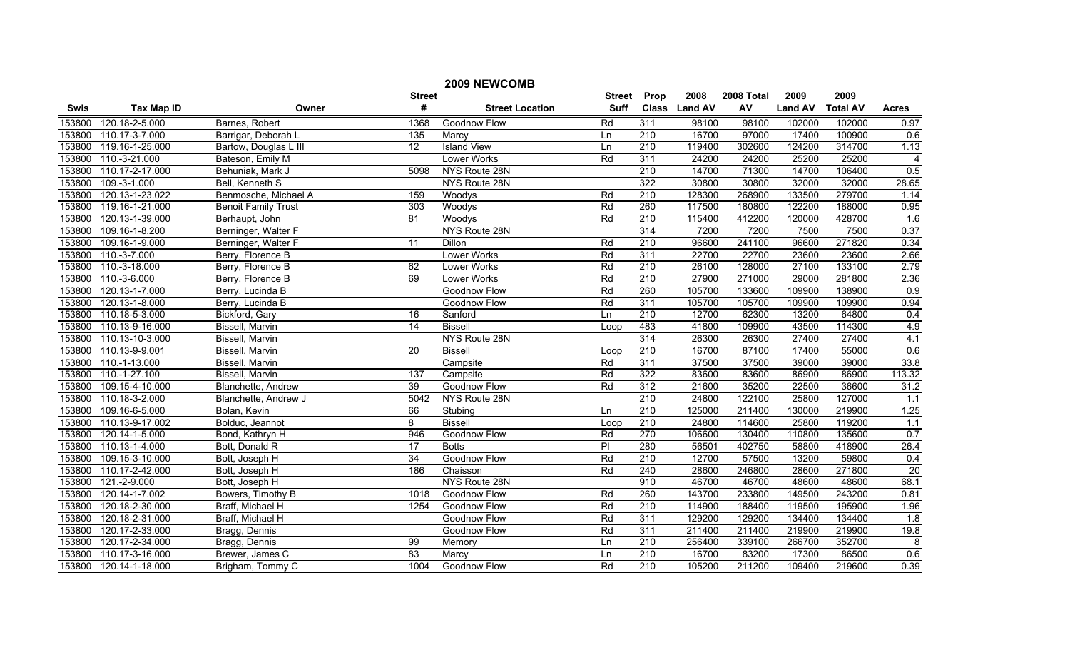|             |                   |                            |                 | 2009 NEWCOMB           |               |                  |               |            |                |                 |                |
|-------------|-------------------|----------------------------|-----------------|------------------------|---------------|------------------|---------------|------------|----------------|-----------------|----------------|
|             |                   |                            | <b>Street</b>   |                        | <b>Street</b> | Prop             | 2008          | 2008 Total | 2009           | 2009            |                |
| <b>Swis</b> | <b>Tax Map ID</b> | Owner                      | #               | <b>Street Location</b> | <b>Suff</b>   |                  | Class Land AV | AV         | <b>Land AV</b> | <b>Total AV</b> | <b>Acres</b>   |
| 153800      | 120.18-2-5.000    | Barnes, Robert             | 1368            | Goodnow Flow           | Rd            | 311              | 98100         | 98100      | 102000         | 102000          | 0.97           |
| 153800      | 110.17-3-7.000    | Barrigar, Deborah L        | 135             | Marcy                  | Ln            | $\overline{210}$ | 16700         | 97000      | 17400          | 100900          | 0.6            |
| 153800      | 119.16-1-25.000   | Bartow, Douglas L III      | $\overline{12}$ | <b>Island View</b>     | Ln            | $\overline{210}$ | 119400        | 302600     | 124200         | 314700          | 1.13           |
| 153800      | 110.-3-21.000     | Bateson, Emily M           |                 | <b>Lower Works</b>     | Rd            | 311              | 24200         | 24200      | 25200          | 25200           | $\overline{4}$ |
| 153800      | 110.17-2-17.000   | Behuniak, Mark J           | 5098            | NYS Route 28N          |               | 210              | 14700         | 71300      | 14700          | 106400          | 0.5            |
| 153800      | 109.-3-1.000      | Bell, Kenneth S            |                 | NYS Route 28N          |               | 322              | 30800         | 30800      | 32000          | 32000           | 28.65          |
| 153800      | 120.13-1-23.022   | Benmosche, Michael A       | 159             | Woodys                 | Rd            | 210              | 128300        | 268900     | 133500         | 279700          | 1.14           |
| 153800      | 119.16-1-21.000   | <b>Benoit Family Trust</b> | 303             | Woodys                 | Rd            | 260              | 117500        | 180800     | 122200         | 188000          | 0.95           |
| 153800      | 120.13-1-39.000   | Berhaupt, John             | 81              | Woodys                 | Rd            | 210              | 115400        | 412200     | 120000         | 428700          | 1.6            |
| 153800      | 109.16-1-8.200    | Berninger, Walter F        |                 | NYS Route 28N          |               | 314              | 7200          | 7200       | 7500           | 7500            | 0.37           |
| 153800      | 109.16-1-9.000    | Berninger, Walter F        | $\overline{11}$ | <b>Dillon</b>          | Rd            | 210              | 96600         | 241100     | 96600          | 271820          | 0.34           |
| 153800      | $110.-3-7.000$    | Berry, Florence B          |                 | <b>Lower Works</b>     | Rd            | 311              | 22700         | 22700      | 23600          | 23600           | 2.66           |
| 153800      | 110.-3-18.000     | Berry, Florence B          | 62              | Lower Works            | Rd            | 210              | 26100         | 128000     | 27100          | 133100          | 2.79           |
| 153800      | 110.-3-6.000      | Berry, Florence B          | 69              | Lower Works            | Rd            | 210              | 27900         | 271000     | 29000          | 281800          | 2.36           |
| 153800      | 120.13-1-7.000    | Berry, Lucinda B           |                 | Goodnow Flow           | Rd            | 260              | 105700        | 133600     | 109900         | 138900          | 0.9            |
| 153800      | 120.13-1-8.000    | Berry, Lucinda B           |                 | Goodnow Flow           | Rd            | 311              | 105700        | 105700     | 109900         | 109900          | 0.94           |
| 153800      | 110.18-5-3.000    | Bickford, Gary             | 16              | Sanford                | Ln            | 210              | 12700         | 62300      | 13200          | 64800           | 0.4            |
| 153800      | 110.13-9-16.000   | <b>Bissell, Marvin</b>     | 14              | <b>Bissell</b>         | Loop          | 483              | 41800         | 109900     | 43500          | 114300          | 4.9            |
| 153800      | 110.13-10-3.000   | <b>Bissell, Marvin</b>     |                 | NYS Route 28N          |               | 314              | 26300         | 26300      | 27400          | 27400           | 4.1            |
| 153800      | 110.13-9-9.001    | Bissell, Marvin            | $\overline{20}$ | <b>Bissell</b>         | Loop          | 210              | 16700         | 87100      | 17400          | 55000           | 0.6            |
| 153800      | 110.-1-13.000     | Bissell, Marvin            |                 | Campsite               | Rd            | 311              | 37500         | 37500      | 39000          | 39000           | 33.8           |
| 153800      | 110.-1-27.100     | <b>Bissell, Marvin</b>     | 137             | Campsite               | Rd            | 322              | 83600         | 83600      | 86900          | 86900           | 113.32         |
| 153800      | 109.15-4-10.000   | Blanchette, Andrew         | 39              | <b>Goodnow Flow</b>    | Rd            | 312              | 21600         | 35200      | 22500          | 36600           | 31.2           |
| 153800      | 110.18-3-2.000    | Blanchette, Andrew J       | 5042            | NYS Route 28N          |               | 210              | 24800         | 122100     | 25800          | 127000          | 1.1            |
| 153800      | 109.16-6-5.000    | Bolan, Kevin               | 66              | Stubing                | Ln            | 210              | 125000        | 211400     | 130000         | 219900          | 1.25           |
| 153800      | 110.13-9-17.002   | Bolduc, Jeannot            | 8               | <b>Bissell</b>         | Loop          | 210              | 24800         | 114600     | 25800          | 119200          | 1.1            |
| 153800      | 120.14-1-5.000    | Bond, Kathryn H            | 946             | Goodnow Flow           | Rd            | 270              | 106600        | 130400     | 110800         | 135600          | 0.7            |
| 153800      | 110.13-1-4.000    | Bott, Donald R             | $\overline{17}$ | <b>Botts</b>           | PI            | 280              | 56501         | 402750     | 58800          | 418900          | 26.4           |
| 153800      | 109.15-3-10.000   | Bott, Joseph H             | 34              | <b>Goodnow Flow</b>    | Rd            | 210              | 12700         | 57500      | 13200          | 59800           | 0.4            |
| 153800      | 110.17-2-42.000   | Bott, Joseph H             | 186             | Chaisson               | Rd            | 240              | 28600         | 246800     | 28600          | 271800          | 20             |
| 153800      | 121.-2-9.000      | Bott, Joseph H             |                 | NYS Route 28N          |               | 910              | 46700         | 46700      | 48600          | 48600           | 68.1           |
| 153800      | 120.14-1-7.002    | Bowers, Timothy B          | 1018            | Goodnow Flow           | Rd            | 260              | 143700        | 233800     | 149500         | 243200          | 0.81           |
| 153800      | 120.18-2-30.000   | Braff, Michael H           | 1254            | Goodnow Flow           | Rd            | 210              | 114900        | 188400     | 119500         | 195900          | 1.96           |
| 153800      | 120.18-2-31.000   | Braff, Michael H           |                 | Goodnow Flow           | Rd            | 311              | 129200        | 129200     | 134400         | 134400          | 1.8            |
| 153800      | 120.17-2-33.000   | Bragg, Dennis              |                 | Goodnow Flow           | Rd            | 311              | 211400        | 211400     | 219900         | 219900          | 19.8           |
| 153800      | 120.17-2-34.000   | Bragg, Dennis              | $\overline{99}$ | Memory                 | Ln            | $\overline{210}$ | 256400        | 339100     | 266700         | 352700          | $\bf 8$        |
| 153800      | 110.17-3-16.000   | Brewer, James C            | $\overline{83}$ | Marcy                  | Ln            | $\overline{210}$ | 16700         | 83200      | 17300          | 86500           | 0.6            |
| 153800      | 120.14-1-18.000   | Brigham, Tommy C           | 1004            | <b>Goodnow Flow</b>    | Rd            | $\overline{210}$ | 105200        | 211200     | 109400         | 219600          | 0.39           |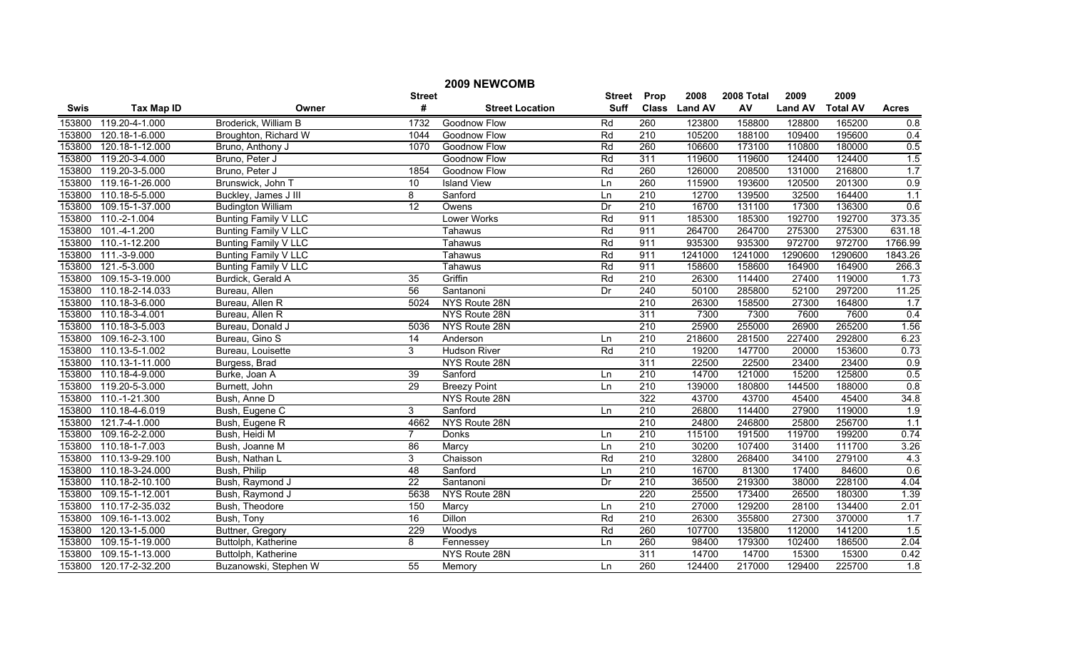|        |                   |                             |                 | 2009 NEWCOMB           |               |                  |               |            |                |                 |              |
|--------|-------------------|-----------------------------|-----------------|------------------------|---------------|------------------|---------------|------------|----------------|-----------------|--------------|
|        |                   |                             | <b>Street</b>   |                        | <b>Street</b> | Prop             | 2008          | 2008 Total | 2009           | 2009            |              |
| Swis   | <b>Tax Map ID</b> | Owner                       | #               | <b>Street Location</b> | <b>Suff</b>   |                  | Class Land AV | AV         | <b>Land AV</b> | <b>Total AV</b> | <b>Acres</b> |
| 153800 | 119.20-4-1.000    | Broderick, William B        | 1732            | Goodnow Flow           | Rd            | 260              | 123800        | 158800     | 128800         | 165200          | 0.8          |
| 153800 | 120.18-1-6.000    | Broughton, Richard W        | 1044            | Goodnow Flow           | Rd            | $\overline{210}$ | 105200        | 188100     | 109400         | 195600          | 0.4          |
| 153800 | 120.18-1-12.000   | Bruno, Anthony J            | 1070            | Goodnow Flow           | Rd            | 260              | 106600        | 173100     | 110800         | 180000          | 0.5          |
| 153800 | 119.20-3-4.000    | Bruno, Peter J              |                 | <b>Goodnow Flow</b>    | Rd            | 311              | 119600        | 119600     | 124400         | 124400          | 1.5          |
| 153800 | 119.20-3-5.000    | Bruno, Peter J              | 1854            | <b>Goodnow Flow</b>    | Rd            | 260              | 126000        | 208500     | 131000         | 216800          | 1.7          |
| 153800 | 119.16-1-26.000   | Brunswick, John T           | 10              | <b>Island View</b>     | Ln            | 260              | 115900        | 193600     | 120500         | 201300          | 0.9          |
| 153800 | 110.18-5-5.000    | Buckley, James J III        | 8               | Sanford                | Ln            | 210              | 12700         | 139500     | 32500          | 164400          | 1.1          |
| 153800 | 109.15-1-37.000   | <b>Budington William</b>    | 12              | Owens                  | Dr            | 210              | 16700         | 131100     | 17300          | 136300          | 0.6          |
| 153800 | 110.-2-1.004      | <b>Bunting Family V LLC</b> |                 | <b>Lower Works</b>     | Rd            | 911              | 185300        | 185300     | 192700         | 192700          | 373.35       |
| 153800 | $101.-4-1.200$    | <b>Bunting Family V LLC</b> |                 | Tahawus                | Rd            | 911              | 264700        | 264700     | 275300         | 275300          | 631.18       |
| 153800 | 110.-1-12.200     | <b>Bunting Family V LLC</b> |                 | Tahawus                | Rd            | 911              | 935300        | 935300     | 972700         | 972700          | 1766.99      |
| 153800 | 111.-3-9.000      | Bunting Family V LLC        |                 | Tahawus                | Rd            | 911              | 1241000       | 1241000    | 1290600        | 1290600         | 1843.26      |
| 153800 | 121.-5-3.000      | <b>Bunting Family V LLC</b> |                 | Tahawus                | Rd            | 911              | 158600        | 158600     | 164900         | 164900          | 266.3        |
| 153800 | 109.15-3-19.000   | Burdick, Gerald A           | 35              | Griffin                | Rd            | 210              | 26300         | 114400     | 27400          | 119000          | 1.73         |
| 153800 | 110.18-2-14.033   | Bureau, Allen               | 56              | Santanoni              | Dr            | 240              | 50100         | 285800     | 52100          | 297200          | 11.25        |
| 153800 | 110.18-3-6.000    | Bureau, Allen R             | 5024            | NYS Route 28N          |               | 210              | 26300         | 158500     | 27300          | 164800          | 1.7          |
| 153800 | 110.18-3-4.001    | Bureau, Allen R             |                 | NYS Route 28N          |               | 311              | 7300          | 7300       | 7600           | 7600            | 0.4          |
| 153800 | 110.18-3-5.003    | Bureau, Donald J            | 5036            | NYS Route 28N          |               | 210              | 25900         | 255000     | 26900          | 265200          | 1.56         |
| 153800 | 109.16-2-3.100    | Bureau, Gino S              | 14              | Anderson               | Ln            | 210              | 218600        | 281500     | 227400         | 292800          | 6.23         |
| 153800 | 110.13-5-1.002    | Bureau, Louisette           | 3               | <b>Hudson River</b>    | Rd            | 210              | 19200         | 147700     | 20000          | 153600          | 0.73         |
| 153800 | 110.13-1-11.000   | Burgess, Brad               |                 | NYS Route 28N          |               | 311              | 22500         | 22500      | 23400          | 23400           | 0.9          |
| 153800 | 110.18-4-9.000    | Burke, Joan A               | 39              | Sanford                | Ln            | 210              | 14700         | 121000     | 15200          | 125800          | 0.5          |
| 153800 | 119.20-5-3.000    | Burnett, John               | 29              | <b>Breezy Point</b>    | Ln            | $\overline{210}$ | 139000        | 180800     | 144500         | 188000          | 0.8          |
| 153800 | 110.-1-21.300     | Bush, Anne D                |                 | NYS Route 28N          |               | 322              | 43700         | 43700      | 45400          | 45400           | 34.8         |
| 153800 | 110.18-4-6.019    | Bush, Eugene C              | 3               | Sanford                | Ln            | 210              | 26800         | 114400     | 27900          | 119000          | 1.9          |
| 153800 | 121.7-4-1.000     | Bush, Eugene R              | 4662            | NYS Route 28N          |               | 210              | 24800         | 246800     | 25800          | 256700          | 1.1          |
| 153800 | 109.16-2-2.000    | Bush, Heidi M               | $\overline{7}$  | <b>Donks</b>           | Ln            | 210              | 115100        | 191500     | 119700         | 199200          | 0.74         |
| 153800 | 110.18-1-7.003    | Bush, Joanne M              | 86              | Marcy                  | Ln            | $\overline{210}$ | 30200         | 107400     | 31400          | 111700          | 3.26         |
| 153800 | 110.13-9-29.100   | Bush, Nathan L              | 3               | Chaisson               | Rd            | 210              | 32800         | 268400     | 34100          | 279100          | 4.3          |
| 153800 | 110.18-3-24.000   | Bush, Philip                | 48              | Sanford                | Ln            | 210              | 16700         | 81300      | 17400          | 84600           | 0.6          |
| 153800 | 110.18-2-10.100   | Bush, Raymond J             | $\overline{22}$ | Santanoni              | Dr            | 210              | 36500         | 219300     | 38000          | 228100          | 4.04         |
| 153800 | 109.15-1-12.001   | Bush, Raymond J             | 5638            | NYS Route 28N          |               | 220              | 25500         | 173400     | 26500          | 180300          | 1.39         |
| 153800 | 110.17-2-35.032   | Bush, Theodore              | 150             | Marcy                  | Ln            | 210              | 27000         | 129200     | 28100          | 134400          | 2.01         |
| 153800 | 109.16-1-13.002   | Bush, Tony                  | 16              | <b>Dillon</b>          | Rd            | 210              | 26300         | 355800     | 27300          | 370000          | 1.7          |
| 153800 | 120.13-1-5.000    | Buttner, Gregory            | 229             | Woodys                 | Rd            | 260              | 107700        | 135800     | 112000         | 141200          | 1.5          |
| 153800 | 109.15-1-19.000   | Buttolph, Katherine         | 8               | Fennessey              | Ln            | 260              | 98400         | 179300     | 102400         | 186500          | 2.04         |
| 153800 | 109.15-1-13.000   | Buttolph, Katherine         |                 | NYS Route 28N          |               | 311              | 14700         | 14700      | 15300          | 15300           | 0.42         |
| 153800 | 120.17-2-32.200   | Buzanowski, Stephen W       | 55              | Memory                 | Ln            | 260              | 124400        | 217000     | 129400         | 225700          | 1.8          |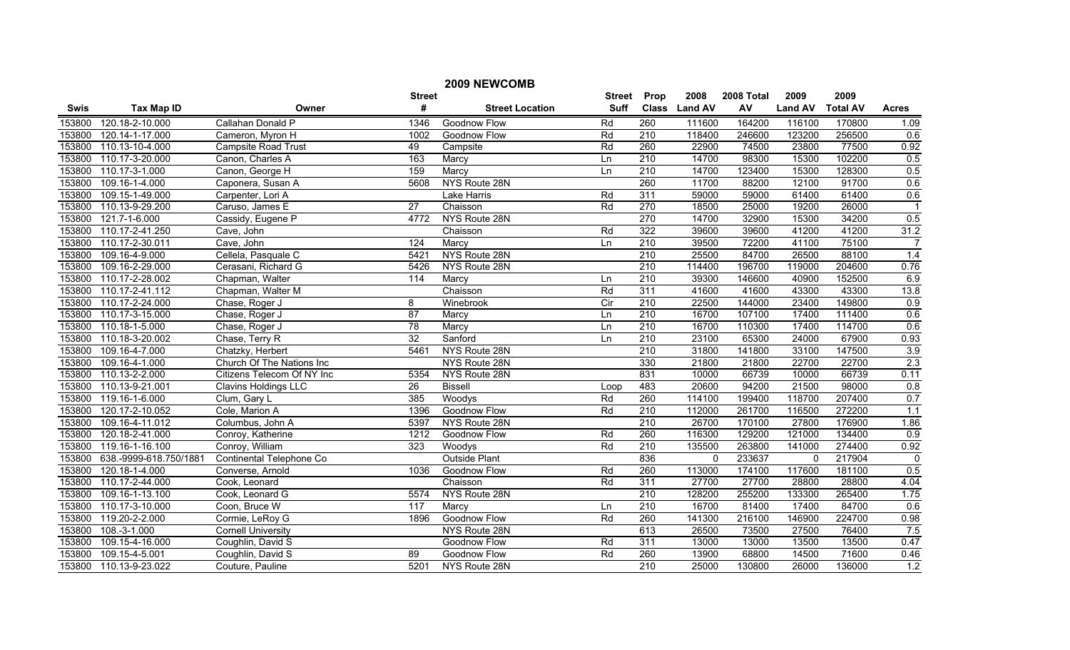|        |                        |                             |                 | 2009 NEWCOMB           |                |                  |               |            |                |                 |                |
|--------|------------------------|-----------------------------|-----------------|------------------------|----------------|------------------|---------------|------------|----------------|-----------------|----------------|
|        |                        |                             | <b>Street</b>   |                        | <b>Street</b>  | Prop             | 2008          | 2008 Total | 2009           | 2009            |                |
| Swis   | <b>Tax Map ID</b>      | Owner                       | #               | <b>Street Location</b> | <b>Suff</b>    |                  | Class Land AV | AV         | <b>Land AV</b> | <b>Total AV</b> | <b>Acres</b>   |
| 153800 | 120.18-2-10.000        | Callahan Donald P           | 1346            | Goodnow Flow           | Rd             | 260              | 111600        | 164200     | 116100         | 170800          | 1.09           |
| 153800 | 120.14-1-17.000        | Cameron, Myron H            | 1002            | Goodnow Flow           | Rd             | $\overline{210}$ | 118400        | 246600     | 123200         | 256500          | 0.6            |
| 153800 | 110.13-10-4.000        | <b>Campsite Road Trust</b>  | 49              | Campsite               | Rd             | 260              | 22900         | 74500      | 23800          | 77500           | 0.92           |
| 153800 | 110.17-3-20.000        | Canon, Charles A            | 163             | Marcy                  | Ln             | 210              | 14700         | 98300      | 15300          | 102200          | 0.5            |
| 153800 | 110.17-3-1.000         | Canon, George H             | 159             | Marcy                  | Ln             | 210              | 14700         | 123400     | 15300          | 128300          | 0.5            |
| 153800 | 109.16-1-4.000         | Caponera, Susan A           | 5608            | NYS Route 28N          |                | 260              | 11700         | 88200      | 12100          | 91700           | 0.6            |
| 153800 | 109.15-1-49.000        | Carpenter, Lori A           |                 | <b>Lake Harris</b>     | Rd             | 311              | 59000         | 59000      | 61400          | 61400           | 0.6            |
| 153800 | 110.13-9-29.200        | Caruso, James E             | 27              | Chaisson               | Rd             | 270              | 18500         | 25000      | 19200          | 26000           | $\overline{1}$ |
| 153800 | 121.7-1-6.000          | Cassidy, Eugene P           | 4772            | NYS Route 28N          |                | 270              | 14700         | 32900      | 15300          | 34200           | 0.5            |
| 153800 | 110.17-2-41.250        | Cave, John                  |                 | Chaisson               | Rd             | 322              | 39600         | 39600      | 41200          | 41200           | 31.2           |
| 153800 | 110.17-2-30.011        | Cave, John                  | 124             | Marcy                  | Ln             | 210              | 39500         | 72200      | 41100          | 75100           | -7             |
| 153800 | 109.16-4-9.000         | Cellela, Pasquale C         | 5421            | NYS Route 28N          |                | 210              | 25500         | 84700      | 26500          | 88100           | 1.4            |
| 153800 | 109.16-2-29.000        | Cerasani, Richard G         | 5426            | NYS Route 28N          |                | 210              | 114400        | 196700     | 119000         | 204600          | 0.76           |
| 153800 | 110.17-2-28.002        | Chapman, Walter             | 114             | Marcy                  | Ln             | 210              | 39300         | 146600     | 40900          | 152500          | 6.9            |
| 153800 | 110.17-2-41.112        | Chapman, Walter M           |                 | Chaisson               | Rd             | 311              | 41600         | 41600      | 43300          | 43300           | 13.8           |
| 153800 | 110.17-2-24.000        | Chase, Roger J              | 8               | Winebrook              | $\overline{C}$ | 210              | 22500         | 144000     | 23400          | 149800          | 0.9            |
| 153800 | 110.17-3-15.000        | Chase, Roger J              | 87              | Marcy                  | Ln             | 210              | 16700         | 107100     | 17400          | 111400          | 0.6            |
| 153800 | 110.18-1-5.000         | Chase, Roger J              | 78              | Marcy                  | Ln             | 210              | 16700         | 110300     | 17400          | 114700          | 0.6            |
| 153800 | 110.18-3-20.002        | Chase, Terry R              | 32              | Sanford                | Ln             | 210              | 23100         | 65300      | 24000          | 67900           | 0.93           |
| 153800 | 109.16-4-7.000         | Chatzky, Herbert            | 5461            | NYS Route 28N          |                | 210              | 31800         | 141800     | 33100          | 147500          | 3.9            |
| 153800 | 109.16-4-1.000         | Church Of The Nations Inc   |                 | NYS Route 28N          |                | 330              | 21800         | 21800      | 22700          | 22700           | 2.3            |
| 153800 | 110.13-2-2.000         | Citizens Telecom Of NY Inc  | 5354            | NYS Route 28N          |                | 831              | 10000         | 66739      | 10000          | 66739           | 0.11           |
| 153800 | 110.13-9-21.001        | <b>Clavins Holdings LLC</b> | $\overline{26}$ | <b>Bissell</b>         | Loop           | 483              | 20600         | 94200      | 21500          | 98000           | 0.8            |
| 153800 | 119.16-1-6.000         | Clum, Gary L                | 385             | Woodys                 | Rd             | 260              | 114100        | 199400     | 118700         | 207400          | 0.7            |
| 153800 | 120.17-2-10.052        | Cole, Marion A              | 1396            | <b>Goodnow Flow</b>    | Rd             | 210              | 112000        | 261700     | 116500         | 272200          | 1.1            |
| 153800 | 109.16-4-11.012        | Columbus, John A            | 5397            | NYS Route 28N          |                | 210              | 26700         | 170100     | 27800          | 176900          | 1.86           |
| 153800 | 120.18-2-41.000        | Conroy, Katherine           | 1212            | Goodnow Flow           | Rd             | 260              | 116300        | 129200     | 121000         | 134400          | 0.9            |
| 153800 | 119.16-1-16.100        | Conroy, William             | 323             | Woodys                 | Rd             | $\overline{210}$ | 135500        | 263800     | 141000         | 274400          | 0.92           |
| 153800 | 638.-9999-618.750/1881 | Continental Telephone Co    |                 | <b>Outside Plant</b>   |                | 836              | $\Omega$      | 233637     | $\mathbf{0}$   | 217904          | $\overline{0}$ |
| 153800 | 120.18-1-4.000         | Converse, Arnold            | 1036            | <b>Goodnow Flow</b>    | Rd             | 260              | 113000        | 174100     | 117600         | 181100          | 0.5            |
| 153800 | 110.17-2-44.000        | Cook, Leonard               |                 | Chaisson               | Rd             | 311              | 27700         | 27700      | 28800          | 28800           | 4.04           |
| 153800 | 109.16-1-13.100        | Cook, Leonard G             | 5574            | NYS Route 28N          |                | 210              | 128200        | 255200     | 133300         | 265400          | 1.75           |
| 153800 | 110.17-3-10.000        | Coon, Bruce W               | 117             | Marcy                  | Ln             | 210              | 16700         | 81400      | 17400          | 84700           | 0.6            |
| 153800 | 119.20-2-2.000         | Cormie, LeRoy G             | 1896            | <b>Goodnow Flow</b>    | Rd             | 260              | 141300        | 216100     | 146900         | 224700          | 0.98           |
| 153800 | 108.-3-1.000           | <b>Cornell University</b>   |                 | NYS Route 28N          |                | 613              | 26500         | 73500      | 27500          | 76400           | 7.5            |
| 153800 | 109.15-4-16.000        | Coughlin, David S           |                 | Goodnow Flow           | Rd             | 311              | 13000         | 13000      | 13500          | 13500           | 0.47           |
| 153800 | 109.15-4-5.001         | Coughlin, David S           | 89              | Goodnow Flow           | Rd             | 260              | 13900         | 68800      | 14500          | 71600           | 0.46           |
| 153800 | 110.13-9-23.022        | Couture, Pauline            | 5201            | NYS Route 28N          |                | $\overline{210}$ | 25000         | 130800     | 26000          | 136000          | 1.2            |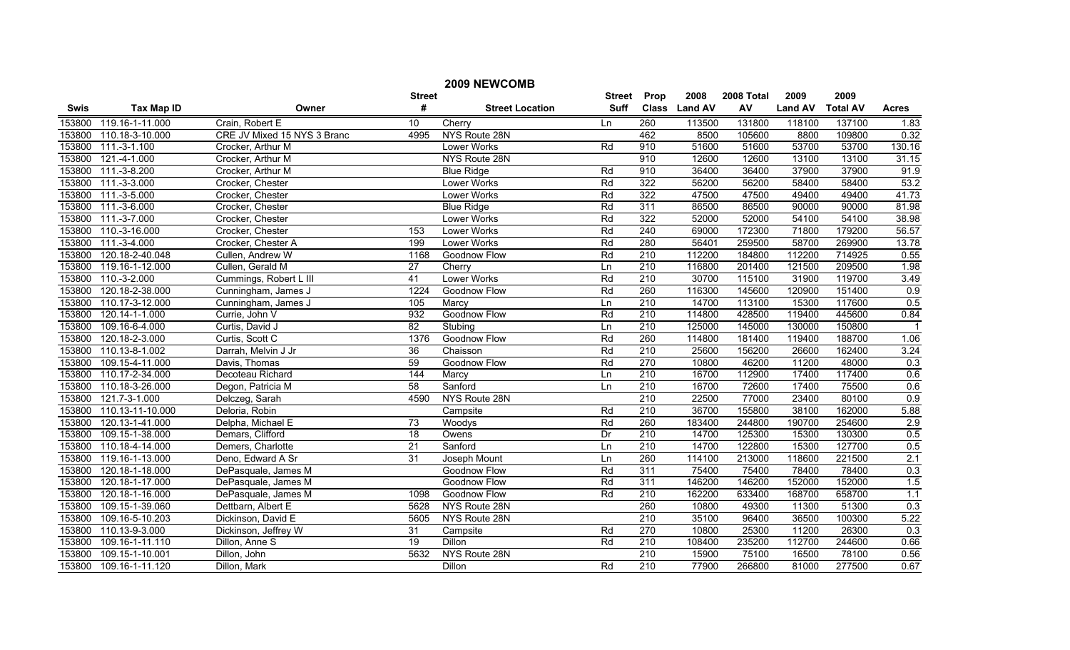|             |                   |                             |                 | 2009 NEWCOMB           |               |                  |               |            |                |                 |                |
|-------------|-------------------|-----------------------------|-----------------|------------------------|---------------|------------------|---------------|------------|----------------|-----------------|----------------|
|             |                   |                             | <b>Street</b>   |                        | <b>Street</b> | Prop             | 2008          | 2008 Total | 2009           | 2009            |                |
| <b>Swis</b> | <b>Tax Map ID</b> | Owner                       | #               | <b>Street Location</b> | Suff          |                  | Class Land AV | AV         | <b>Land AV</b> | <b>Total AV</b> | <b>Acres</b>   |
| 153800      | 119.16-1-11.000   | Crain, Robert E             | 10              | Cherry                 | Ln            | 260              | 113500        | 131800     | 118100         | 137100          | 1.83           |
| 153800      | 110.18-3-10.000   | CRE JV Mixed 15 NYS 3 Branc | 4995            | NYS Route 28N          |               | 462              | 8500          | 105600     | 8800           | 109800          | 0.32           |
| 153800      | $111.-3-1.100$    | Crocker, Arthur M           |                 | <b>Lower Works</b>     | Rd            | 910              | 51600         | 51600      | 53700          | 53700           | 130.16         |
| 153800      | 121.-4-1.000      | Crocker, Arthur M           |                 | NYS Route 28N          |               | 910              | 12600         | 12600      | 13100          | 13100           | 31.15          |
| 153800      | 111.-3-8.200      | Crocker, Arthur M           |                 | <b>Blue Ridge</b>      | Rd            | 910              | 36400         | 36400      | 37900          | 37900           | 91.9           |
| 153800      | $111.-3-3.000$    | Crocker, Chester            |                 | <b>Lower Works</b>     | Rd            | 322              | 56200         | 56200      | 58400          | 58400           | 53.2           |
| 153800      | 111.-3-5.000      | Crocker, Chester            |                 | <b>Lower Works</b>     | Rd            | 322              | 47500         | 47500      | 49400          | 49400           | 41.73          |
| 153800      | 111.-3-6.000      | Crocker, Chester            |                 | <b>Blue Ridge</b>      | Rd            | 311              | 86500         | 86500      | 90000          | 90000           | 81.98          |
| 153800      | 111.-3-7.000      | Crocker, Chester            |                 | Lower Works            | Rd            | 322              | 52000         | 52000      | 54100          | 54100           | 38.98          |
| 153800      | 110.-3-16.000     | Crocker, Chester            | 153             | <b>Lower Works</b>     | Rd            | $\overline{240}$ | 69000         | 172300     | 71800          | 179200          | 56.57          |
| 153800      | 111.-3-4.000      | Crocker, Chester A          | 199             | Lower Works            | Rd            | 280              | 56401         | 259500     | 58700          | 269900          | 13.78          |
| 153800      | 120.18-2-40.048   | Cullen, Andrew W            | 1168            | Goodnow Flow           | Rd            | 210              | 112200        | 184800     | 112200         | 714925          | 0.55           |
| 153800      | 119.16-1-12.000   | Cullen, Gerald M            | 27              | Cherry                 | Ln            | 210              | 116800        | 201400     | 121500         | 209500          | 1.98           |
| 153800      | 110.-3-2.000      | Cummings, Robert L III      | 41              | <b>Lower Works</b>     | Rd            | $\overline{210}$ | 30700         | 115100     | 31900          | 119700          | 3.49           |
| 153800      | 120.18-2-38.000   | Cunningham, James J         | 1224            | Goodnow Flow           | Rd            | 260              | 116300        | 145600     | 120900         | 151400          | 0.9            |
| 153800      | 110.17-3-12.000   | Cunningham, James J         | 105             | Marcy                  | Ln            | 210              | 14700         | 113100     | 15300          | 117600          | 0.5            |
| 153800      | 120.14-1-1.000    | Currie, John V              | 932             | <b>Goodnow Flow</b>    | Rd            | 210              | 114800        | 428500     | 119400         | 445600          | 0.84           |
| 153800      | 109.16-6-4.000    | Curtis, David J             | 82              | Stubing                | Ln            | 210              | 125000        | 145000     | 130000         | 150800          | $\overline{1}$ |
| 153800      | 120.18-2-3.000    | Curtis, Scott C             | 1376            | <b>Goodnow Flow</b>    | Rd            | 260              | 114800        | 181400     | 119400         | 188700          | 1.06           |
| 153800      | 110.13-8-1.002    | Darrah, Melvin J Jr         | 36              | Chaisson               | Rd            | 210              | 25600         | 156200     | 26600          | 162400          | 3.24           |
| 153800      | 109.15-4-11.000   | Davis, Thomas               | 59              | Goodnow Flow           | Rd            | 270              | 10800         | 46200      | 11200          | 48000           | 0.3            |
| 153800      | 110.17-2-34.000   | Decoteau Richard            | 144             | Marcy                  | Ln            | $\overline{210}$ | 16700         | 112900     | 17400          | 117400          | 0.6            |
| 153800      | 110.18-3-26.000   | Degon, Patricia M           | 58              | Sanford                | Ln            | 210              | 16700         | 72600      | 17400          | 75500           | 0.6            |
| 153800      | 121.7-3-1.000     | Delczeg, Sarah              | 4590            | NYS Route 28N          |               | $\overline{210}$ | 22500         | 77000      | 23400          | 80100           | 0.9            |
| 153800      | 110.13-11-10.000  | Deloria, Robin              |                 | Campsite               | Rd            | 210              | 36700         | 155800     | 38100          | 162000          | 5.88           |
| 153800      | 120.13-1-41.000   | Delpha, Michael E           | $\overline{73}$ | Woodys                 | Rd            | 260              | 183400        | 244800     | 190700         | 254600          | 2.9            |
| 153800      | 109.15-1-38.000   | Demars, Clifford            | 18              | Owens                  | Dr            | 210              | 14700         | 125300     | 15300          | 130300          | 0.5            |
| 153800      | 110.18-4-14.000   | Demers, Charlotte           | $\overline{21}$ | Sanford                | Ln            | $\overline{210}$ | 14700         | 122800     | 15300          | 127700          | 0.5            |
| 153800      | 119.16-1-13.000   | Deno, Edward A Sr           | 31              | Joseph Mount           | Ln            | 260              | 114100        | 213000     | 118600         | 221500          | 2.1            |
| 153800      | 120.18-1-18.000   | DePasquale, James M         |                 | <b>Goodnow Flow</b>    | Rd            | 311              | 75400         | 75400      | 78400          | 78400           | 0.3            |
| 153800      | 120.18-1-17.000   | DePasquale, James M         |                 | <b>Goodnow Flow</b>    | Rd            | 311              | 146200        | 146200     | 152000         | 152000          | 1.5            |
| 153800      | 120.18-1-16.000   | DePasquale, James M         | 1098            | <b>Goodnow Flow</b>    | Rd            | 210              | 162200        | 633400     | 168700         | 658700          | 1.1            |
| 153800      | 109.15-1-39.060   | Dettbarn, Albert E          | 5628            | NYS Route 28N          |               | 260              | 10800         | 49300      | 11300          | 51300           | 0.3            |
| 153800      | 109.16-5-10.203   | Dickinson, David E          | 5605            | NYS Route 28N          |               | $\overline{210}$ | 35100         | 96400      | 36500          | 100300          | 5.22           |
| 153800      | 110.13-9-3.000    | Dickinson, Jeffrey W        | 31              | Campsite               | Rd            | 270              | 10800         | 25300      | 11200          | 26300           | 0.3            |
| 153800      | 109.16-1-11.110   | Dillon, Anne S              | 19              | Dillon                 | Rd            | $\overline{210}$ | 108400        | 235200     | 112700         | 244600          | 0.66           |
| 153800      | 109.15-1-10.001   | Dillon, John                | 5632            | NYS Route 28N          |               | $\overline{210}$ | 15900         | 75100      | 16500          | 78100           | 0.56           |
| 153800      | 109.16-1-11.120   | Dillon, Mark                |                 | <b>Dillon</b>          | Rd            | 210              | 77900         | 266800     | 81000          | 277500          | 0.67           |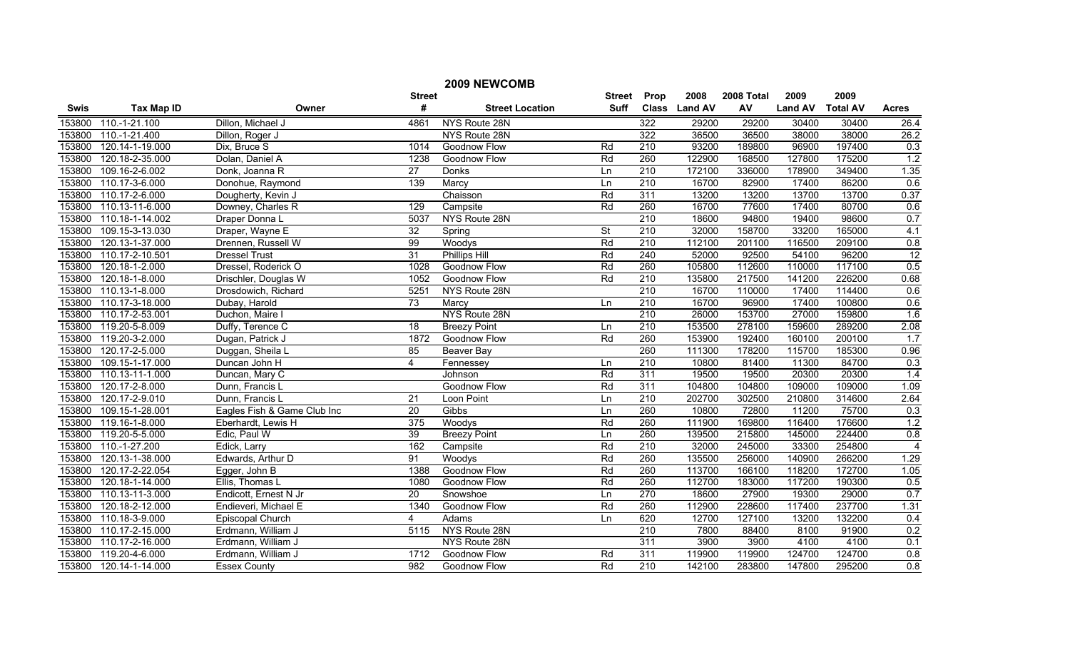|             |                   |                             |                | 2009 NEWCOMB           |                          |                  |               |            |                |                 |                         |
|-------------|-------------------|-----------------------------|----------------|------------------------|--------------------------|------------------|---------------|------------|----------------|-----------------|-------------------------|
|             |                   |                             | <b>Street</b>  |                        | <b>Street</b>            | Prop             | 2008          | 2008 Total | 2009           | 2009            |                         |
| <b>Swis</b> | <b>Tax Map ID</b> | Owner                       | #              | <b>Street Location</b> | Suff                     |                  | Class Land AV | AV         | <b>Land AV</b> | <b>Total AV</b> | <b>Acres</b>            |
| 153800      | 110.-1-21.100     | Dillon, Michael J           | 4861           | NYS Route 28N          |                          | 322              | 29200         | 29200      | 30400          | 30400           | 26.4                    |
| 153800      | 110.-1-21.400     | Dillon, Roger J             |                | NYS Route 28N          |                          | 322              | 36500         | 36500      | 38000          | 38000           | 26.2                    |
| 153800      | 120.14-1-19.000   | Dix, Bruce S                | 1014           | Goodnow Flow           | Rd                       | $\overline{210}$ | 93200         | 189800     | 96900          | 197400          | 0.3                     |
| 153800      | 120.18-2-35.000   | Dolan, Daniel A             | 1238           | <b>Goodnow Flow</b>    | Rd                       | 260              | 122900        | 168500     | 127800         | 175200          | 1.2                     |
| 153800      | 109.16-2-6.002    | Donk, Joanna R              | 27             | <b>Donks</b>           | Ln                       | 210              | 172100        | 336000     | 178900         | 349400          | 1.35                    |
| 153800      | 110.17-3-6.000    | Donohue, Raymond            | 139            | Marcy                  | Ln                       | 210              | 16700         | 82900      | 17400          | 86200           | 0.6                     |
| 153800      | 110.17-2-6.000    | Dougherty, Kevin J          |                | Chaisson               | Rd                       | 311              | 13200         | 13200      | 13700          | 13700           | 0.37                    |
| 153800      | 110.13-11-6.000   | Downey, Charles R           | 129            | Campsite               | Rd                       | 260              | 16700         | 77600      | 17400          | 80700           | 0.6                     |
| 153800      | 110.18-1-14.002   | Draper Donna L              | 5037           | NYS Route 28N          |                          | $\overline{210}$ | 18600         | 94800      | 19400          | 98600           | 0.7                     |
| 153800      | 109.15-3-13.030   | Draper, Wayne E             | 32             | Spring                 | $\overline{\mathsf{St}}$ | $\overline{210}$ | 32000         | 158700     | 33200          | 165000          | 4.1                     |
| 153800      | 120.13-1-37.000   | Drennen, Russell W          | 99             | Woodys                 | Rd                       | $\overline{210}$ | 112100        | 201100     | 116500         | 209100          | 0.8                     |
| 153800      | 110.17-2-10.501   | <b>Dressel Trust</b>        | 31             | Phillips Hill          | Rd                       | 240              | 52000         | 92500      | 54100          | 96200           | $\overline{12}$         |
| 153800      | 120.18-1-2.000    | Dressel, Roderick O         | 1028           | Goodnow Flow           | Rd                       | 260              | 105800        | 112600     | 110000         | 117100          | 0.5                     |
| 153800      | 120.18-1-8.000    | Drischler, Douglas W        | 1052           | Goodnow Flow           | Rd                       | 210              | 135800        | 217500     | 141200         | 226200          | 0.68                    |
| 153800      | 110.13-1-8.000    | Drosdowich, Richard         | 5251           | NYS Route 28N          |                          | $\overline{210}$ | 16700         | 110000     | 17400          | 114400          | 0.6                     |
| 153800      | 110.17-3-18.000   | Dubay, Harold               | 73             | Marcy                  | Ln                       | 210              | 16700         | 96900      | 17400          | 100800          | 0.6                     |
| 153800      | 110.17-2-53.001   | Duchon, Maire I             |                | NYS Route 28N          |                          | 210              | 26000         | 153700     | 27000          | 159800          | 1.6                     |
| 153800      | 119.20-5-8.009    | Duffy, Terence C            | 18             | <b>Breezy Point</b>    | Ln                       | 210              | 153500        | 278100     | 159600         | 289200          | 2.08                    |
| 153800      | 119.20-3-2.000    | Dugan, Patrick J            | 1872           | Goodnow Flow           | Rd                       | 260              | 153900        | 192400     | 160100         | 200100          | 1.7                     |
| 153800      | 120.17-2-5.000    | Duggan, Sheila L            | 85             | Beaver Bay             |                          | 260              | 111300        | 178200     | 115700         | 185300          | 0.96                    |
| 153800      | 109.15-1-17.000   | Duncan John H               | $\overline{4}$ | Fennessey              | Ln                       | $\overline{210}$ | 10800         | 81400      | 11300          | 84700           | 0.3                     |
| 153800      | 110.13-11-1.000   | Duncan, Mary C              |                | Johnson                | Rd                       | 311              | 19500         | 19500      | 20300          | 20300           | 1.4                     |
| 153800      | 120.17-2-8.000    | Dunn, Francis L             |                | <b>Goodnow Flow</b>    | Rd                       | 311              | 104800        | 104800     | 109000         | 109000          | 1.09                    |
| 153800      | 120.17-2-9.010    | Dunn, Francis L             | 21             | Loon Point             | Ln                       | $\overline{210}$ | 202700        | 302500     | 210800         | 314600          | 2.64                    |
| 153800      | 109.15-1-28.001   | Eagles Fish & Game Club Inc | 20             | Gibbs                  | Ln                       | 260              | 10800         | 72800      | 11200          | 75700           | 0.3                     |
| 153800      | 119.16-1-8.000    | Eberhardt, Lewis H          | 375            | Woodys                 | Rd                       | 260              | 111900        | 169800     | 116400         | 176600          | 1.2                     |
| 153800      | 119.20-5-5.000    | Edic, Paul W                | 39             | <b>Breezy Point</b>    | Ln                       | 260              | 139500        | 215800     | 145000         | 224400          | 0.8                     |
| 153800      | 110.-1-27.200     | Edick, Larry                | 162            | Campsite               | Rd                       | $\overline{210}$ | 32000         | 245000     | 33300          | 254800          | $\overline{\mathbf{4}}$ |
| 153800      | 120.13-1-38.000   | Edwards, Arthur D           | 91             | Woodys                 | Rd                       | 260              | 135500        | 256000     | 140900         | 266200          | 1.29                    |
| 153800      | 120.17-2-22.054   | Egger, John B               | 1388           | Goodnow Flow           | Rd                       | 260              | 113700        | 166100     | 118200         | 172700          | 1.05                    |
| 153800      | 120.18-1-14.000   | Ellis, Thomas L             | 1080           | <b>Goodnow Flow</b>    | Rd                       | 260              | 112700        | 183000     | 117200         | 190300          | 0.5                     |
| 153800      | 110.13-11-3.000   | Endicott, Ernest N Jr       | 20             | Snowshoe               | Ln                       | 270              | 18600         | 27900      | 19300          | 29000           | 0.7                     |
| 153800      | 120.18-2-12.000   | Endieveri, Michael E        | 1340           | Goodnow Flow           | Rd                       | 260              | 112900        | 228600     | 117400         | 237700          | 1.31                    |
| 153800      | 110.18-3-9.000    | Episcopal Church            | 4              | Adams                  | Ln                       | 620              | 12700         | 127100     | 13200          | 132200          | 0.4                     |
| 153800      | 110.17-2-15.000   | Erdmann, William J          | 5115           | NYS Route 28N          |                          | $\overline{210}$ | 7800          | 88400      | 8100           | 91900           | 0.2                     |
| 153800      | 110.17-2-16.000   | Erdmann, William J          |                | NYS Route 28N          |                          | 311              | 3900          | 3900       | 4100           | 4100            | 0.1                     |
| 153800      | 119.20-4-6.000    | Erdmann, William J          | 1712           | Goodnow Flow           | Rd                       | 311              | 119900        | 119900     | 124700         | 124700          | 0.8                     |
| 153800      | 120.14-1-14.000   | <b>Essex County</b>         | 982            | Goodnow Flow           | Rd                       | 210              | 142100        | 283800     | 147800         | 295200          | $\overline{0.8}$        |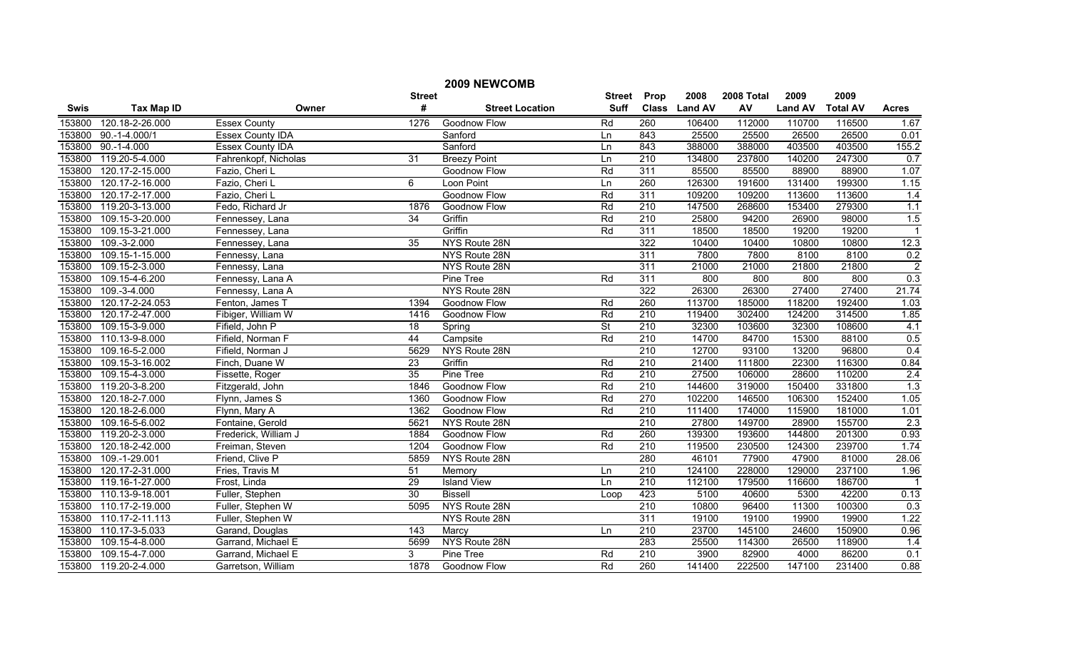|        |                       |                         |                 | 2009 NEWCOMB           |                          |                  |               |            |                |                 |                            |
|--------|-----------------------|-------------------------|-----------------|------------------------|--------------------------|------------------|---------------|------------|----------------|-----------------|----------------------------|
|        |                       |                         | <b>Street</b>   |                        | <b>Street</b>            | Prop             | 2008          | 2008 Total | 2009           | 2009            |                            |
| Swis   | <b>Tax Map ID</b>     | Owner                   | #               | <b>Street Location</b> | Suff                     |                  | Class Land AV | AV         | <b>Land AV</b> | <b>Total AV</b> | <b>Acres</b>               |
| 153800 | 120.18-2-26.000       | <b>Essex County</b>     | 1276            | Goodnow Flow           | Rd                       | 260              | 106400        | 112000     | 110700         | 116500          | 1.67                       |
| 153800 | 90.-1-4.000/1         | <b>Essex County IDA</b> |                 | Sanford                | Ln                       | 843              | 25500         | 25500      | 26500          | 26500           | 0.01                       |
| 153800 | $90.-1-4.000$         | <b>Essex County IDA</b> |                 | Sanford                | Ln                       | 843              | 388000        | 388000     | 403500         | 403500          | 155.2                      |
| 153800 | 119.20-5-4.000        | Fahrenkopf, Nicholas    | 31              | <b>Breezy Point</b>    | Ln                       | 210              | 134800        | 237800     | 140200         | 247300          | 0.7                        |
| 153800 | 120.17-2-15.000       | Fazio, Cheri L          |                 | Goodnow Flow           | Rd                       | 311              | 85500         | 85500      | 88900          | 88900           | 1.07                       |
| 153800 | 120.17-2-16.000       | Fazio, Cheri L          | 6               | Loon Point             | Ln                       | 260              | 126300        | 191600     | 131400         | 199300          | 1.15                       |
| 153800 | 120.17-2-17.000       | Fazio, Cheri L          |                 | <b>Goodnow Flow</b>    | Rd                       | 311              | 109200        | 109200     | 113600         | 113600          | 1.4                        |
| 153800 | 119.20-3-13.000       | Fedo, Richard Jr        | 1876            | <b>Goodnow Flow</b>    | Rd                       | 210              | 147500        | 268600     | 153400         | 279300          | 1.1                        |
| 153800 | 109.15-3-20.000       | Fennessey, Lana         | $\overline{34}$ | Griffin                | Rd                       | $\overline{210}$ | 25800         | 94200      | 26900          | 98000           | 1.5                        |
| 153800 | 109.15-3-21.000       | Fennessey, Lana         |                 | Griffin                | Rd                       | 311              | 18500         | 18500      | 19200          | 19200           | $\overline{\phantom{0}}$ 1 |
| 153800 | 109.-3-2.000          | Fennessey, Lana         | 35              | NYS Route 28N          |                          | 322              | 10400         | 10400      | 10800          | 10800           | 12.3                       |
| 153800 | 109.15-1-15.000       | Fennessy, Lana          |                 | NYS Route 28N          |                          | 311              | 7800          | 7800       | 8100           | 8100            | 0.2                        |
| 153800 | 109.15-2-3.000        | Fennessy, Lana          |                 | NYS Route 28N          |                          | 311              | 21000         | 21000      | 21800          | 21800           | $\overline{2}$             |
| 153800 | 109.15-4-6.200        | Fennessy, Lana A        |                 | <b>Pine Tree</b>       | Rd                       | 311              | 800           | 800        | 800            | 800             | 0.3                        |
| 153800 | 109.-3-4.000          | Fennessy, Lana A        |                 | NYS Route 28N          |                          | 322              | 26300         | 26300      | 27400          | 27400           | 21.74                      |
| 153800 | 120.17-2-24.053       | Fenton, James T         | 1394            | <b>Goodnow Flow</b>    | Rd                       | 260              | 113700        | 185000     | 118200         | 192400          | 1.03                       |
| 153800 | 120.17-2-47.000       | Fibiger, William W      | 1416            | Goodnow Flow           | Rd                       | 210              | 119400        | 302400     | 124200         | 314500          | 1.85                       |
| 153800 | 109.15-3-9.000        | Fifield, John P         | $\overline{18}$ | Spring                 | $\overline{\mathsf{St}}$ | 210              | 32300         | 103600     | 32300          | 108600          | 4.1                        |
| 153800 | 110.13-9-8.000        | Fifield, Norman F       | 44              | Campsite               | Rd                       | 210              | 14700         | 84700      | 15300          | 88100           | 0.5                        |
| 153800 | 109.16-5-2.000        | Fifield, Norman J       | 5629            | NYS Route 28N          |                          | 210              | 12700         | 93100      | 13200          | 96800           | 0.4                        |
| 153800 | 109.15-3-16.002       | Finch, Duane W          | $\overline{23}$ | Griffin                | Rd                       | $\overline{210}$ | 21400         | 111800     | 22300          | 116300          | 0.84                       |
| 153800 | 109.15-4-3.000        | Fissette, Roger         | 35              | <b>Pine Tree</b>       | Rd                       | 210              | 27500         | 106000     | 28600          | 110200          | 2.4                        |
| 153800 | 119.20-3-8.200        | Fitzgerald, John        | 1846            | Goodnow Flow           | Rd                       | 210              | 144600        | 319000     | 150400         | 331800          | 1.3                        |
| 153800 | 120.18-2-7.000        | Flynn, James S          | 1360            | Goodnow Flow           | Rd                       | 270              | 102200        | 146500     | 106300         | 152400          | 1.05                       |
| 153800 | 120.18-2-6.000        | Flynn, Mary A           | 1362            | Goodnow Flow           | Rd                       | $\overline{210}$ | 111400        | 174000     | 115900         | 181000          | 1.01                       |
| 153800 | 109.16-5-6.002        | Fontaine, Gerold        | 5621            | NYS Route 28N          |                          | $\overline{210}$ | 27800         | 149700     | 28900          | 155700          | 2.3                        |
| 153800 | 119.20-2-3.000        | Frederick, William J    | 1884            | Goodnow Flow           | Rd                       | 260              | 139300        | 193600     | 144800         | 201300          | 0.93                       |
| 153800 | 120.18-2-42.000       | Freiman, Steven         | 1204            | Goodnow Flow           | Rd                       | $\overline{210}$ | 119500        | 230500     | 124300         | 239700          | 1.74                       |
| 153800 | 109.-1-29.001         | Friend, Clive P         | 5859            | NYS Route 28N          |                          | 280              | 46101         | 77900      | 47900          | 81000           | 28.06                      |
| 153800 | 120.17-2-31.000       | Fries, Travis M         | 51              | Memory                 | Ln                       | 210              | 124100        | 228000     | 129000         | 237100          | 1.96                       |
| 153800 | 119.16-1-27.000       | Frost, Linda            | 29              | <b>Island View</b>     | Ln                       | 210              | 112100        | 179500     | 116600         | 186700          | $\overline{1}$             |
| 153800 | 110.13-9-18.001       | Fuller, Stephen         | 30              | <b>Bissell</b>         | Loop                     | 423              | 5100          | 40600      | 5300           | 42200           | 0.13                       |
| 153800 | 110.17-2-19.000       | Fuller, Stephen W       | 5095            | NYS Route 28N          |                          | 210              | 10800         | 96400      | 11300          | 100300          | 0.3                        |
| 153800 | 110.17-2-11.113       | Fuller, Stephen W       |                 | NYS Route 28N          |                          | 311              | 19100         | 19100      | 19900          | 19900           | 1.22                       |
| 153800 | 110.17-3-5.033        | Garand, Douglas         | 143             | Marcy                  | Ln                       | 210              | 23700         | 145100     | 24600          | 150900          | 0.96                       |
| 153800 | 109.15-4-8.000        | Garrand, Michael E      | 5699            | NYS Route 28N          |                          | 283              | 25500         | 114300     | 26500          | 118900          | 1.4                        |
| 153800 | 109.15-4-7.000        | Garrand, Michael E      | 3               | Pine Tree              | Rd                       | $\overline{210}$ | 3900          | 82900      | 4000           | 86200           | 0.1                        |
|        | 153800 119.20-2-4.000 | Garretson, William      | 1878            | <b>Goodnow Flow</b>    | Rd                       | 260              | 141400        | 222500     | 147100         | 231400          | 0.88                       |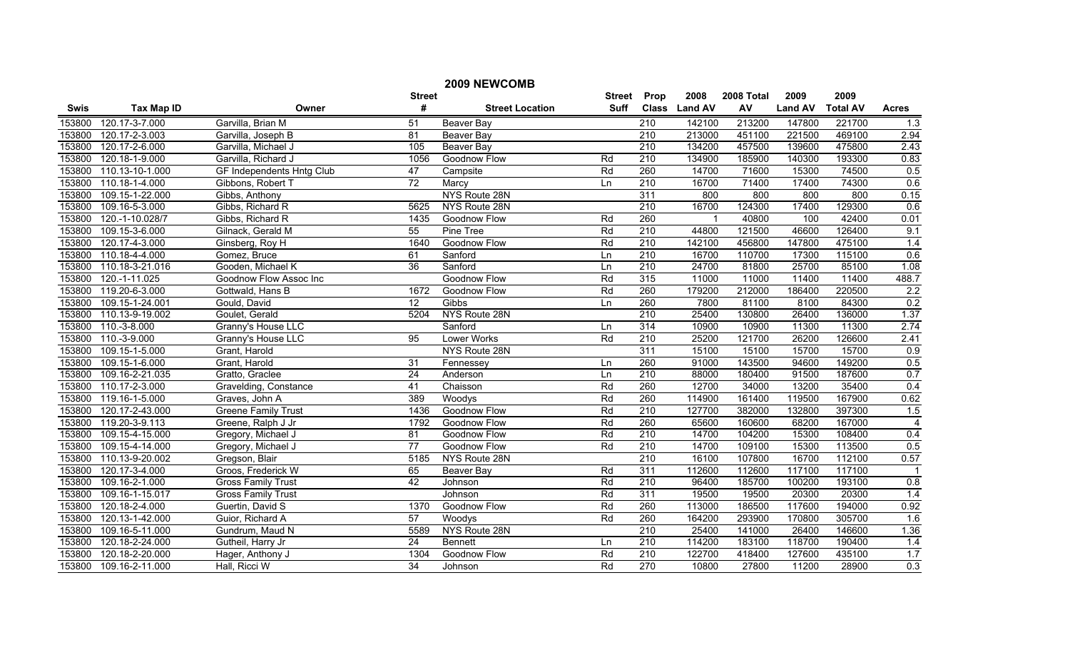|             |                   |                                  |                 | 2009 NEWCOMB           |               |                  |               |            |                |                 |                  |
|-------------|-------------------|----------------------------------|-----------------|------------------------|---------------|------------------|---------------|------------|----------------|-----------------|------------------|
|             |                   |                                  | <b>Street</b>   |                        | <b>Street</b> | Prop             | 2008          | 2008 Total | 2009           | 2009            |                  |
| <b>Swis</b> | <b>Tax Map ID</b> | Owner                            | #               | <b>Street Location</b> | Suff          |                  | Class Land AV | AV         | <b>Land AV</b> | <b>Total AV</b> | <b>Acres</b>     |
| 153800      | 120.17-3-7.000    | Garvilla, Brian M                | 51              | Beaver Bay             |               | 210              | 142100        | 213200     | 147800         | 221700          | 1.3              |
| 153800      | 120.17-2-3.003    | Garvilla, Joseph B               | 81              | Beaver Bay             |               | $\overline{210}$ | 213000        | 451100     | 221500         | 469100          | 2.94             |
| 153800      | 120.17-2-6.000    | Garvilla, Michael J              | $\frac{105}{2}$ | <b>Beaver Bay</b>      |               | $\overline{210}$ | 134200        | 457500     | 139600         | 475800          | 2.43             |
| 153800      | 120.18-1-9.000    | Garvilla, Richard J              | 1056            | <b>Goodnow Flow</b>    | Rd            | 210              | 134900        | 185900     | 140300         | 193300          | 0.83             |
| 153800      | 110.13-10-1.000   | <b>GF Independents Hntg Club</b> | 47              | Campsite               | Rd            | 260              | 14700         | 71600      | 15300          | 74500           | 0.5              |
| 153800      | 110.18-1-4.000    | Gibbons, Robert T                | 72              | Marcy                  | Ln            | 210              | 16700         | 71400      | 17400          | 74300           | 0.6              |
| 153800      | 109.15-1-22.000   | Gibbs, Anthony                   |                 | NYS Route 28N          |               | 311              | 800           | 800        | 800            | 800             | 0.15             |
| 153800      | 109.16-5-3.000    | Gibbs, Richard R                 | 5625            | NYS Route 28N          |               | 210              | 16700         | 124300     | 17400          | 129300          | 0.6              |
| 153800      | 120.-1-10.028/7   | Gibbs, Richard R                 | 1435            | Goodnow Flow           | Rd            | 260              |               | 40800      | 100            | 42400           | 0.01             |
| 153800      | 109.15-3-6.000    | Gilnack, Gerald M                | 55              | Pine Tree              | Rd            | $\overline{210}$ | 44800         | 121500     | 46600          | 126400          | 9.1              |
| 153800      | 120.17-4-3.000    | Ginsberg, Roy H                  | 1640            | <b>Goodnow Flow</b>    | Rd            | $\overline{210}$ | 142100        | 456800     | 147800         | 475100          | 1.4              |
| 153800      | 110.18-4-4.000    | Gomez, Bruce                     | 61              | Sanford                | Ln            | 210              | 16700         | 110700     | 17300          | 115100          | 0.6              |
| 153800      | 110.18-3-21.016   | Gooden, Michael K                | 36              | Sanford                | Ln            | 210              | 24700         | 81800      | 25700          | 85100           | 1.08             |
| 153800      | 120.-1-11.025     | Goodnow Flow Assoc Inc           |                 | Goodnow Flow           | Rd            | 315              | 11000         | 11000      | 11400          | 11400           | 488.7            |
| 153800      | 119.20-6-3.000    | Gottwald, Hans B                 | 1672            | Goodnow Flow           | Rd            | 260              | 179200        | 212000     | 186400         | 220500          | 2.2              |
| 153800      | 109.15-1-24.001   | Gould, David                     | $\overline{12}$ | Gibbs                  | Ln            | 260              | 7800          | 81100      | 8100           | 84300           | 0.2              |
| 153800      | 110.13-9-19.002   | Goulet, Gerald                   | 5204            | NYS Route 28N          |               | 210              | 25400         | 130800     | 26400          | 136000          | 1.37             |
| 153800      | 110.-3-8.000      | Granny's House LLC               |                 | Sanford                | Ln            | 314              | 10900         | 10900      | 11300          | 11300           | 2.74             |
| 153800      | 110.-3-9.000      | Granny's House LLC               | 95              | <b>Lower Works</b>     | Rd            | 210              | 25200         | 121700     | 26200          | 126600          | 2.41             |
| 153800      | 109.15-1-5.000    | Grant, Harold                    |                 | NYS Route 28N          |               | 311              | 15100         | 15100      | 15700          | 15700           | 0.9              |
| 153800      | 109.15-1-6.000    | Grant, Harold                    | $\overline{31}$ | Fennessey              | Ln            | 260              | 91000         | 143500     | 94600          | 149200          | 0.5              |
| 153800      | 109.16-2-21.035   | Gratto, Graclee                  | 24              | Anderson               | Ln            | 210              | 88000         | 180400     | 91500          | 187600          | 0.7              |
| 153800      | 110.17-2-3.000    | Gravelding, Constance            | 41              | Chaisson               | Rd            | 260              | 12700         | 34000      | 13200          | 35400           | 0.4              |
| 153800      | 119.16-1-5.000    | Graves, John A                   | 389             | Woodys                 | Rd            | 260              | 114900        | 161400     | 119500         | 167900          | 0.62             |
| 153800      | 120.17-2-43.000   | <b>Greene Family Trust</b>       | 1436            | Goodnow Flow           | Rd            | 210              | 127700        | 382000     | 132800         | 397300          | 1.5              |
| 153800      | 119.20-3-9.113    | Greene, Ralph J Jr               | 1792            | Goodnow Flow           | Rd            | 260              | 65600         | 160600     | 68200          | 167000          | $\overline{4}$   |
| 153800      | 109.15-4-15.000   | Gregory, Michael J               | 81              | Goodnow Flow           | Rd            | 210              | 14700         | 104200     | 15300          | 108400          | 0.4              |
| 153800      | 109.15-4-14.000   | Gregory, Michael J               | 77              | Goodnow Flow           | Rd            | $\overline{210}$ | 14700         | 109100     | 15300          | 113500          | 0.5              |
| 153800      | 110.13-9-20.002   | Gregson, Blair                   | 5185            | NYS Route 28N          |               | 210              | 16100         | 107800     | 16700          | 112100          | 0.57             |
| 153800      | 120.17-3-4.000    | Groos, Frederick W               | 65              | <b>Beaver Bay</b>      | Rd            | 311              | 112600        | 112600     | 117100         | 117100          | $\overline{1}$   |
| 153800      | 109.16-2-1.000    | <b>Gross Family Trust</b>        | 42              | Johnson                | Rd            | 210              | 96400         | 185700     | 100200         | 193100          | 0.8              |
| 153800      | 109.16-1-15.017   | <b>Gross Family Trust</b>        |                 | Johnson                | Rd            | 311              | 19500         | 19500      | 20300          | 20300           | 1.4              |
| 153800      | 120.18-2-4.000    | Guertin, David S                 | 1370            | Goodnow Flow           | Rd            | 260              | 113000        | 186500     | 117600         | 194000          | 0.92             |
| 153800      | 120.13-1-42.000   | Guior, Richard A                 | 57              | Woodys                 | Rd            | 260              | 164200        | 293900     | 170800         | 305700          | 1.6              |
| 153800      | 109.16-5-11.000   | Gundrum, Maud N                  | 5589            | NYS Route 28N          |               | $\overline{210}$ | 25400         | 141000     | 26400          | 146600          | 1.36             |
| 153800      | 120.18-2-24.000   | Gutheil, Harry Jr                | $\overline{24}$ | <b>Bennett</b>         | Ln            | $\overline{210}$ | 114200        | 183100     | 118700         | 190400          | 1.4              |
| 153800      | 120.18-2-20.000   | Hager, Anthony J                 | 1304            | Goodnow Flow           | Rd            | $\overline{210}$ | 122700        | 418400     | 127600         | 435100          | 1.7              |
| 153800      | 109.16-2-11.000   | Hall, Ricci W                    | $\overline{34}$ | Johnson                | Rd            | $\overline{270}$ | 10800         | 27800      | 11200          | 28900           | $\overline{0.3}$ |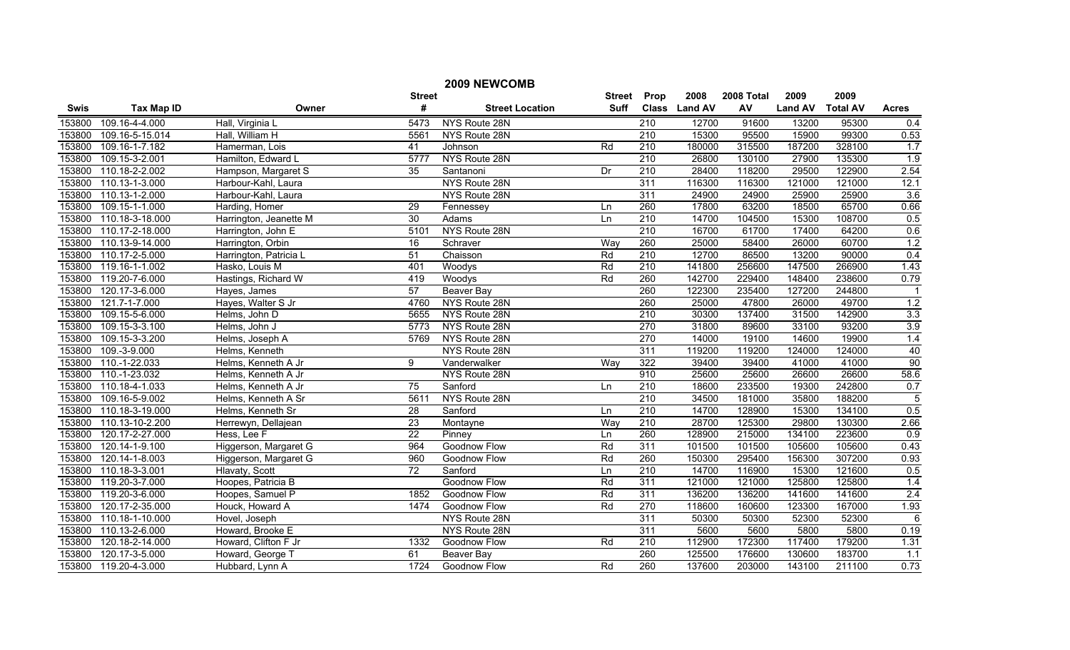|        |                   |                        |                 | 2009 NEWCOMB           |               |                  |               |            |                |                 |                |
|--------|-------------------|------------------------|-----------------|------------------------|---------------|------------------|---------------|------------|----------------|-----------------|----------------|
|        |                   |                        | <b>Street</b>   |                        | <b>Street</b> | Prop             | 2008          | 2008 Total | 2009           | 2009            |                |
| Swis   | <b>Tax Map ID</b> | Owner                  | #               | <b>Street Location</b> | <b>Suff</b>   |                  | Class Land AV | AV         | <b>Land AV</b> | <b>Total AV</b> | <b>Acres</b>   |
| 153800 | 109.16-4-4.000    | Hall, Virginia L       | 5473            | NYS Route 28N          |               | 210              | 12700         | 91600      | 13200          | 95300           | 0.4            |
| 153800 | 109.16-5-15.014   | Hall, William H        | 5561            | NYS Route 28N          |               | $\overline{210}$ | 15300         | 95500      | 15900          | 99300           | 0.53           |
| 153800 | 109.16-1-7.182    | Hamerman, Lois         | 41              | Johnson                | Rd            | $\overline{210}$ | 180000        | 315500     | 187200         | 328100          | 1.7            |
| 153800 | 109.15-3-2.001    | Hamilton, Edward L     | 5777            | NYS Route 28N          |               | 210              | 26800         | 130100     | 27900          | 135300          | 1.9            |
| 153800 | 110.18-2-2.002    | Hampson, Margaret S    | 35              | Santanoni              | Dr            | 210              | 28400         | 118200     | 29500          | 122900          | 2.54           |
| 153800 | 110.13-1-3.000    | Harbour-Kahl, Laura    |                 | NYS Route 28N          |               | 311              | 116300        | 116300     | 121000         | 121000          | 12.1           |
| 153800 | 110.13-1-2.000    | Harbour-Kahl, Laura    |                 | NYS Route 28N          |               | 311              | 24900         | 24900      | 25900          | 25900           | 3.6            |
| 153800 | 109.15-1-1.000    | Harding, Homer         | 29              | Fennessey              | Ln            | 260              | 17800         | 63200      | 18500          | 65700           | 0.66           |
| 153800 | 110.18-3-18.000   | Harrington, Jeanette M | 30              | Adams                  | Ln            | 210              | 14700         | 104500     | 15300          | 108700          | 0.5            |
| 153800 | 110.17-2-18.000   | Harrington, John E     | 5101            | NYS Route 28N          |               | $\overline{210}$ | 16700         | 61700      | 17400          | 64200           | 0.6            |
| 153800 | 110.13-9-14.000   | Harrington, Orbin      | 16              | Schraver               | Way           | 260              | 25000         | 58400      | 26000          | 60700           | 1.2            |
| 153800 | 110.17-2-5.000    | Harrington, Patricia L | 51              | Chaisson               | Rd            | 210              | 12700         | 86500      | 13200          | 90000           | 0.4            |
| 153800 | 119.16-1-1.002    | Hasko, Louis M         | 401             | Woodys                 | Rd            | 210              | 141800        | 256600     | 147500         | 266900          | 1.43           |
| 153800 | 119.20-7-6.000    | Hastings, Richard W    | 419             | Woodys                 | Rd            | 260              | 142700        | 229400     | 148400         | 238600          | 0.79           |
| 153800 | 120.17-3-6.000    | Hayes, James           | 57              | Beaver Bay             |               | 260              | 122300        | 235400     | 127200         | 244800          | $\overline{1}$ |
| 153800 | 121.7-1-7.000     | Hayes, Walter S Jr     | 4760            | NYS Route 28N          |               | 260              | 25000         | 47800      | 26000          | 49700           | 1.2            |
| 153800 | 109.15-5-6.000    | Helms, John D          | 5655            | NYS Route 28N          |               | 210              | 30300         | 137400     | 31500          | 142900          | 3.3            |
| 153800 | 109.15-3-3.100    | Helms, John J          | 5773            | NYS Route 28N          |               | 270              | 31800         | 89600      | 33100          | 93200           | 3.9            |
| 153800 | 109.15-3-3.200    | Helms, Joseph A        | 5769            | NYS Route 28N          |               | 270              | 14000         | 19100      | 14600          | 19900           | 1.4            |
| 153800 | 109.-3-9.000      | Helms, Kenneth         |                 | NYS Route 28N          |               | 311              | 119200        | 119200     | 124000         | 124000          | 40             |
| 153800 | 110.-1-22.033     | Helms, Kenneth A Jr    | 9               | Vanderwalker           | Way           | 322              | 39400         | 39400      | 41000          | 41000           | 90             |
| 153800 | 110.-1-23.032     | Helms, Kenneth A Jr    |                 | NYS Route 28N          |               | 910              | 25600         | 25600      | 26600          | 26600           | 58.6           |
| 153800 | 110.18-4-1.033    | Helms, Kenneth A Jr    | 75              | Sanford                | Ln            | 210              | 18600         | 233500     | 19300          | 242800          | 0.7            |
| 153800 | 109.16-5-9.002    | Helms, Kenneth A Sr    | 5611            | NYS Route 28N          |               | 210              | 34500         | 181000     | 35800          | 188200          | $\overline{5}$ |
| 153800 | 110.18-3-19.000   | Helms, Kenneth Sr      | 28              | Sanford                | Ln            | 210              | 14700         | 128900     | 15300          | 134100          | 0.5            |
| 153800 | 110.13-10-2.200   | Herrewyn, Dellajean    | 23              | Montayne               | Way           | 210              | 28700         | 125300     | 29800          | 130300          | 2.66           |
| 153800 | 120.17-2-27.000   | Hess, Lee F            | $\overline{22}$ | Pinney                 | Ln            | 260              | 128900        | 215000     | 134100         | 223600          | 0.9            |
| 153800 | 120.14-1-9.100    | Higgerson, Margaret G  | 964             | <b>Goodnow Flow</b>    | Rd            | 311              | 101500        | 101500     | 105600         | 105600          | 0.43           |
| 153800 | 120.14-1-8.003    | Higgerson, Margaret G  | 960             | <b>Goodnow Flow</b>    | Rd            | 260              | 150300        | 295400     | 156300         | 307200          | 0.93           |
| 153800 | 110.18-3-3.001    | Hlavaty, Scott         | 72              | Sanford                | Ln            | 210              | 14700         | 116900     | 15300          | 121600          | 0.5            |
| 153800 | 119.20-3-7.000    | Hoopes, Patricia B     |                 | <b>Goodnow Flow</b>    | Rd            | 311              | 121000        | 121000     | 125800         | 125800          | 1.4            |
| 153800 | 119.20-3-6.000    | Hoopes, Samuel P       | 1852            | Goodnow Flow           | Rd            | 311              | 136200        | 136200     | 141600         | 141600          | 2.4            |
| 153800 | 120.17-2-35.000   | Houck, Howard A        | 1474            | Goodnow Flow           | Rd            | 270              | 118600        | 160600     | 123300         | 167000          | 1.93           |
| 153800 | 110.18-1-10.000   | Hovel, Joseph          |                 | NYS Route 28N          |               | 311              | 50300         | 50300      | 52300          | 52300           | $\overline{6}$ |
| 153800 | 110.13-2-6.000    | Howard, Brooke E       |                 | NYS Route 28N          |               | 311              | 5600          | 5600       | 5800           | 5800            | 0.19           |
| 153800 | 120.18-2-14.000   | Howard, Clifton F Jr   | 1332            | Goodnow Flow           | Rd            | 210              | 112900        | 172300     | 117400         | 179200          | 1.31           |
| 153800 | 120.17-3-5.000    | Howard, George T       | 61              | Beaver Bay             |               | 260              | 125500        | 176600     | 130600         | 183700          | 1.1            |
| 153800 | 119.20-4-3.000    | Hubbard, Lynn A        | 1724            | <b>Goodnow Flow</b>    | Rd            | 260              | 137600        | 203000     | 143100         | 211100          | 0.73           |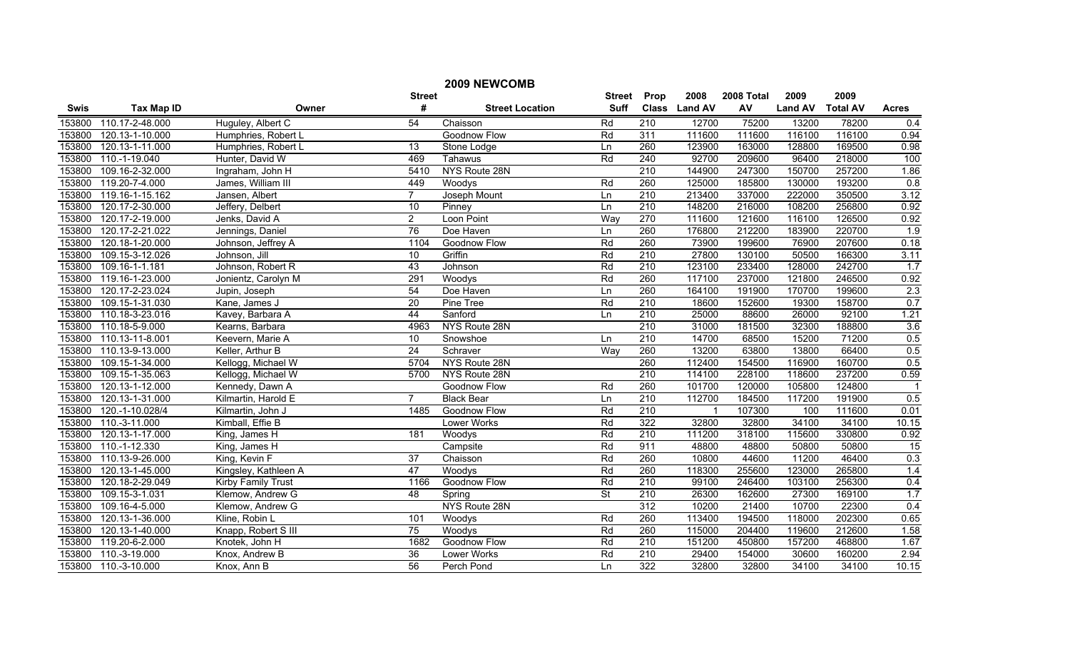|        |                      |                           |                 | 2009 NEWCOMB           |               |                  |               |            |                |                 |              |
|--------|----------------------|---------------------------|-----------------|------------------------|---------------|------------------|---------------|------------|----------------|-----------------|--------------|
|        |                      |                           | <b>Street</b>   |                        | <b>Street</b> | Prop             | 2008          | 2008 Total | 2009           | 2009            |              |
| Swis   | <b>Tax Map ID</b>    | Owner                     | #               | <b>Street Location</b> | <b>Suff</b>   |                  | Class Land AV | AV         | <b>Land AV</b> | <b>Total AV</b> | <b>Acres</b> |
| 153800 | 110.17-2-48.000      | Huguley, Albert C         | $\overline{54}$ | Chaisson               | Rd            | 210              | 12700         | 75200      | 13200          | 78200           | 0.4          |
| 153800 | 120.13-1-10.000      | Humphries, Robert L       |                 | Goodnow Flow           | Rd            | 311              | 111600        | 111600     | 116100         | 116100          | 0.94         |
| 153800 | 120.13-1-11.000      | Humphries, Robert L       | $\overline{13}$ | Stone Lodge            | Ln            | 260              | 123900        | 163000     | 128800         | 169500          | 0.98         |
| 153800 | 110.-1-19.040        | Hunter, David W           | 469             | Tahawus                | Rd            | 240              | 92700         | 209600     | 96400          | 218000          | 100          |
| 153800 | 109.16-2-32.000      | Ingraham, John H          | 5410            | NYS Route 28N          |               | 210              | 144900        | 247300     | 150700         | 257200          | 1.86         |
| 153800 | 119.20-7-4.000       | James, William III        | 449             | Woodys                 | Rd            | 260              | 125000        | 185800     | 130000         | 193200          | 0.8          |
| 153800 | 119.16-1-15.162      | Jansen, Albert            | $\overline{7}$  | Joseph Mount           | Ln            | 210              | 213400        | 337000     | 222000         | 350500          | 3.12         |
| 153800 | 120.17-2-30.000      | Jeffery, Delbert          | 10              | Pinney                 | Ln            | 210              | 148200        | 216000     | 108200         | 256800          | 0.92         |
| 153800 | 120.17-2-19.000      | Jenks, David A            | $\overline{2}$  | Loon Point             | Way           | 270              | 111600        | 121600     | 116100         | 126500          | 0.92         |
| 153800 | 120.17-2-21.022      | Jennings, Daniel          | 76              | Doe Haven              | Ln            | 260              | 176800        | 212200     | 183900         | 220700          | 1.9          |
| 153800 | 120.18-1-20.000      | Johnson, Jeffrey A        | 1104            | Goodnow Flow           | Rd            | 260              | 73900         | 199600     | 76900          | 207600          | 0.18         |
| 153800 | 109.15-3-12.026      | Johnson, Jill             | 10              | Griffin                | Rd            | 210              | 27800         | 130100     | 50500          | 166300          | 3.11         |
| 153800 | 109.16-1-1.181       | Johnson, Robert R         | 43              | Johnson                | Rd            | 210              | 123100        | 233400     | 128000         | 242700          | 1.7          |
| 153800 | 119.16-1-23.000      | Jonientz, Carolyn M       | 291             | Woodys                 | Rd            | 260              | 117100        | 237000     | 121800         | 246500          | 0.92         |
| 153800 | 120.17-2-23.024      | Jupin, Joseph             | 54              | Doe Haven              | Ln            | 260              | 164100        | 191900     | 170700         | 199600          | 2.3          |
| 153800 | 109.15-1-31.030      | Kane, James J             | $\overline{20}$ | Pine Tree              | Rd            | 210              | 18600         | 152600     | 19300          | 158700          | 0.7          |
| 153800 | 110.18-3-23.016      | Kavey, Barbara A          | 44              | Sanford                | Ln            | 210              | 25000         | 88600      | 26000          | 92100           | 1.21         |
| 153800 | 110.18-5-9.000       | Kearns, Barbara           | 4963            | NYS Route 28N          |               | 210              | 31000         | 181500     | 32300          | 188800          | 3.6          |
| 153800 | 110.13-11-8.001      | Keevern, Marie A          | 10              | Snowshoe               | Ln.           | 210              | 14700         | 68500      | 15200          | 71200           | 0.5          |
| 153800 | 110.13-9-13.000      | Keller, Arthur B          | $\overline{24}$ | Schraver               | Way           | 260              | 13200         | 63800      | 13800          | 66400           | 0.5          |
| 153800 | 109.15-1-34.000      | Kellogg, Michael W        | 5704            | NYS Route 28N          |               | 260              | 112400        | 154500     | 116900         | 160700          | 0.5          |
| 153800 | 109.15-1-35.063      | Kellogg, Michael W        | 5700            | NYS Route 28N          |               | 210              | 114100        | 228100     | 118600         | 237200          | 0.59         |
| 153800 | 120.13-1-12.000      | Kennedy, Dawn A           |                 | Goodnow Flow           | Rd            | 260              | 101700        | 120000     | 105800         | 124800          |              |
| 153800 | 120.13-1-31.000      | Kilmartin, Harold E       | $\overline{7}$  | <b>Black Bear</b>      | Ln            | $\overline{210}$ | 112700        | 184500     | 117200         | 191900          | 0.5          |
| 153800 | 120.-1-10.028/4      | Kilmartin, John J         | 1485            | Goodnow Flow           | Rd            | 210              | -1            | 107300     | 100            | 111600          | 0.01         |
| 153800 | 110.-3-11.000        | Kimball, Effie B          |                 | Lower Works            | Rd            | 322              | 32800         | 32800      | 34100          | 34100           | 10.15        |
| 153800 | 120.13-1-17.000      | King, James H             | 181             | Woodys                 | Rd            | 210              | 111200        | 318100     | 115600         | 330800          | 0.92         |
| 153800 | 110.-1-12.330        | King, James H             |                 | Campsite               | Rd            | 911              | 48800         | 48800      | 50800          | 50800           | 15           |
| 153800 | 110.13-9-26.000      | King, Kevin F             | 37              | Chaisson               | Rd            | 260              | 10800         | 44600      | 11200          | 46400           | 0.3          |
| 153800 | 120.13-1-45.000      | Kingsley, Kathleen A      | 47              | Woodys                 | Rd            | 260              | 118300        | 255600     | 123000         | 265800          | 1.4          |
| 153800 | 120.18-2-29.049      | <b>Kirby Family Trust</b> | 1166            | <b>Goodnow Flow</b>    | Rd            | 210              | 99100         | 246400     | 103100         | 256300          | 0.4          |
| 153800 | 109.15-3-1.031       | Klemow, Andrew G          | 48              | Spring                 | St            | 210              | 26300         | 162600     | 27300          | 169100          | 1.7          |
| 153800 | 109.16-4-5.000       | Klemow, Andrew G          |                 | NYS Route 28N          |               | 312              | 10200         | 21400      | 10700          | 22300           | 0.4          |
| 153800 | 120.13-1-36.000      | Kline, Robin L            | 101             | Woodys                 | Rd            | 260              | 113400        | 194500     | 118000         | 202300          | 0.65         |
| 153800 | 120.13-1-40.000      | Knapp, Robert S III       | 75              | Woodys                 | Rd            | 260              | 115000        | 204400     | 119600         | 212600          | 1.58         |
| 153800 | 119.20-6-2.000       | Knotek, John H            | 1682            | Goodnow Flow           | Rd            | 210              | 151200        | 450800     | 157200         | 468800          | 1.67         |
| 153800 | 110.-3-19.000        | Knox, Andrew B            | 36              | Lower Works            | Rd            | $\overline{210}$ | 29400         | 154000     | 30600          | 160200          | 2.94         |
|        | 153800 110.-3-10.000 | Knox, Ann B               | 56              | Perch Pond             | Ln            | 322              | 32800         | 32800      | 34100          | 34100           | 10.15        |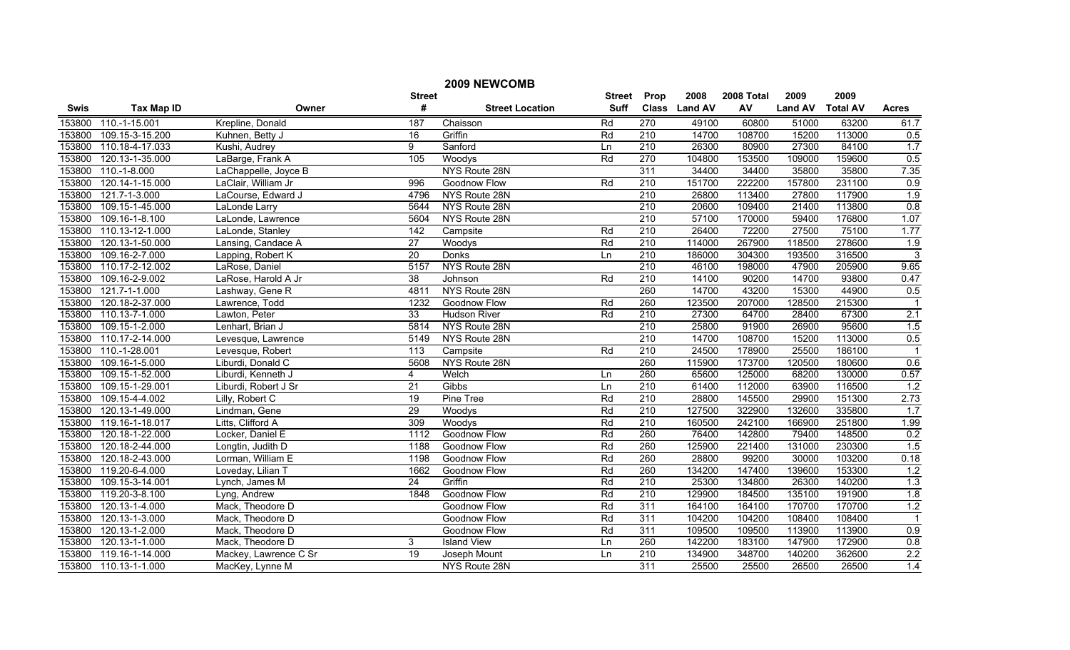|        |                       |                       |                 | 2009 NEWCOMB           |               |                  |               |            |                |                 |                  |
|--------|-----------------------|-----------------------|-----------------|------------------------|---------------|------------------|---------------|------------|----------------|-----------------|------------------|
|        |                       |                       | <b>Street</b>   |                        | <b>Street</b> | Prop             | 2008          | 2008 Total | 2009           | 2009            |                  |
| Swis   | <b>Tax Map ID</b>     | Owner                 | #               | <b>Street Location</b> | <b>Suff</b>   |                  | Class Land AV | AV         | <b>Land AV</b> | <b>Total AV</b> | <b>Acres</b>     |
| 153800 | 110.-1-15.001         | Krepline, Donald      | 187             | Chaisson               | Rd            | 270              | 49100         | 60800      | 51000          | 63200           | 61.7             |
| 153800 | 109.15-3-15.200       | Kuhnen, Betty J       | 16              | Griffin                | Rd            | $\overline{210}$ | 14700         | 108700     | 15200          | 113000          | 0.5              |
| 153800 | 110.18-4-17.033       | Kushi, Audrey         | $\overline{9}$  | Sanford                | Ln            | $\overline{210}$ | 26300         | 80900      | 27300          | 84100           | 1.7              |
| 153800 | 120.13-1-35.000       | LaBarge, Frank A      | 105             | Woodys                 | Rd            | 270              | 104800        | 153500     | 109000         | 159600          | 0.5              |
| 153800 | $110.-1-8.000$        | LaChappelle, Joyce B  |                 | NYS Route 28N          |               | 311              | 34400         | 34400      | 35800          | 35800           | 7.35             |
| 153800 | 120.14-1-15.000       | LaClair, William Jr   | 996             | Goodnow Flow           | Rd            | 210              | 151700        | 222200     | 157800         | 231100          | 0.9              |
| 153800 | 121.7-1-3.000         | LaCourse, Edward J    | 4796            | NYS Route 28N          |               | 210              | 26800         | 113400     | 27800          | 117900          | 1.9              |
| 153800 | 109.15-1-45.000       | LaLonde Larry         | 5644            | NYS Route 28N          |               | 210              | 20600         | 109400     | 21400          | 113800          | 0.8              |
| 153800 | 109.16-1-8.100        | LaLonde, Lawrence     | 5604            | NYS Route 28N          |               | $\overline{210}$ | 57100         | 170000     | 59400          | 176800          | 1.07             |
| 153800 | 110.13-12-1.000       | LaLonde, Stanley      | 142             | Campsite               | Rd            | 210              | 26400         | 72200      | 27500          | 75100           | 1.77             |
| 153800 | 120.13-1-50.000       | Lansing, Candace A    | 27              | Woodys                 | Rd            | $\overline{210}$ | 114000        | 267900     | 118500         | 278600          | 1.9              |
| 153800 | 109.16-2-7.000        | Lapping, Robert K     | 20              | Donks                  | Ln            | 210              | 186000        | 304300     | 193500         | 316500          | $\overline{3}$   |
| 153800 | 110.17-2-12.002       | LaRose, Daniel        | 5157            | NYS Route 28N          |               | 210              | 46100         | 198000     | 47900          | 205900          | 9.65             |
| 153800 | 109.16-2-9.002        | LaRose, Harold A Jr   | $\overline{38}$ | Johnson                | Rd            | 210              | 14100         | 90200      | 14700          | 93800           | 0.47             |
| 153800 | 121.7-1-1.000         | Lashway, Gene R       | 4811            | NYS Route 28N          |               | 260              | 14700         | 43200      | 15300          | 44900           | 0.5              |
| 153800 | 120.18-2-37.000       | Lawrence, Todd        | 1232            | Goodnow Flow           | Rd            | 260              | 123500        | 207000     | 128500         | 215300          | $\overline{1}$   |
| 153800 | 110.13-7-1.000        | Lawton, Peter         | 33              | <b>Hudson River</b>    | Rd            | 210              | 27300         | 64700      | 28400          | 67300           | 2.1              |
| 153800 | 109.15-1-2.000        | Lenhart, Brian J      | 5814            | NYS Route 28N          |               | 210              | 25800         | 91900      | 26900          | 95600           | 1.5              |
| 153800 | 110.17-2-14.000       | Levesque, Lawrence    | 5149            | NYS Route 28N          |               | 210              | 14700         | 108700     | 15200          | 113000          | 0.5              |
| 153800 | 110.-1-28.001         | Levesque, Robert      | 113             | Campsite               | Rd            | 210              | 24500         | 178900     | 25500          | 186100          | $\overline{1}$   |
| 153800 | 109.16-1-5.000        | Liburdi, Donald C     | 5608            | NYS Route 28N          |               | 260              | 115900        | 173700     | 120500         | 180600          | 0.6              |
| 153800 | 109.15-1-52.000       | Liburdi, Kenneth J    | 4               | Welch                  | Ln            | 260              | 65600         | 125000     | 68200          | 130000          | 0.57             |
| 153800 | 109.15-1-29.001       | Liburdi, Robert J Sr  | 21              | Gibbs                  | Ln            | 210              | 61400         | 112000     | 63900          | 116500          | 1.2              |
| 153800 | 109.15-4-4.002        | Lilly, Robert C       | 19              | Pine Tree              | Rd            | 210              | 28800         | 145500     | 29900          | 151300          | 2.73             |
| 153800 | 120.13-1-49.000       | Lindman, Gene         | 29              | Woodys                 | Rd            | 210              | 127500        | 322900     | 132600         | 335800          | 1.7              |
| 153800 | 119.16-1-18.017       | Litts, Clifford A     | 309             | Woodys                 | Rd            | 210              | 160500        | 242100     | 166900         | 251800          | 1.99             |
| 153800 | 120.18-1-22.000       | Locker, Daniel E      | 1112            | Goodnow Flow           | Rd            | 260              | 76400         | 142800     | 79400          | 148500          | 0.2              |
| 153800 | 120.18-2-44.000       | Longtin, Judith D     | 1188            | Goodnow Flow           | Rd            | 260              | 125900        | 221400     | 131000         | 230300          | 1.5              |
| 153800 | 120.18-2-43.000       | Lorman, William E     | 1198            | <b>Goodnow Flow</b>    | Rd            | 260              | 28800         | 99200      | 30000          | 103200          | 0.18             |
| 153800 | 119.20-6-4.000        | Loveday, Lilian T     | 1662            | <b>Goodnow Flow</b>    | Rd            | 260              | 134200        | 147400     | 139600         | 153300          | 1.2              |
| 153800 | 109.15-3-14.001       | Lynch, James M        | $\overline{24}$ | Griffin                | Rd            | 210              | 25300         | 134800     | 26300          | 140200          | 1.3              |
| 153800 | 119.20-3-8.100        | Lyng, Andrew          | 1848            | <b>Goodnow Flow</b>    | Rd            | 210              | 129900        | 184500     | 135100         | 191900          | 1.8              |
| 153800 | 120.13-1-4.000        | Mack, Theodore D      |                 | Goodnow Flow           | Rd            | 311              | 164100        | 164100     | 170700         | 170700          | 1.2              |
| 153800 | 120.13-1-3.000        | Mack, Theodore D      |                 | Goodnow Flow           | Rd            | 311              | 104200        | 104200     | 108400         | 108400          | $\overline{1}$   |
| 153800 | 120.13-1-2.000        | Mack, Theodore D      |                 | Goodnow Flow           | Rd            | 311              | 109500        | 109500     | 113900         | 113900          | 0.9              |
| 153800 | 120.13-1-1.000        | Mack, Theodore D      | $\mathbf{3}$    | <b>Island View</b>     | Ln            | 260              | 142200        | 183100     | 147900         | 172900          | 0.8              |
| 153800 | 119.16-1-14.000       | Mackey, Lawrence C Sr | 19              | Joseph Mount           | Ln            | $\overline{210}$ | 134900        | 348700     | 140200         | 362600          | 2.2              |
|        | 153800 110.13-1-1.000 | MacKey, Lynne M       |                 | NYS Route 28N          |               | 311              | 25500         | 25500      | 26500          | 26500           | $\overline{1.4}$ |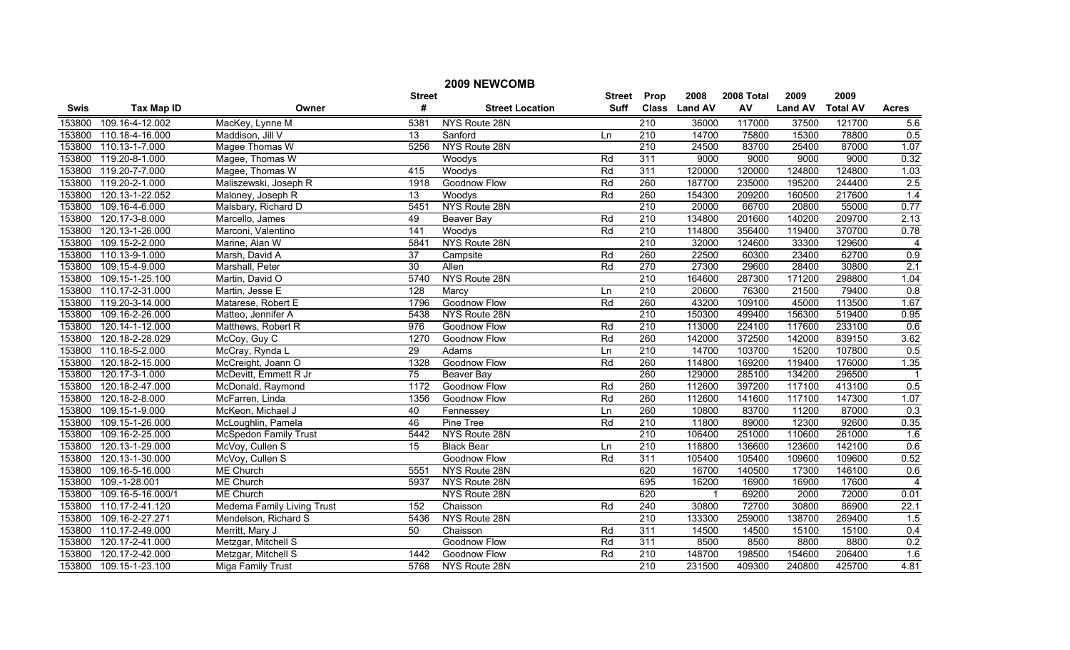|             |                   |                              |                  | 2009 NEWCOMB           |               |                  |                         |            |                |                 |                            |
|-------------|-------------------|------------------------------|------------------|------------------------|---------------|------------------|-------------------------|------------|----------------|-----------------|----------------------------|
|             |                   |                              | <b>Street</b>    |                        | <b>Street</b> | Prop             | 2008                    | 2008 Total | 2009           | 2009            |                            |
| <b>Swis</b> | <b>Tax Map ID</b> | Owner                        | #                | <b>Street Location</b> | Suff          |                  | Class Land AV           | AV         | <b>Land AV</b> | <b>Total AV</b> | <b>Acres</b>               |
| 153800      | 109.16-4-12.002   | MacKey, Lynne M              | 5381             | NYS Route 28N          |               | 210              | 36000                   | 117000     | 37500          | 121700          | 5.6                        |
| 153800      | 110.18-4-16.000   | Maddison, Jill V             | $\overline{13}$  | Sanford                | Ln            | 210              | 14700                   | 75800      | 15300          | 78800           | 0.5                        |
| 153800      | 110.13-1-7.000    | Magee Thomas W               | 5256             | NYS Route 28N          |               | $\overline{210}$ | 24500                   | 83700      | 25400          | 87000           | 1.07                       |
| 153800      | 119.20-8-1.000    | Magee, Thomas W              |                  | Woodys                 | Rd            | 311              | 9000                    | 9000       | 9000           | 9000            | 0.32                       |
| 153800      | 119.20-7-7.000    | Magee, Thomas W              | 415              | Woodys                 | Rd            | 311              | 120000                  | 120000     | 124800         | 124800          | 1.03                       |
| 153800      | 119.20-2-1.000    | Maliszewski, Joseph R        | 1918             | <b>Goodnow Flow</b>    | Rd            | 260              | 187700                  | 235000     | 195200         | 244400          | 2.5                        |
| 153800      | 120.13-1-22.052   | Maloney, Joseph R            | 13               | Woodys                 | Rd            | 260              | 154300                  | 209200     | 160500         | 217600          | 1.4                        |
| 153800      | 109.16-4-6.000    | Malsbary, Richard D          | 5451             | NYS Route 28N          |               | 210              | 20000                   | 66700      | 20800          | 55000           | 0.77                       |
| 153800      | 120.17-3-8.000    | Marcello, James              | 49               | Beaver Bay             | Rd            | 210              | 134800                  | 201600     | 140200         | 209700          | 2.13                       |
| 153800      | 120.13-1-26.000   | Marconi, Valentino           | $\overline{141}$ | Woodys                 | Rd            | $\overline{210}$ | 114800                  | 356400     | 119400         | 370700          | 0.78                       |
| 153800      | 109.15-2-2.000    | Marine, Alan W               | 5841             | NYS Route 28N          |               | $\overline{210}$ | 32000                   | 124600     | 33300          | 129600          |                            |
| 153800      | 110.13-9-1.000    | Marsh, David A               | 37               | Campsite               | Rd            | 260              | 22500                   | 60300      | 23400          | 62700           | 0.9                        |
| 153800      | 109.15-4-9.000    | Marshall, Peter              | 30               | Allen                  | Rd            | 270              | 27300                   | 29600      | 28400          | 30800           | 2.1                        |
| 153800      | 109.15-1-25.100   | Martin, David O              | 5740             | NYS Route 28N          |               | 210              | 164600                  | 287300     | 171200         | 298800          | 1.04                       |
| 153800      | 110.17-2-31.000   | Martin, Jesse E              | 128              | Marcy                  | Ln            | 210              | 20600                   | 76300      | 21500          | 79400           | 0.8                        |
| 153800      | 119.20-3-14.000   | Matarese, Robert E           | 1796             | <b>Goodnow Flow</b>    | Rd            | 260              | 43200                   | 109100     | 45000          | 113500          | 1.67                       |
| 153800      | 109.16-2-26.000   | Matteo, Jennifer A           | 5438             | NYS Route 28N          |               | 210              | 150300                  | 499400     | 156300         | 519400          | 0.95                       |
| 153800      | 120.14-1-12.000   | Matthews, Robert R           | 976              | <b>Goodnow Flow</b>    | Rd            | 210              | 113000                  | 224100     | 117600         | 233100          | 0.6                        |
| 153800      | 120.18-2-28.029   | McCoy, Guy C                 | 1270             | <b>Goodnow Flow</b>    | Rd            | 260              | 142000                  | 372500     | 142000         | 839150          | 3.62                       |
| 153800      | 110.18-5-2.000    | McCray, Rynda L              | 29               | Adams                  | Ln            | 210              | 14700                   | 103700     | 15200          | 107800          | 0.5                        |
| 153800      | 120.18-2-15.000   | McCreight, Joann O           | 1328             | <b>Goodnow Flow</b>    | Rd            | 260              | 114800                  | 169200     | 119400         | 176000          | 1.35                       |
| 153800      | 120.17-3-1.000    | McDevitt, Emmett R Jr        | 75               | Beaver Bay             |               | 260              | 129000                  | 285100     | 134200         | 296500          | $\overline{\phantom{0}}$ 1 |
| 153800      | 120.18-2-47.000   | McDonald, Raymond            | 1172             | <b>Goodnow Flow</b>    | Rd            | 260              | 112600                  | 397200     | 117100         | 413100          | 0.5                        |
| 153800      | 120.18-2-8.000    | McFarren, Linda              | 1356             | Goodnow Flow           | Rd            | 260              | 112600                  | 141600     | 117100         | 147300          | 1.07                       |
| 153800      | 109.15-1-9.000    | McKeon, Michael J            | 40               | Fennessey              | Ln            | 260              | 10800                   | 83700      | 11200          | 87000           | 0.3                        |
| 153800      | 109.15-1-26.000   | McLoughlin, Pamela           | 46               | Pine Tree              | Rd            | 210              | 11800                   | 89000      | 12300          | 92600           | 0.35                       |
| 153800      | 109.16-2-25.000   | <b>McSpedon Family Trust</b> | 5442             | NYS Route 28N          |               | 210              | 106400                  | 251000     | 110600         | 261000          | 1.6                        |
| 153800      | 120.13-1-29.000   | McVoy, Cullen S              | 15               | <b>Black Bear</b>      | Ln            | 210              | 118800                  | 136600     | 123600         | 142100          | 0.6                        |
| 153800      | 120.13-1-30.000   | McVoy, Cullen S              |                  | <b>Goodnow Flow</b>    | Rd            | 311              | 105400                  | 105400     | 109600         | 109600          | 0.52                       |
| 153800      | 109.16-5-16.000   | <b>ME Church</b>             | 5551             | NYS Route 28N          |               | 620              | 16700                   | 140500     | 17300          | 146100          | 0.6                        |
| 153800      | 109.-1-28.001     | <b>ME Church</b>             | 5937             | NYS Route 28N          |               | 695              | 16200                   | 16900      | 16900          | 17600           |                            |
| 153800      | 109.16-5-16.000/1 | <b>ME Church</b>             |                  | NYS Route 28N          |               | 620              | $\overline{\mathbf{1}}$ | 69200      | 2000           | 72000           | 0.01                       |
| 153800      | 110.17-2-41.120   | Medema Family Living Trust   | 152              | Chaisson               | Rd            | 240              | 30800                   | 72700      | 30800          | 86900           | 22.1                       |
| 153800      | 109.16-2-27.271   | Mendelson, Richard S         | 5436             | NYS Route 28N          |               | 210              | 133300                  | 259000     | 138700         | 269400          | 1.5                        |
| 153800      | 110.17-2-49.000   | Merritt, Mary J              | 50               | Chaisson               | Rd            | 311              | 14500                   | 14500      | 15100          | 15100           | 0.4                        |
| 153800      | 120.17-2-41.000   | Metzgar, Mitchell S          |                  | Goodnow Flow           | Rd            | 311              | 8500                    | 8500       | 8800           | 8800            | 0.2                        |
| 153800      | 120.17-2-42.000   | Metzgar, Mitchell S          | 1442             | Goodnow Flow           | Rd            | $\overline{210}$ | 148700                  | 198500     | 154600         | 206400          | 1.6                        |
| 153800      | 109.15-1-23.100   | Miga Family Trust            | 5768             | NYS Route 28N          |               | 210              | 231500                  | 409300     | 240800         | 425700          | 4.81                       |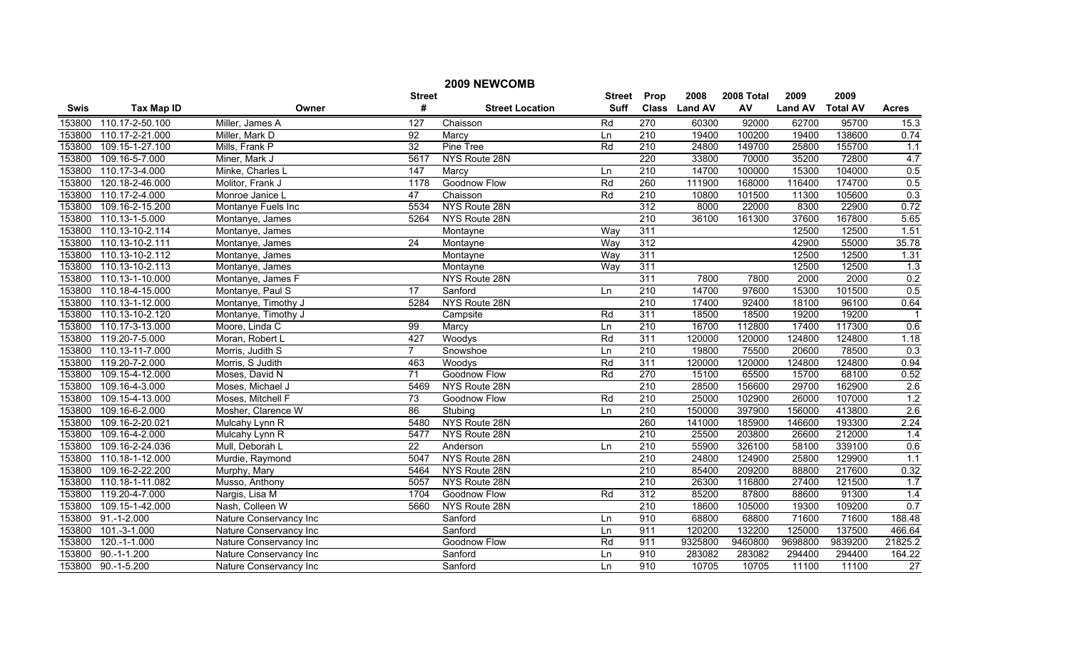|        |                           |                        |                 | 2009 NEWCOMB           |               |                  |               |            |                |                 |                         |
|--------|---------------------------|------------------------|-----------------|------------------------|---------------|------------------|---------------|------------|----------------|-----------------|-------------------------|
|        |                           |                        | <b>Street</b>   |                        | <b>Street</b> | Prop             | 2008          | 2008 Total | 2009           | 2009            |                         |
| Swis   | <b>Tax Map ID</b>         | Owner                  | #               | <b>Street Location</b> | <b>Suff</b>   |                  | Class Land AV | AV         | <b>Land AV</b> | <b>Total AV</b> | <b>Acres</b>            |
| 153800 | 110.17-2-50.100           | Miller, James A        | 127             | Chaisson               | Rd            | 270              | 60300         | 92000      | 62700          | 95700           | 15.3                    |
| 153800 | 110.17-2-21.000           | Miller, Mark D         | $\overline{92}$ | Marcy                  | Ln            | $\overline{210}$ | 19400         | 100200     | 19400          | 138600          | 0.74                    |
| 153800 | 109.15-1-27.100           | Mills, Frank P         | 32              | Pine Tree              | Rd            | $\overline{210}$ | 24800         | 149700     | 25800          | 155700          | 1.1                     |
| 153800 | 109.16-5-7.000            | Miner, Mark J          | 5617            | NYS Route 28N          |               | 220              | 33800         | 70000      | 35200          | 72800           | 4.7                     |
| 153800 | 110.17-3-4.000            | Minke, Charles L       | 147             | Marcy                  | Ln            | 210              | 14700         | 100000     | 15300          | 104000          | 0.5                     |
| 153800 | 120.18-2-46.000           | Molitor, Frank J       | 1178            | Goodnow Flow           | Rd            | 260              | 111900        | 168000     | 116400         | 174700          | 0.5                     |
| 153800 | 110.17-2-4.000            | Monroe Janice L        | 47              | Chaisson               | Rd            | 210              | 10800         | 101500     | 11300          | 105600          | 0.3                     |
| 153800 | 109.16-2-15.200           | Montanye Fuels Inc     | 5534            | NYS Route 28N          |               | 312              | 8000          | 22000      | 8300           | 22900           | 0.72                    |
| 153800 | 110.13-1-5.000            | Montanye, James        | 5264            | NYS Route 28N          |               | $\overline{210}$ | 36100         | 161300     | 37600          | 167800          | 5.65                    |
| 153800 | 110.13-10-2.114           | Montanye, James        |                 | Montayne               | Way           | 311              |               |            | 12500          | 12500           | 1.51                    |
| 153800 | 110.13-10-2.111           | Montanye, James        | $\overline{24}$ | Montayne               | Way           | 312              |               |            | 42900          | 55000           | 35.78                   |
| 153800 | 110.13-10-2.112           | Montanye, James        |                 | Montayne               | Way           | 311              |               |            | 12500          | 12500           | 1.31                    |
| 153800 | 110.13-10-2.113           | Montanye, James        |                 | Montayne               | Way           | 311              |               |            | 12500          | 12500           | 1.3                     |
| 153800 | 110.13-1-10.000           | Montanye, James F      |                 | NYS Route 28N          |               | 311              | 7800          | 7800       | 2000           | 2000            | 0.2                     |
| 153800 | 110.18-4-15.000           | Montanye, Paul S       | 17              | Sanford                | Ln            | 210              | 14700         | 97600      | 15300          | 101500          | 0.5                     |
| 153800 | 110.13-1-12.000           | Montanye, Timothy J    | 5284            | NYS Route 28N          |               | $\overline{210}$ | 17400         | 92400      | 18100          | 96100           | 0.64                    |
| 153800 | 110.13-10-2.120           | Montanye, Timothy J    |                 | Campsite               | Rd            | 311              | 18500         | 18500      | 19200          | 19200           | $\overline{\mathbf{1}}$ |
| 153800 | 110.17-3-13.000           | Moore, Linda C         | 99              | Marcy                  | Ln            | 210              | 16700         | 112800     | 17400          | 117300          | 0.6                     |
| 153800 | 119.20-7-5.000            | Moran, Robert L        | 427             | Woodys                 | Rd            | 311              | 120000        | 120000     | 124800         | 124800          | 1.18                    |
| 153800 | 110.13-11-7.000           | Morris, Judith S       | $\overline{7}$  | Snowshoe               | Ln            | 210              | 19800         | 75500      | 20600          | 78500           | 0.3                     |
| 153800 | 119.20-7-2.000            | Morris, S Judith       | 463             | Woodys                 | Rd            | 311              | 120000        | 120000     | 124800         | 124800          | 0.94                    |
| 153800 | 109.15-4-12.000           | Moses, David N         | $\overline{71}$ | <b>Goodnow Flow</b>    | Rd            | 270              | 15100         | 65500      | 15700          | 68100           | 0.52                    |
| 153800 | 109.16-4-3.000            | Moses, Michael J       | 5469            | NYS Route 28N          |               | 210              | 28500         | 156600     | 29700          | 162900          | 2.6                     |
| 153800 | 109.15-4-13.000           | Moses, Mitchell F      | 73              | Goodnow Flow           | Rd            | 210              | 25000         | 102900     | 26000          | 107000          | 1.2                     |
| 153800 | 109.16-6-2.000            | Mosher, Clarence W     | 86              | Stubing                | Ln            | 210              | 150000        | 397900     | 156000         | 413800          | 2.6                     |
| 153800 | 109.16-2-20.021           | Mulcahy Lynn R         | 5480            | NYS Route 28N          |               | 260              | 141000        | 185900     | 146600         | 193300          | 2.24                    |
| 153800 | 109.16-4-2.000            | Mulcahy Lynn R         | 5477            | NYS Route 28N          |               | 210              | 25500         | 203800     | 26600          | 212000          | 1.4                     |
| 153800 | 109.16-2-24.036           | Mull, Deborah L        | $\overline{22}$ | Anderson               | Ln            | 210              | 55900         | 326100     | 58100          | 339100          | 0.6                     |
| 153800 | 110.18-1-12.000           | Murdie, Raymond        | 5047            | NYS Route 28N          |               | 210              | 24800         | 124900     | 25800          | 129900          | 1.1                     |
| 153800 | 109.16-2-22.200           | Murphy, Mary           | 5464            | NYS Route 28N          |               | 210              | 85400         | 209200     | 88800          | 217600          | 0.32                    |
| 153800 | 110.18-1-11.082           | Musso, Anthony         | 5057            | NYS Route 28N          |               | 210              | 26300         | 116800     | 27400          | 121500          | 1.7                     |
| 153800 | 119.20-4-7.000            | Nargis, Lisa M         | 1704            | Goodnow Flow           | Rd            | 312              | 85200         | 87800      | 88600          | 91300           | 1.4                     |
| 153800 | 109.15-1-42.000           | Nash, Colleen W        | 5660            | NYS Route 28N          |               | 210              | 18600         | 105000     | 19300          | 109200          | 0.7                     |
| 153800 | $91.-1-2.000$             | Nature Conservancy Inc |                 | Sanford                | Ln            | 910              | 68800         | 68800      | 71600          | 71600           | 188.48                  |
| 153800 | $101.-3-1.000$            | Nature Conservancy Inc |                 | Sanford                | Ln            | 911              | 120200        | 132200     | 125000         | 137500          | 466.64                  |
| 153800 | 120.-1-1.000              | Nature Conservancy Inc |                 | Goodnow Flow           | Rd            | 911              | 9325800       | 9460800    | 9698800        | 9839200         | 21825.2                 |
| 153800 | $\overline{90}$ .-1-1.200 | Nature Conservancy Inc |                 | Sanford                | Ln            | 910              | 283082        | 283082     | 294400         | 294400          | 164.22                  |
|        | 153800 90.-1-5.200        | Nature Conservancy Inc |                 | Sanford                | Ln            | 910              | 10705         | 10705      | 11100          | 11100           | 27                      |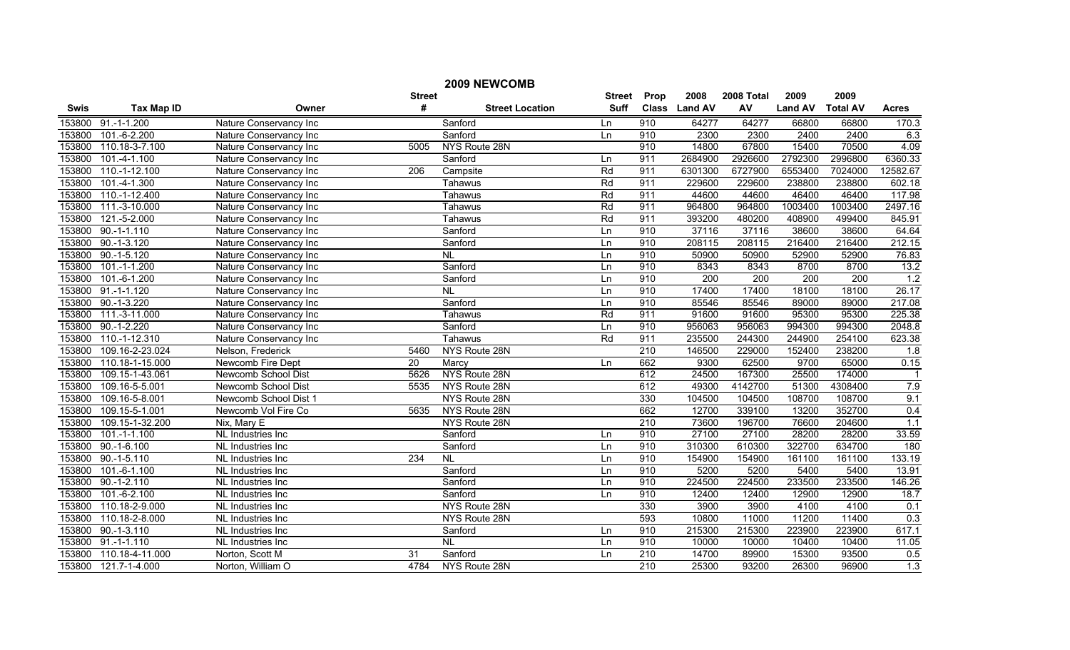|        |                   |                                |               | 2009 NEWCOMB           |               |                  |                  |                  |                |                  |                  |
|--------|-------------------|--------------------------------|---------------|------------------------|---------------|------------------|------------------|------------------|----------------|------------------|------------------|
|        |                   |                                | <b>Street</b> |                        | <b>Street</b> | Prop             | 2008             | 2008 Total       | 2009           | 2009             |                  |
| Swis   | <b>Tax Map ID</b> | Owner                          | #             | <b>Street Location</b> | Suff          |                  | Class Land AV    | AV               | <b>Land AV</b> | <b>Total AV</b>  | <b>Acres</b>     |
| 153800 | $91.-1-1.200$     | Nature Conservancy Inc         |               | Sanford                | Ln            | 910              | 64277            | 64277            | 66800          | 66800            | 170.3            |
| 153800 | $101.-6-2.200$    | Nature Conservancy Inc         |               | Sanford                | Ln            | 910              | 2300             | 2300             | 2400           | 2400             | 6.3              |
| 153800 | 110.18-3-7.100    | Nature Conservancy Inc         | 5005          | NYS Route 28N          |               | 910              | 14800            | 67800            | 15400          | 70500            | 4.09             |
| 153800 | 101.-4-1.100      | Nature Conservancy Inc         |               | Sanford                | Ln            | 911              | 2684900          | 2926600          | 2792300        | 2996800          | 6360.33          |
| 153800 | 110.-1-12.100     | Nature Conservancy Inc         | 206           | Campsite               | Rd            | 911              | 6301300          | 6727900          | 6553400        | 7024000          | 12582.67         |
| 153800 | $101.-4-1.300$    | Nature Conservancy Inc         |               | <b>Tahawus</b>         | Rd            | 911              | 229600           | 229600           | 238800         | 238800           | 602.18           |
| 153800 | 110.-1-12.400     | Nature Conservancy Inc         |               | Tahawus                | Rd            | 911              | 44600            | 44600            | 46400          | 46400            | 117.98           |
| 153800 | 111.-3-10.000     | Nature Conservancy Inc         |               | Tahawus                | Rd            | 911              | 964800           | 964800           | 1003400        | 1003400          | 2497.16          |
| 153800 | $121.-5-2.000$    | Nature Conservancy Inc         |               | Tahawus                | Rd            | 911              | 393200           | 480200           | 408900         | 499400           | 845.91           |
| 153800 | $90.-1-1.110$     | Nature Conservancy Inc         |               | Sanford                | Ln            | 910              | 37116            | 37116            | 38600          | 38600            | 64.64            |
| 153800 | 90.-1-3.120       | Nature Conservancy Inc         |               | Sanford                | Ln            | 910              | 208115           | 208115           | 216400         | 216400           | 212.15           |
| 153800 | $90.-1-5.120$     | Nature Conservancy Inc         |               | N <sub>L</sub>         | Ln            | 910              | 50900            | 50900            | 52900          | 52900            | 76.83            |
| 153800 | $101.-1-1.200$    | Nature Conservancy Inc         |               | Sanford                | Ln            | 910              | 8343             | 8343             | 8700           | 8700             | 13.2             |
| 153800 | 101.-6-1.200      | Nature Conservancy Inc         |               | Sanford                | Ln            | 910              | $\overline{200}$ | $\overline{200}$ | 200            | $\overline{200}$ | 1.2              |
| 153800 | $91.-1-1.120$     | Nature Conservancy Inc         |               | <b>NL</b>              | Ln            | 910              | 17400            | 17400            | 18100          | 18100            | 26.17            |
| 153800 | $90.-1-3.220$     | Nature Conservancy Inc         |               | Sanford                | Ln            | 910              | 85546            | 85546            | 89000          | 89000            | 217.08           |
| 153800 | 111.-3-11.000     | Nature Conservancy Inc         |               | Tahawus                | Rd            | 911              | 91600            | 91600            | 95300          | 95300            | 225.38           |
| 153800 | $90.-1-2.220$     | Nature Conservancy Inc         |               | Sanford                | Ln            | 910              | 956063           | 956063           | 994300         | 994300           | 2048.8           |
| 153800 | 110.-1-12.310     | Nature Conservancy Inc         |               | Tahawus                | Rd            | 911              | 235500           | 244300           | 244900         | 254100           | 623.38           |
| 153800 | 109.16-2-23.024   | Nelson, Frederick              | 5460          | NYS Route 28N          |               | 210              | 146500           | 229000           | 152400         | 238200           | 1.8              |
| 153800 | 110.18-1-15.000   | Newcomb Fire Dept              | 20            | Marcy                  | Ln            | 662              | 9300             | 62500            | 9700           | 65000            | 0.15             |
| 153800 | 109.15-1-43.061   | Newcomb School Dist            | 5626          | NYS Route 28N          |               | 612              | 24500            | 167300           | 25500          | 174000           |                  |
| 153800 | 109.16-5-5.001    | Newcomb School Dist            | 5535          | NYS Route 28N          |               | 612              | 49300            | 4142700          | 51300          | 4308400          | 7.9              |
| 153800 | 109.16-5-8.001    | Newcomb School Dist 1          |               | NYS Route 28N          |               | 330              | 104500           | 104500           | 108700         | 108700           | 9.1              |
| 153800 | 109.15-5-1.001    | Newcomb Vol Fire Co            | 5635          | NYS Route 28N          |               | 662              | 12700            | 339100           | 13200          | 352700           | 0.4              |
| 153800 | 109.15-1-32.200   | Nix, Mary E                    |               | NYS Route 28N          |               | 210              | 73600            | 196700           | 76600          | 204600           | $\overline{1.1}$ |
| 153800 | 101.-1-1.100      | NL Industries Inc              |               | Sanford                | Ln            | 910              | 27100            | 27100            | 28200          | 28200            | 33.59            |
| 153800 | $90.-1-6.100$     | $\overline{NL}$ Industries Inc |               | Sanford                | Ln            | 910              | 310300           | 610300           | 322700         | 634700           | 180              |
| 153800 | $90.-1-5.110$     | NL Industries Inc              | 234           | N <sub>L</sub>         | Ln            | 910              | 154900           | 154900           | 161100         | 161100           | 133.19           |
| 153800 | 101.-6-1.100      | NL Industries Inc              |               | Sanford                | Ln            | 910              | 5200             | 5200             | 5400           | 5400             | 13.91            |
| 153800 | $90.-1-2.110$     | NL Industries Inc              |               | Sanford                | Ln            | 910              | 224500           | 224500           | 233500         | 233500           | 146.26           |
| 153800 | $101.-6-2.100$    | NL Industries Inc              |               | Sanford                | Ln            | 910              | 12400            | 12400            | 12900          | 12900            | 18.7             |
| 153800 | 110.18-2-9.000    | NL Industries Inc              |               | NYS Route 28N          |               | 330              | 3900             | 3900             | 4100           | 4100             | 0.1              |
| 153800 | 110.18-2-8.000    | NL Industries Inc              |               | NYS Route 28N          |               | 593              | 10800            | 11000            | 11200          | 11400            | 0.3              |
| 153800 | 90.-1-3.110       | NL Industries Inc              |               | Sanford                | Ln            | 910              | 215300           | 215300           | 223900         | 223900           | 617.1            |
| 153800 | $91.-1-1.110$     | NL Industries Inc              |               | $\overline{NL}$        | Ln            | 910              | 10000            | 10000            | 10400          | 10400            | 11.05            |
| 153800 | 110.18-4-11.000   | Norton, Scott M                | 31            | Sanford                | Ln            | $\overline{210}$ | 14700            | 89900            | 15300          | 93500            | 0.5              |
| 153800 | 121.7-1-4.000     | Norton, William O              | 4784          | NYS Route 28N          |               | $\overline{210}$ | 25300            | 93200            | 26300          | 96900            | 1.3              |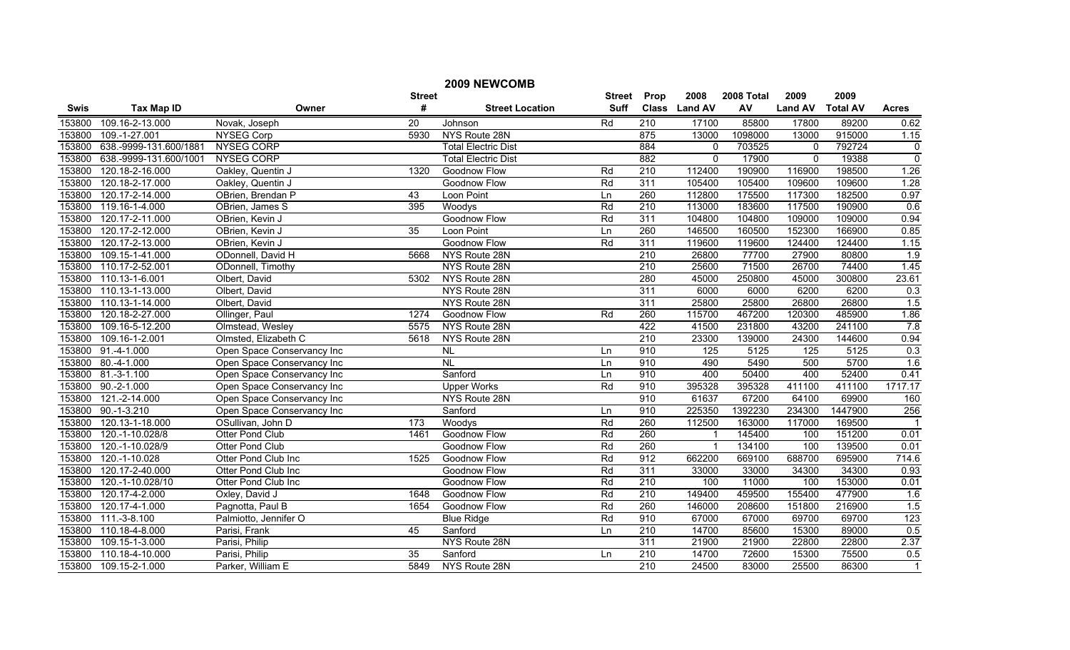|             |                        |                            |                 | 2009 NEWCOMB               |               |                  |                         |            |                |                 |                |
|-------------|------------------------|----------------------------|-----------------|----------------------------|---------------|------------------|-------------------------|------------|----------------|-----------------|----------------|
|             |                        |                            | <b>Street</b>   |                            | <b>Street</b> | Prop             | 2008                    | 2008 Total | 2009           | 2009            |                |
| <b>Swis</b> | <b>Tax Map ID</b>      | Owner                      | #               | <b>Street Location</b>     | <b>Suff</b>   |                  | Class Land AV           | AV         | <b>Land AV</b> | <b>Total AV</b> | <b>Acres</b>   |
| 153800      | 109.16-2-13.000        | Novak, Joseph              | 20              | Johnson                    | Rd            | 210              | 17100                   | 85800      | 17800          | 89200           | 0.62           |
| 153800      | 109.-1-27.001          | <b>NYSEG Corp</b>          | 5930            | NYS Route 28N              |               | 875              | 13000                   | 1098000    | 13000          | 915000          | 1.15           |
| 153800      | 638.-9999-131.600/1881 | NYSEG CORP                 |                 | <b>Total Electric Dist</b> |               | 884              | $\Omega$                | 703525     | $\mathbf{0}$   | 792724          | 0              |
| 153800      | 638.-9999-131.600/1001 | NYSEG CORP                 |                 | <b>Total Electric Dist</b> |               | 882              | $\overline{0}$          | 17900      | $\Omega$       | 19388           | $\overline{0}$ |
| 153800      | 120.18-2-16.000        | Oakley, Quentin J          | 1320            | <b>Goodnow Flow</b>        | Rd            | 210              | 112400                  | 190900     | 116900         | 198500          | 1.26           |
| 153800      | 120.18-2-17.000        | Oakley, Quentin J          |                 | Goodnow Flow               | Rd            | 311              | 105400                  | 105400     | 109600         | 109600          | 1.28           |
| 153800      | 120.17-2-14.000        | OBrien, Brendan P          | 43              | Loon Point                 | Ln            | 260              | 112800                  | 175500     | 117300         | 182500          | 0.97           |
| 153800      | 119.16-1-4.000         | OBrien, James S            | 395             | Woodys                     | Rd            | 210              | 113000                  | 183600     | 117500         | 190900          | 0.6            |
| 153800      | 120.17-2-11.000        | OBrien, Kevin J            |                 | <b>Goodnow Flow</b>        | Rd            | 311              | 104800                  | 104800     | 109000         | 109000          | 0.94           |
| 153800      | 120.17-2-12.000        | OBrien, Kevin J            | 35              | Loon Point                 | Ln            | 260              | 146500                  | 160500     | 152300         | 166900          | 0.85           |
| 153800      | 120.17-2-13.000        | OBrien, Kevin J            |                 | <b>Goodnow Flow</b>        | Rd            | 311              | 119600                  | 119600     | 124400         | 124400          | 1.15           |
| 153800      | 109.15-1-41.000        | ODonnell, David H          | 5668            | NYS Route 28N              |               | 210              | 26800                   | 77700      | 27900          | 80800           | 1.9            |
| 153800      | 110.17-2-52.001        | ODonnell, Timothy          |                 | NYS Route 28N              |               | 210              | 25600                   | 71500      | 26700          | 74400           | 1.45           |
| 153800      | 110.13-1-6.001         | Olbert, David              | 5302            | NYS Route 28N              |               | 280              | 45000                   | 250800     | 45000          | 300800          | 23.61          |
| 153800      | 110.13-1-13.000        | Olbert, David              |                 | NYS Route 28N              |               | 311              | 6000                    | 6000       | 6200           | 6200            | 0.3            |
| 153800      | 110.13-1-14.000        | Olbert, David              |                 | NYS Route 28N              |               | 311              | 25800                   | 25800      | 26800          | 26800           | 1.5            |
| 153800      | 120.18-2-27.000        | Ollinger, Paul             | 1274            | <b>Goodnow Flow</b>        | Rd            | 260              | 115700                  | 467200     | 120300         | 485900          | 1.86           |
| 153800      | 109.16-5-12.200        | Olmstead, Wesley           | 5575            | NYS Route 28N              |               | 422              | 41500                   | 231800     | 43200          | 241100          | 7.8            |
| 153800      | 109.16-1-2.001         | Olmsted, Elizabeth C       | 5618            | NYS Route 28N              |               | 210              | 23300                   | 139000     | 24300          | 144600          | 0.94           |
| 153800      | 91.-4-1.000            | Open Space Conservancy Inc |                 | $\overline{NL}$            | Ln            | 910              | 125                     | 5125       | 125            | 5125            | 0.3            |
| 153800      | 80.-4-1.000            | Open Space Conservancy Inc |                 | $\overline{NL}$            | Ln            | 910              | 490                     | 5490       | 500            | 5700            | 1.6            |
| 153800      | 81.-3-1.100            | Open Space Conservancy Inc |                 | Sanford                    | Ln            | 910              | 400                     | 50400      | 400            | 52400           | 0.41           |
| 153800      | 90.-2-1.000            | Open Space Conservancy Inc |                 | <b>Upper Works</b>         | Rd            | 910              | 395328                  | 395328     | 411100         | 411100          | 1717.17        |
| 153800      | 121.-2-14.000          | Open Space Conservancy Inc |                 | NYS Route 28N              |               | 910              | 61637                   | 67200      | 64100          | 69900           | 160            |
| 153800      | 90.-1-3.210            | Open Space Conservancy Inc |                 | Sanford                    | Ln            | 910              | 225350                  | 1392230    | 234300         | 1447900         | 256            |
| 153800      | 120.13-1-18.000        | OSullivan, John D          | 173             | Woodys                     | Rd            | 260              | 112500                  | 163000     | 117000         | 169500          | $\overline{1}$ |
| 153800      | 120.-1-10.028/8        | Otter Pond Club            | 1461            | Goodnow Flow               | Rd            | 260              | $\overline{\mathbf{1}}$ | 145400     | 100            | 151200          | 0.01           |
| 153800      | 120.-1-10.028/9        | Otter Pond Club            |                 | Goodnow Flow               | Rd            | 260              |                         | 134100     | 100            | 139500          | 0.01           |
| 153800      | 120.-1-10.028          | Otter Pond Club Inc        | 1525            | <b>Goodnow Flow</b>        | Rd            | 912              | 662200                  | 669100     | 688700         | 695900          | 714.6          |
| 153800      | 120.17-2-40.000        | Otter Pond Club Inc        |                 | <b>Goodnow Flow</b>        | Rd            | 311              | 33000                   | 33000      | 34300          | 34300           | 0.93           |
| 153800      | 120.-1-10.028/10       | Otter Pond Club Inc        |                 | <b>Goodnow Flow</b>        | Rd            | 210              | 100                     | 11000      | 100            | 153000          | 0.01           |
| 153800      | 120.17-4-2.000         | Oxley, David J             | 1648            | Goodnow Flow               | Rd            | 210              | 149400                  | 459500     | 155400         | 477900          | 1.6            |
| 153800      | 120.17-4-1.000         | Pagnotta, Paul B           | 1654            | Goodnow Flow               | Rd            | 260              | 146000                  | 208600     | 151800         | 216900          | 1.5            |
| 153800      | $111.-3-8.100$         | Palmiotto, Jennifer O      |                 | <b>Blue Ridge</b>          | Rd            | 910              | 67000                   | 67000      | 69700          | 69700           | 123            |
| 153800      | 110.18-4-8.000         | Parisi, Frank              | 45              | Sanford                    | Ln            | 210              | 14700                   | 85600      | 15300          | 89000           | 0.5            |
| 153800      | 109.15-1-3.000         | Parisi, Philip             |                 | NYS Route 28N              |               | 311              | 21900                   | 21900      | 22800          | 22800           | 2.37           |
| 153800      | 110.18-4-10.000        | Parisi, Philip             | $\overline{35}$ | Sanford                    | Ln            | $\overline{210}$ | 14700                   | 72600      | 15300          | 75500           | 0.5            |
| 153800      | 109.15-2-1.000         | Parker, William E          | 5849            | NYS Route 28N              |               | 210              | 24500                   | 83000      | 25500          | 86300           | $\overline{1}$ |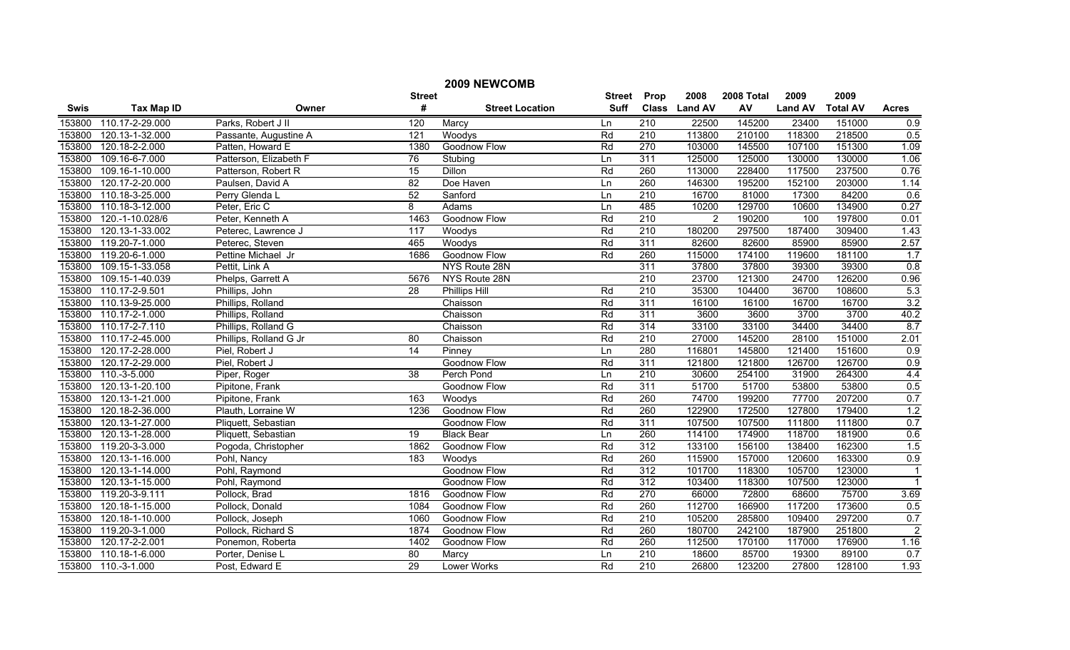|        |                     |                        |                 | 2009 NEWCOMB           |               |                  |                |            |                |                 |                |
|--------|---------------------|------------------------|-----------------|------------------------|---------------|------------------|----------------|------------|----------------|-----------------|----------------|
|        |                     |                        | <b>Street</b>   |                        | <b>Street</b> | Prop             | 2008           | 2008 Total | 2009           | 2009            |                |
| Swis   | <b>Tax Map ID</b>   | Owner                  | #               | <b>Street Location</b> | <b>Suff</b>   |                  | Class Land AV  | AV         | <b>Land AV</b> | <b>Total AV</b> | <b>Acres</b>   |
| 153800 | 110.17-2-29.000     | Parks, Robert J II     | 120             | Marcy                  | Ln            | 210              | 22500          | 145200     | 23400          | 151000          | 0.9            |
| 153800 | 120.13-1-32.000     | Passante, Augustine A  | 121             | Woodys                 | Rd            | $\overline{210}$ | 113800         | 210100     | 118300         | 218500          | 0.5            |
| 153800 | 120.18-2-2.000      | Patten, Howard E       | 1380            | Goodnow Flow           | Rd            | 270              | 103000         | 145500     | 107100         | 151300          | 1.09           |
| 153800 | 109.16-6-7.000      | Patterson, Elizabeth F | 76              | Stubing                | Ln            | 311              | 125000         | 125000     | 130000         | 130000          | 1.06           |
| 153800 | 109.16-1-10.000     | Patterson, Robert R    | 15              | <b>Dillon</b>          | Rd            | 260              | 113000         | 228400     | 117500         | 237500          | 0.76           |
| 153800 | 120.17-2-20.000     | Paulsen, David A       | 82              | Doe Haven              | Ln            | 260              | 146300         | 195200     | 152100         | 203000          | 1.14           |
| 153800 | 110.18-3-25.000     | Perry Glenda L         | 52              | Sanford                | Ln            | 210              | 16700          | 81000      | 17300          | 84200           | 0.6            |
| 153800 | 110.18-3-12.000     | Peter, Eric C          | $\overline{8}$  | Adams                  | Ln            | 485              | 10200          | 129700     | 10600          | 134900          | 0.27           |
| 153800 | 120.-1-10.028/6     | Peter, Kenneth A       | 1463            | <b>Goodnow Flow</b>    | Rd            | $\overline{210}$ | $\overline{2}$ | 190200     | 100            | 197800          | 0.01           |
| 153800 | 120.13-1-33.002     | Peterec, Lawrence J    | 117             | Woodys                 | Rd            | 210              | 180200         | 297500     | 187400         | 309400          | 1.43           |
| 153800 | 119.20-7-1.000      | Peterec, Steven        | 465             | Woodys                 | Rd            | 311              | 82600          | 82600      | 85900          | 85900           | 2.57           |
| 153800 | 119.20-6-1.000      | Pettine Michael Jr     | 1686            | <b>Goodnow Flow</b>    | Rd            | 260              | 115000         | 174100     | 119600         | 181100          | 1.7            |
| 153800 | 109.15-1-33.058     | Pettit, Link A         |                 | NYS Route 28N          |               | 311              | 37800          | 37800      | 39300          | 39300           | 0.8            |
| 153800 | 109.15-1-40.039     | Phelps, Garrett A      | 5676            | NYS Route 28N          |               | $\overline{210}$ | 23700          | 121300     | 24700          | 126200          | 0.96           |
| 153800 | 110.17-2-9.501      | Phillips, John         | $\overline{28}$ | Phillips Hill          | Rd            | 210              | 35300          | 104400     | 36700          | 108600          | 5.3            |
| 153800 | 110.13-9-25.000     | Phillips, Rolland      |                 | Chaisson               | Rd            | 311              | 16100          | 16100      | 16700          | 16700           | 3.2            |
| 153800 | 110.17-2-1.000      | Phillips, Rolland      |                 | Chaisson               | Rd            | 311              | 3600           | 3600       | 3700           | 3700            | 40.2           |
| 153800 | 110.17-2-7.110      | Phillips, Rolland G    |                 | Chaisson               | Rd            | 314              | 33100          | 33100      | 34400          | 34400           | 8.7            |
| 153800 | 110.17-2-45.000     | Phillips, Rolland G Jr | 80              | Chaisson               | Rd            | 210              | 27000          | 145200     | 28100          | 151000          | 2.01           |
| 153800 | 120.17-2-28.000     | Piel, Robert J         | 14              | Pinney                 | Ln            | 280              | 116801         | 145800     | 121400         | 151600          | 0.9            |
| 153800 | 120.17-2-29.000     | Piel, Robert J         |                 | <b>Goodnow Flow</b>    | Rd            | 311              | 121800         | 121800     | 126700         | 126700          | 0.9            |
| 153800 | 110.-3-5.000        | Piper, Roger           | $\overline{38}$ | Perch Pond             | Ln            | 210              | 30600          | 254100     | 31900          | 264300          | 4.4            |
| 153800 | 120.13-1-20.100     | Pipitone, Frank        |                 | Goodnow Flow           | Rd            | 311              | 51700          | 51700      | 53800          | 53800           | 0.5            |
| 153800 | 120.13-1-21.000     | Pipitone, Frank        | 163             | Woodys                 | Rd            | 260              | 74700          | 199200     | 77700          | 207200          | 0.7            |
| 153800 | 120.18-2-36.000     | Plauth, Lorraine W     | 1236            | <b>Goodnow Flow</b>    | Rd            | 260              | 122900         | 172500     | 127800         | 179400          | 1.2            |
| 153800 | 120.13-1-27.000     | Pliquett, Sebastian    |                 | Goodnow Flow           | Rd            | 311              | 107500         | 107500     | 111800         | 111800          | 0.7            |
| 153800 | 120.13-1-28.000     | Pliquett, Sebastian    | $\overline{19}$ | <b>Black Bear</b>      | Ln            | 260              | 114100         | 174900     | 118700         | 181900          | 0.6            |
| 153800 | 119.20-3-3.000      | Pogoda, Christopher    | 1862            | Goodnow Flow           | Rd            | 312              | 133100         | 156100     | 138400         | 162300          | 1.5            |
| 153800 | 120.13-1-16.000     | Pohl, Nancy            | 183             | Woodys                 | Rd            | 260              | 115900         | 157000     | 120600         | 163300          | 0.9            |
| 153800 | 120.13-1-14.000     | Pohl, Raymond          |                 | <b>Goodnow Flow</b>    | Rd            | 312              | 101700         | 118300     | 105700         | 123000          | $\overline{1}$ |
| 153800 | 120.13-1-15.000     | Pohl, Raymond          |                 | Goodnow Flow           | Rd            | 312              | 103400         | 118300     | 107500         | 123000          | $\overline{1}$ |
| 153800 | 119.20-3-9.111      | Pollock, Brad          | 1816            | Goodnow Flow           | Rd            | 270              | 66000          | 72800      | 68600          | 75700           | 3.69           |
| 153800 | 120.18-1-15.000     | Pollock, Donald        | 1084            | Goodnow Flow           | Rd            | 260              | 112700         | 166900     | 117200         | 173600          | 0.5            |
| 153800 | 120.18-1-10.000     | Pollock, Joseph        | 1060            | Goodnow Flow           | Rd            | 210              | 105200         | 285800     | 109400         | 297200          | 0.7            |
| 153800 | 119.20-3-1.000      | Pollock, Richard S     | 1874            | Goodnow Flow           | Rd            | 260              | 180700         | 242100     | 187900         | 251800          | $\overline{2}$ |
| 153800 | 120.17-2-2.001      | Ponemon, Roberta       | 1402            | Goodnow Flow           | Rd            | 260              | 112500         | 170100     | 117000         | 176900          | 1.16           |
| 153800 | 110.18-1-6.000      | Porter, Denise L       | 80              | Marcy                  | Ln            | 210              | 18600          | 85700      | 19300          | 89100           | 0.7            |
|        | 153800 110.-3-1.000 | Post, Edward E         | 29              | Lower Works            | Rd            | $\overline{210}$ | 26800          | 123200     | 27800          | 128100          | 1.93           |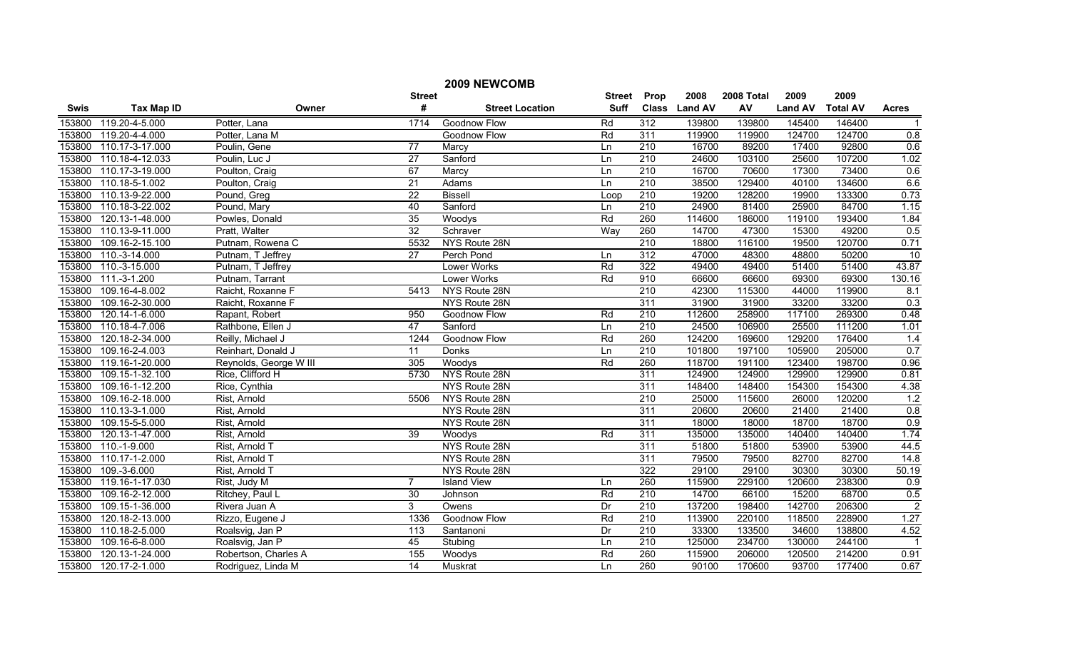|        |                      |                        |                 | 2009 NEWCOMB           |               |                  |               |            |                |                 |                |
|--------|----------------------|------------------------|-----------------|------------------------|---------------|------------------|---------------|------------|----------------|-----------------|----------------|
|        |                      |                        | <b>Street</b>   |                        | <b>Street</b> | Prop             | 2008          | 2008 Total | 2009           | 2009            |                |
| Swis   | <b>Tax Map ID</b>    | Owner                  | #               | <b>Street Location</b> | Suff          |                  | Class Land AV | AV         | <b>Land AV</b> | <b>Total AV</b> | <b>Acres</b>   |
| 153800 | 119.20-4-5.000       | Potter, Lana           | 1714            | Goodnow Flow           | Rd            | 312              | 139800        | 139800     | 145400         | 146400          | $\overline{1}$ |
| 153800 | 119.20-4-4.000       | Potter, Lana M         |                 | Goodnow Flow           | Rd            | 311              | 119900        | 119900     | 124700         | 124700          | 0.8            |
| 153800 | 110.17-3-17.000      | Poulin, Gene           | $\overline{77}$ | Marcy                  | Ln            | $\overline{210}$ | 16700         | 89200      | 17400          | 92800           | 0.6            |
| 153800 | 110.18-4-12.033      | Poulin, Luc J          | $\overline{27}$ | Sanford                | Ln            | 210              | 24600         | 103100     | 25600          | 107200          | 1.02           |
| 153800 | 110.17-3-19.000      | Poulton, Craig         | 67              | Marcy                  | Ln            | 210              | 16700         | 70600      | 17300          | 73400           | 0.6            |
| 153800 | 110.18-5-1.002       | Poulton, Craig         | $\overline{21}$ | Adams                  | Ln            | 210              | 38500         | 129400     | 40100          | 134600          | 6.6            |
| 153800 | 110.13-9-22.000      | Pound, Greg            | $\overline{22}$ | <b>Bissell</b>         | Loop          | 210              | 19200         | 128200     | 19900          | 133300          | 0.73           |
| 153800 | 110.18-3-22.002      | Pound, Mary            | 40              | Sanford                | Ln            | 210              | 24900         | 81400      | 25900          | 84700           | 1.15           |
| 153800 | 120.13-1-48.000      | Powles, Donald         | 35              | Woodys                 | Rd            | 260              | 114600        | 186000     | 119100         | 193400          | 1.84           |
| 153800 | 110.13-9-11.000      | Pratt, Walter          | 32              | Schraver               | Way           | 260              | 14700         | 47300      | 15300          | 49200           | 0.5            |
| 153800 | 109.16-2-15.100      | Putnam, Rowena C       | 5532            | NYS Route 28N          |               | $\overline{210}$ | 18800         | 116100     | 19500          | 120700          | 0.71           |
| 153800 | 110.-3-14.000        | Putnam, T Jeffrey      | $\overline{27}$ | Perch Pond             | Ln            | 312              | 47000         | 48300      | 48800          | 50200           | 10             |
| 153800 | 110.-3-15.000        | Putnam, T Jeffrey      |                 | <b>Lower Works</b>     | Rd            | 322              | 49400         | 49400      | 51400          | 51400           | 43.87          |
| 153800 | $111.-3-1.200$       | Putnam, Tarrant        |                 | Lower Works            | Rd            | 910              | 66600         | 66600      | 69300          | 69300           | 130.16         |
| 153800 | 109.16-4-8.002       | Raicht, Roxanne F      | 5413            | NYS Route 28N          |               | 210              | 42300         | 115300     | 44000          | 119900          | 8.1            |
| 153800 | 109.16-2-30.000      | Raicht, Roxanne F      |                 | NYS Route 28N          |               | 311              | 31900         | 31900      | 33200          | 33200           | 0.3            |
| 153800 | 120.14-1-6.000       | Rapant, Robert         | 950             | <b>Goodnow Flow</b>    | Rd            | 210              | 112600        | 258900     | 117100         | 269300          | 0.48           |
| 153800 | 110.18-4-7.006       | Rathbone, Ellen J      | 47              | Sanford                | Ln            | 210              | 24500         | 106900     | 25500          | 111200          | 1.01           |
| 153800 | 120.18-2-34.000      | Reilly, Michael J      | 1244            | <b>Goodnow Flow</b>    | Rd            | 260              | 124200        | 169600     | 129200         | 176400          | 1.4            |
| 153800 | 109.16-2-4.003       | Reinhart, Donald J     | 11              | Donks                  | Ln            | 210              | 101800        | 197100     | 105900         | 205000          | 0.7            |
| 153800 | 119.16-1-20.000      | Reynolds, George W III | 305             | Woodys                 | Rd            | 260              | 118700        | 191100     | 123400         | 198700          | 0.96           |
| 153800 | 109.15-1-32.100      | Rice, Clifford H       | 5730            | NYS Route 28N          |               | 311              | 124900        | 124900     | 129900         | 129900          | 0.81           |
| 153800 | 109.16-1-12.200      | Rice, Cynthia          |                 | NYS Route 28N          |               | 311              | 148400        | 148400     | 154300         | 154300          | 4.38           |
| 153800 | 109.16-2-18.000      | Rist, Arnold           | 5506            | NYS Route 28N          |               | $\overline{210}$ | 25000         | 115600     | 26000          | 120200          | 1.2            |
| 153800 | 110.13-3-1.000       | Rist, Arnold           |                 | NYS Route 28N          |               | 311              | 20600         | 20600      | 21400          | 21400           | 0.8            |
| 153800 | 109.15-5-5.000       | Rist, Arnold           |                 | NYS Route 28N          |               | 311              | 18000         | 18000      | 18700          | 18700           | 0.9            |
| 153800 | 120.13-1-47.000      | Rist, Arnold           | 39              | Woodys                 | Rd            | 311              | 135000        | 135000     | 140400         | 140400          | 1.74           |
| 153800 | 110.-1-9.000         | Rist, Arnold T         |                 | NYS Route 28N          |               | 311              | 51800         | 51800      | 53900          | 53900           | 44.5           |
| 153800 | 110.17-1-2.000       | Rist, Arnold T         |                 | NYS Route 28N          |               | 311              | 79500         | 79500      | 82700          | 82700           | 14.8           |
| 153800 | 109.-3-6.000         | Rist, Arnold T         |                 | NYS Route 28N          |               | 322              | 29100         | 29100      | 30300          | 30300           | 50.19          |
| 153800 | 119.16-1-17.030      | Rist, Judy M           | 7               | <b>Island View</b>     | Ln            | 260              | 115900        | 229100     | 120600         | 238300          | 0.9            |
| 153800 | 109.16-2-12.000      | Ritchey, Paul L        | 30              | Johnson                | Rd            | 210              | 14700         | 66100      | 15200          | 68700           | 0.5            |
| 153800 | 109.15-1-36.000      | Rivera Juan A          | 3               | Owens                  | Dr            | 210              | 137200        | 198400     | 142700         | 206300          | $\overline{2}$ |
| 153800 | 120.18-2-13.000      | Rizzo, Eugene J        | 1336            | Goodnow Flow           | Rd            | 210              | 113900        | 220100     | 118500         | 228900          | 1.27           |
| 153800 | 110.18-2-5.000       | Roalsvig, Jan P        | 113             | Santanoni              | Dr            | 210              | 33300         | 133500     | 34600          | 138800          | 4.52           |
| 153800 | $109.16 - 6 - 8.000$ | Roalsvig, Jan P        | 45              | Stubing                | Ln            | 210              | 125000        | 234700     | 130000         | 244100          | $\overline{1}$ |
| 153800 | 120.13-1-24.000      | Robertson, Charles A   | 155             | Woodys                 | Rd            | 260              | 115900        | 206000     | 120500         | 214200          | 0.91           |
| 153800 | 120.17-2-1.000       | Rodriguez, Linda M     | 14              | Muskrat                | Ln.           | 260              | 90100         | 170600     | 93700          | 177400          | 0.67           |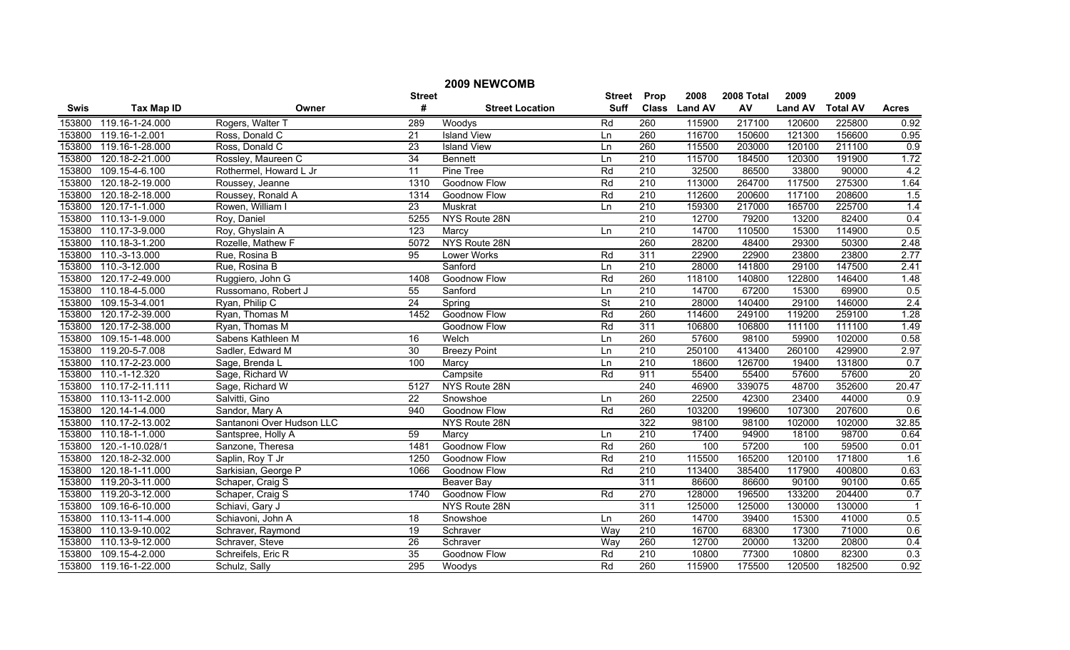|        |                        |                           |                 | 2009 NEWCOMB           |                          |                  |               |            |                |                 |                |
|--------|------------------------|---------------------------|-----------------|------------------------|--------------------------|------------------|---------------|------------|----------------|-----------------|----------------|
|        |                        |                           | <b>Street</b>   |                        | <b>Street</b>            | Prop             | 2008          | 2008 Total | 2009           | 2009            |                |
| Swis   | <b>Tax Map ID</b>      | Owner                     | #               | <b>Street Location</b> | <b>Suff</b>              |                  | Class Land AV | AV         | <b>Land AV</b> | <b>Total AV</b> | <b>Acres</b>   |
| 153800 | 119.16-1-24.000        | Rogers, Walter T          | 289             | Woodys                 | Rd                       | 260              | 115900        | 217100     | 120600         | 225800          | 0.92           |
| 153800 | 119.16-1-2.001         | Ross, Donald C            | $\overline{21}$ | <b>Island View</b>     | Ln                       | 260              | 116700        | 150600     | 121300         | 156600          | 0.95           |
| 153800 | 119.16-1-28.000        | Ross, Donald C            | $\overline{23}$ | <b>Island View</b>     | Ln                       | 260              | 115500        | 203000     | 120100         | 211100          | 0.9            |
| 153800 | 120.18-2-21.000        | Rossley, Maureen C        | 34              | <b>Bennett</b>         | Ln                       | 210              | 115700        | 184500     | 120300         | 191900          | 1.72           |
| 153800 | 109.15-4-6.100         | Rothermel, Howard L Jr    | 11              | Pine Tree              | Rd                       | 210              | 32500         | 86500      | 33800          | 90000           | 4.2            |
| 153800 | 120.18-2-19.000        | Roussey, Jeanne           | 1310            | Goodnow Flow           | Rd                       | 210              | 113000        | 264700     | 117500         | 275300          | 1.64           |
| 153800 | 120.18-2-18.000        | Roussey, Ronald A         | 1314            | Goodnow Flow           | Rd                       | 210              | 112600        | 200600     | 117100         | 208600          | 1.5            |
| 153800 | 120.17-1-1.000         | Rowen, William I          | 23              | <b>Muskrat</b>         | Ln                       | 210              | 159300        | 217000     | 165700         | 225700          | 1.4            |
| 153800 | 110.13-1-9.000         | Roy, Daniel               | 5255            | NYS Route 28N          |                          | 210              | 12700         | 79200      | 13200          | 82400           | 0.4            |
| 153800 | 110.17-3-9.000         | Roy, Ghyslain A           | 123             | Marcy                  | Ln                       | $\overline{210}$ | 14700         | 110500     | 15300          | 114900          | 0.5            |
| 153800 | 110.18-3-1.200         | Rozelle, Mathew F         | 5072            | NYS Route 28N          |                          | 260              | 28200         | 48400      | 29300          | 50300           | 2.48           |
| 153800 | 110.-3-13.000          | Rue, Rosina B             | 95              | Lower Works            | Rd                       | 311              | 22900         | 22900      | 23800          | 23800           | 2.77           |
| 153800 | 110.-3-12.000          | Rue, Rosina B             |                 | Sanford                | Ln                       | 210              | 28000         | 141800     | 29100          | 147500          | 2.41           |
| 153800 | 120.17-2-49.000        | Ruggiero, John G          | 1408            | Goodnow Flow           | Rd                       | 260              | 118100        | 140800     | 122800         | 146400          | 1.48           |
| 153800 | 110.18-4-5.000         | Russomano, Robert J       | 55              | Sanford                | Ln                       | $\overline{210}$ | 14700         | 67200      | 15300          | 69900           | 0.5            |
| 153800 | 109.15-3-4.001         | Ryan, Philip C            | $\overline{24}$ | Spring                 | $\overline{\mathsf{St}}$ | $\overline{210}$ | 28000         | 140400     | 29100          | 146000          | 2.4            |
| 153800 | 120.17-2-39.000        | Ryan, Thomas M            | 1452            | <b>Goodnow Flow</b>    | Rd                       | 260              | 114600        | 249100     | 119200         | 259100          | 1.28           |
| 153800 | 120.17-2-38.000        | Ryan, Thomas M            |                 | <b>Goodnow Flow</b>    | Rd                       | 311              | 106800        | 106800     | 111100         | 111100          | 1.49           |
| 153800 | 109.15-1-48.000        | Sabens Kathleen M         | 16              | Welch                  | Ln                       | 260              | 57600         | 98100      | 59900          | 102000          | 0.58           |
| 153800 | 119.20-5-7.008         | Sadler, Edward M          | 30              | <b>Breezy Point</b>    | Ln                       | 210              | 250100        | 413400     | 260100         | 429900          | 2.97           |
| 153800 | 110.17-2-23.000        | Sage, Brenda L            | 100             | Marcy                  | Ln                       | $\overline{210}$ | 18600         | 126700     | 19400          | 131800          | 0.7            |
| 153800 | 110.-1-12.320          | Sage, Richard W           |                 | Campsite               | Rd                       | 911              | 55400         | 55400      | 57600          | 57600           | 20             |
| 153800 | 110.17-2-11.111        | Sage, Richard W           | 5127            | NYS Route 28N          |                          | 240              | 46900         | 339075     | 48700          | 352600          | 20.47          |
| 153800 | 110.13-11-2.000        | Salvitti, Gino            | $\overline{22}$ | Snowshoe               | Ln                       | 260              | 22500         | 42300      | 23400          | 44000           | 0.9            |
| 153800 | 120.14-1-4.000         | Sandor, Mary A            | 940             | Goodnow Flow           | Rd                       | 260              | 103200        | 199600     | 107300         | 207600          | 0.6            |
| 153800 | 110.17-2-13.002        | Santanoni Over Hudson LLC |                 | NYS Route 28N          |                          | 322              | 98100         | 98100      | 102000         | 102000          | 32.85          |
| 153800 | 110.18-1-1.000         | Santspree, Holly A        | 59              | Marcy                  | Ln                       | 210              | 17400         | 94900      | 18100          | 98700           | 0.64           |
| 153800 | 120.-1-10.028/1        | Sanzone, Theresa          | 1481            | <b>Goodnow Flow</b>    | Rd                       | 260              | 100           | 57200      | 100            | 59500           | 0.01           |
| 153800 | 120.18-2-32.000        | Saplin, Roy T Jr          | 1250            | <b>Goodnow Flow</b>    | Rd                       | 210              | 115500        | 165200     | 120100         | 171800          | 1.6            |
| 153800 | 120.18-1-11.000        | Sarkisian, George P       | 1066            | <b>Goodnow Flow</b>    | Rd                       | 210              | 113400        | 385400     | 117900         | 400800          | 0.63           |
| 153800 | 119.20-3-11.000        | Schaper, Craig S          |                 | <b>Beaver Bay</b>      |                          | 311              | 86600         | 86600      | 90100          | 90100           | 0.65           |
| 153800 | 119.20-3-12.000        | Schaper, Craig S          | 1740            | Goodnow Flow           | Rd                       | 270              | 128000        | 196500     | 133200         | 204400          | 0.7            |
| 153800 | 109.16-6-10.000        | Schiavi, Gary J           |                 | NYS Route 28N          |                          | 311              | 125000        | 125000     | 130000         | 130000          | $\overline{1}$ |
| 153800 | 110.13-11-4.000        | Schiavoni, John A         | 18              | Snowshoe               | Ln                       | 260              | 14700         | 39400      | 15300          | 41000           | 0.5            |
| 153800 | 110.13-9-10.002        | Schraver, Raymond         | $\overline{19}$ | Schraver               | Way                      | 210              | 16700         | 68300      | 17300          | 71000           | 0.6            |
| 153800 | 110.13-9-12.000        | Schraver, Steve           | $\overline{26}$ | Schraver               | Way                      | 260              | 12700         | 20000      | 13200          | 20800           | 0.4            |
| 153800 | 109.15-4-2.000         | Schreifels, Eric R        | 35              | Goodnow Flow           | Rd                       | $\overline{210}$ | 10800         | 77300      | 10800          | 82300           | 0.3            |
|        | 153800 119.16-1-22.000 | Schulz, Sally             | 295             | Woodys                 | Rd                       | 260              | 115900        | 175500     | 120500         | 182500          | 0.92           |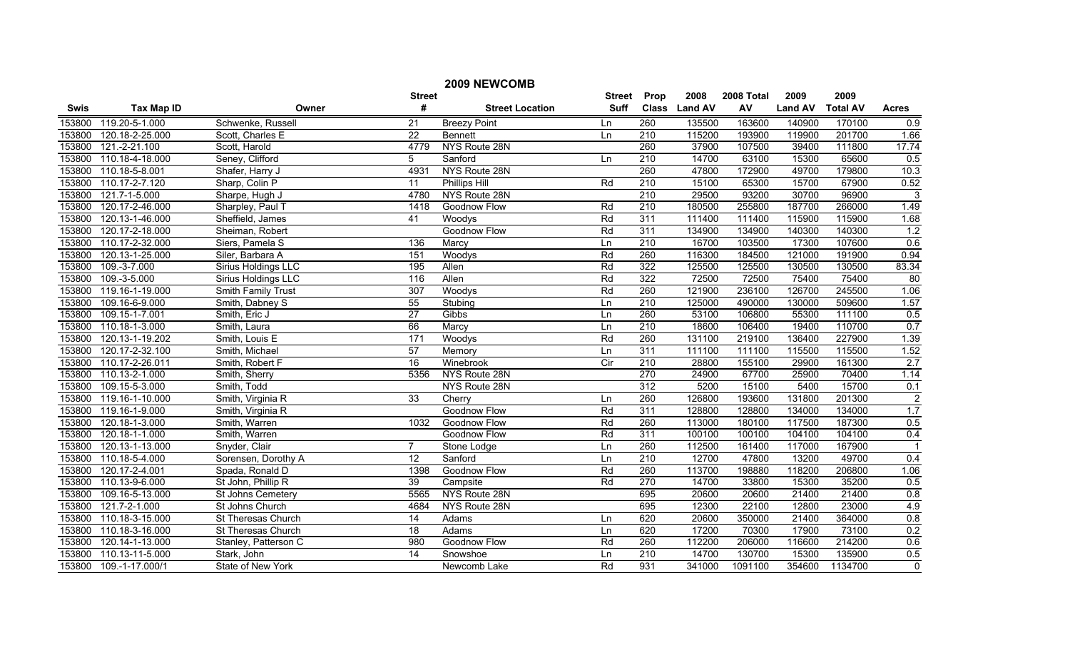|             |                   |                      |                 | 2009 NEWCOMB           |               |                  |               |            |                |                 |                |
|-------------|-------------------|----------------------|-----------------|------------------------|---------------|------------------|---------------|------------|----------------|-----------------|----------------|
|             |                   |                      | <b>Street</b>   |                        | <b>Street</b> | Prop             | 2008          | 2008 Total | 2009           | 2009            |                |
| <b>Swis</b> | <b>Tax Map ID</b> | Owner                | #               | <b>Street Location</b> | Suff          |                  | Class Land AV | AV         | <b>Land AV</b> | <b>Total AV</b> | <b>Acres</b>   |
| 153800      | 119.20-5-1.000    | Schwenke, Russell    | 21              | <b>Breezy Point</b>    | Ln.           | 260              | 135500        | 163600     | 140900         | 170100          | 0.9            |
| 153800      | 120.18-2-25.000   | Scott, Charles E     | $\overline{22}$ | <b>Bennett</b>         | Ln            | $\overline{210}$ | 115200        | 193900     | 119900         | 201700          | 1.66           |
| 153800      | 121.-2-21.100     | Scott, Harold        | 4779            | NYS Route 28N          |               | 260              | 37900         | 107500     | 39400          | 111800          | 17.74          |
| 153800      | 110.18-4-18.000   | Seney, Clifford      | $\overline{5}$  | Sanford                | Ln            | 210              | 14700         | 63100      | 15300          | 65600           | 0.5            |
| 153800      | 110.18-5-8.001    | Shafer, Harry J      | 4931            | NYS Route 28N          |               | 260              | 47800         | 172900     | 49700          | 179800          | 10.3           |
| 153800      | 110.17-2-7.120    | Sharp, Colin P       | 11              | <b>Phillips Hill</b>   | Rd            | 210              | 15100         | 65300      | 15700          | 67900           | 0.52           |
| 153800      | 121.7-1-5.000     | Sharpe, Hugh J       | 4780            | NYS Route 28N          |               | 210              | 29500         | 93200      | 30700          | 96900           | $\overline{3}$ |
| 153800      | 120.17-2-46.000   | Sharpley, Paul T     | 1418            | <b>Goodnow Flow</b>    | Rd            | 210              | 180500        | 255800     | 187700         | 266000          | 1.49           |
| 153800      | 120.13-1-46.000   | Sheffield, James     | 41              | Woodys                 | Rd            | 311              | 111400        | 111400     | 115900         | 115900          | 1.68           |
| 153800      | 120.17-2-18.000   | Sheiman, Robert      |                 | Goodnow Flow           | Rd            | 311              | 134900        | 134900     | 140300         | 140300          | 1.2            |
| 153800      | 110.17-2-32.000   | Siers, Pamela S      | 136             | Marcy                  | Ln            | 210              | 16700         | 103500     | 17300          | 107600          | 0.6            |
| 153800      | 120.13-1-25.000   | Siler, Barbara A     | 151             | Woodys                 | Rd            | 260              | 116300        | 184500     | 121000         | 191900          | 0.94           |
| 153800      | $109.-3-7.000$    | Sirius Holdings LLC  | 195             | Allen                  | Rd            | 322              | 125500        | 125500     | 130500         | 130500          | 83.34          |
| 153800      | 109.-3-5.000      | Sirius Holdings LLC  | 116             | Allen                  | Rd            | 322              | 72500         | 72500      | 75400          | 75400           | 80             |
| 153800      | 119.16-1-19.000   | Smith Family Trust   | 307             | Woodys                 | Rd            | 260              | 121900        | 236100     | 126700         | 245500          | 1.06           |
| 153800      | 109.16-6-9.000    | Smith, Dabney S      | 55              | Stubing                | Ln            | $\overline{210}$ | 125000        | 490000     | 130000         | 509600          | 1.57           |
| 153800      | 109.15-1-7.001    | Smith, Eric J        | 27              | Gibbs                  | Ln            | 260              | 53100         | 106800     | 55300          | 111100          | 0.5            |
| 153800      | 110.18-1-3.000    | Smith, Laura         | 66              | Marcy                  | Ln            | 210              | 18600         | 106400     | 19400          | 110700          | 0.7            |
| 153800      | 120.13-1-19.202   | Smith, Louis E       | 171             | Woodys                 | Rd            | 260              | 131100        | 219100     | 136400         | 227900          | 1.39           |
| 153800      | 120.17-2-32.100   | Smith, Michael       | 57              | Memory                 | Ln            | 311              | 111100        | 111100     | 115500         | 115500          | 1.52           |
| 153800      | 110.17-2-26.011   | Smith, Robert F      | 16              | Winebrook              | Cir           | 210              | 28800         | 155100     | 29900          | 161300          | 2.7            |
| 153800      | 110.13-2-1.000    | Smith, Sherry        | 5356            | NYS Route 28N          |               | 270              | 24900         | 67700      | 25900          | 70400           | 1.14           |
| 153800      | 109.15-5-3.000    | Smith, Todd          |                 | NYS Route 28N          |               | $\overline{312}$ | 5200          | 15100      | 5400           | 15700           | 0.1            |
| 153800      | 119.16-1-10.000   | Smith, Virginia R    | 33              | Cherry                 | Ln            | 260              | 126800        | 193600     | 131800         | 201300          | $\overline{2}$ |
| 153800      | 119.16-1-9.000    | Smith, Virginia R    |                 | <b>Goodnow Flow</b>    | Rd            | 311              | 128800        | 128800     | 134000         | 134000          | 1.7            |
| 153800      | 120.18-1-3.000    | Smith, Warren        | 1032            | Goodnow Flow           | Rd            | 260              | 113000        | 180100     | 117500         | 187300          | 0.5            |
| 153800      | 120.18-1-1.000    | Smith, Warren        |                 | Goodnow Flow           | Rd            | 311              | 100100        | 100100     | 104100         | 104100          | 0.4            |
| 153800      | 120.13-1-13.000   | Snyder, Clair        | $\overline{7}$  | Stone Lodge            | Ln            | 260              | 112500        | 161400     | 117000         | 167900          | $\overline{1}$ |
| 153800      | 110.18-5-4.000    | Sorensen, Dorothy A  | 12              | Sanford                | Ln            | 210              | 12700         | 47800      | 13200          | 49700           | 0.4            |
| 153800      | 120.17-2-4.001    | Spada, Ronald D      | 1398            | Goodnow Flow           | Rd            | 260              | 113700        | 198880     | 118200         | 206800          | 1.06           |
| 153800      | 110.13-9-6.000    | St John, Phillip R   | 39              | Campsite               | Rd            | 270              | 14700         | 33800      | 15300          | 35200           | 0.5            |
| 153800      | 109.16-5-13.000   | St Johns Cemetery    | 5565            | NYS Route 28N          |               | 695              | 20600         | 20600      | 21400          | 21400           | 0.8            |
| 153800      | 121.7-2-1.000     | St Johns Church      | 4684            | NYS Route 28N          |               | 695              | 12300         | 22100      | 12800          | 23000           | 4.9            |
| 153800      | 110.18-3-15.000   | St Theresas Church   | $\overline{14}$ | Adams                  | Ln            | 620              | 20600         | 350000     | 21400          | 364000          | 0.8            |
| 153800      | 110.18-3-16.000   | St Theresas Church   | 18              | Adams                  | Ln            | 620              | 17200         | 70300      | 17900          | 73100           | 0.2            |
| 153800      | 120.14-1-13.000   | Stanley, Patterson C | 980             | Goodnow Flow           | Rd            | 260              | 112200        | 206000     | 116600         | 214200          | 0.6            |
| 153800      | 110.13-11-5.000   | Stark, John          | 14              | Snowshoe               | Ln            | 210              | 14700         | 130700     | 15300          | 135900          | 0.5            |
| 153800      | 109.-1-17.000/1   | State of New York    |                 | Newcomb Lake           | Rd            | 931              | 341000        | 1091100    | 354600         | 1134700         | $\mathbf{0}$   |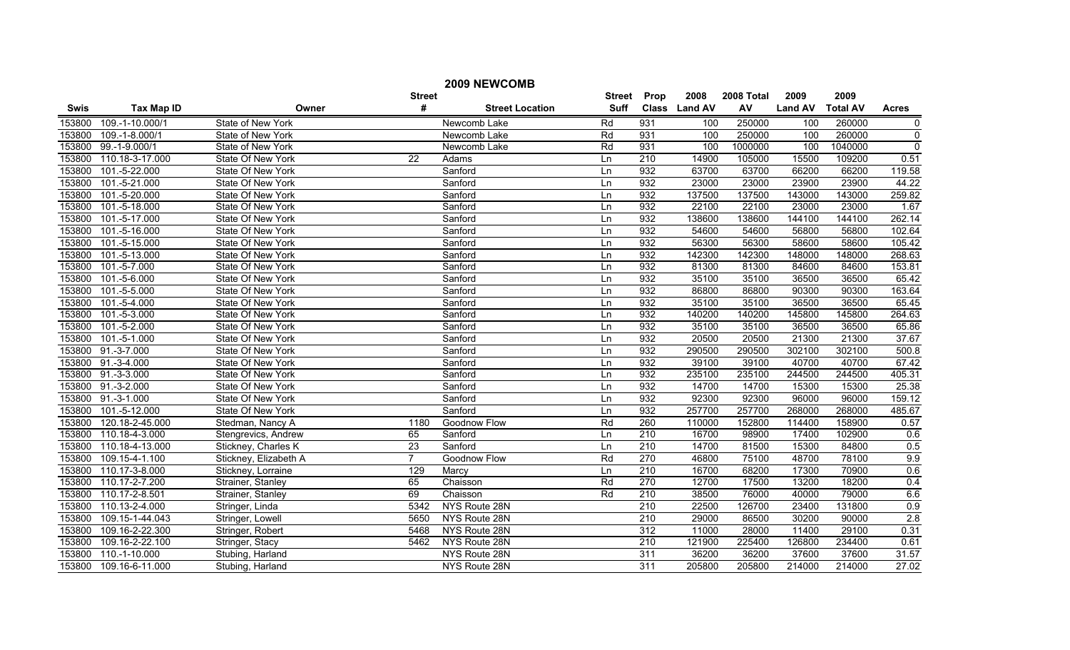| 2009 NEWCOMB |                                                                              |                          |                 |                        |             |                  |               |         |                |                 |              |
|--------------|------------------------------------------------------------------------------|--------------------------|-----------------|------------------------|-------------|------------------|---------------|---------|----------------|-----------------|--------------|
|              | 2009<br>2009<br>Prop<br>2008<br>2008 Total<br><b>Street</b><br><b>Street</b> |                          |                 |                        |             |                  |               |         |                |                 |              |
| <b>Swis</b>  | <b>Tax Map ID</b>                                                            | Owner                    | #               | <b>Street Location</b> | <b>Suff</b> |                  | Class Land AV | AV      | <b>Land AV</b> | <b>Total AV</b> | <b>Acres</b> |
| 153800       | 109.-1-10.000/1                                                              | State of New York        |                 | Newcomb Lake           | Rd          | 931              | 100           | 250000  | 100            | 260000          | 0            |
| 153800       | 109.-1-8.000/1                                                               | State of New York        |                 | Newcomb Lake           | Rd          | 931              | 100           | 250000  | 100            | 260000          | $\mathbf 0$  |
| 153800       | 99.-1-9.000/1                                                                | State of New York        |                 | Newcomb Lake           | Rd          | 931              | 100           | 1000000 | 100            | 1040000         | $\mathbf 0$  |
| 153800       | 110.18-3-17.000                                                              | State Of New York        | $\overline{22}$ | Adams                  | Ln          | 210              | 14900         | 105000  | 15500          | 109200          | 0.51         |
| 153800       | 101.-5-22.000                                                                | State Of New York        |                 | Sanford                | Ln          | 932              | 63700         | 63700   | 66200          | 66200           | 119.58       |
| 153800       | 101.-5-21.000                                                                | State Of New York        |                 | Sanford                | Ln          | 932              | 23000         | 23000   | 23900          | 23900           | 44.22        |
| 153800       | 101.-5-20.000                                                                | State Of New York        |                 | Sanford                | Ln          | 932              | 137500        | 137500  | 143000         | 143000          | 259.82       |
| 153800       | 101.-5-18.000                                                                | State Of New York        |                 | Sanford                | Ln          | 932              | 22100         | 22100   | 23000          | 23000           | 1.67         |
| 153800       | 101.-5-17.000                                                                | State Of New York        |                 | Sanford                | Ln          | 932              | 138600        | 138600  | 144100         | 144100          | 262.14       |
| 153800       | 101.-5-16.000                                                                | State Of New York        |                 | Sanford                | Ln          | 932              | 54600         | 54600   | 56800          | 56800           | 102.64       |
| 153800       | 101.-5-15.000                                                                | State Of New York        |                 | Sanford                | Ln          | 932              | 56300         | 56300   | 58600          | 58600           | 105.42       |
| 153800       | 101.-5-13.000                                                                | State Of New York        |                 | Sanford                | Ln          | 932              | 142300        | 142300  | 148000         | 148000          | 268.63       |
| 153800       | $101.-5-7.000$                                                               | State Of New York        |                 | Sanford                | Ln          | 932              | 81300         | 81300   | 84600          | 84600           | 153.81       |
| 153800       | 101.-5-6.000                                                                 | State Of New York        |                 | Sanford                | Ln          | 932              | 35100         | 35100   | 36500          | 36500           | 65.42        |
| 153800       | $101.-5-5.000$                                                               | State Of New York        |                 | Sanford                | Ln          | 932              | 86800         | 86800   | 90300          | 90300           | 163.64       |
| 153800       | 101.-5-4.000                                                                 | State Of New York        |                 | Sanford                | Ln          | 932              | 35100         | 35100   | 36500          | 36500           | 65.45        |
| 153800       | $101.-5-3.000$                                                               | State Of New York        |                 | Sanford                | Ln          | 932              | 140200        | 140200  | 145800         | 145800          | 264.63       |
| 153800       | $101.-5-2.000$                                                               | State Of New York        |                 | Sanford                | Ln          | 932              | 35100         | 35100   | 36500          | 36500           | 65.86        |
| 153800       | 101.-5-1.000                                                                 | <b>State Of New York</b> |                 | Sanford                | Ln          | 932              | 20500         | 20500   | 21300          | 21300           | 37.67        |
| 153800       | $91.-3-7.000$                                                                | State Of New York        |                 | Sanford                | Ln          | 932              | 290500        | 290500  | 302100         | 302100          | 500.8        |
| 153800       | 91.-3-4.000                                                                  | State Of New York        |                 | Sanford                | Ln          | 932              | 39100         | 39100   | 40700          | 40700           | 67.42        |
|              | 153800 91.-3-3.000                                                           | State Of New York        |                 | Sanford                | Ln          | 932              | 235100        | 235100  | 244500         | 244500          | 405.31       |
| 153800       | $91.-3-2.000$                                                                | State Of New York        |                 | Sanford                | Ln          | 932              | 14700         | 14700   | 15300          | 15300           | 25.38        |
| 153800       | $91.-3-1.000$                                                                | State Of New York        |                 | Sanford                | Ln          | 932              | 92300         | 92300   | 96000          | 96000           | 159.12       |
| 153800       | 101.-5-12.000                                                                | State Of New York        |                 | Sanford                | Ln          | 932              | 257700        | 257700  | 268000         | 268000          | 485.67       |
| 153800       | 120.18-2-45.000                                                              | Stedman, Nancy A         | 1180            | <b>Goodnow Flow</b>    | Rd          | 260              | 110000        | 152800  | 114400         | 158900          | 0.57         |
| 153800       | 110.18-4-3.000                                                               | Stengrevics, Andrew      | 65              | Sanford                | Ln          | 210              | 16700         | 98900   | 17400          | 102900          | 0.6          |
| 153800       | 110.18-4-13.000                                                              | Stickney, Charles K      | 23              | Sanford                | Ln          | $\overline{210}$ | 14700         | 81500   | 15300          | 84800           | 0.5          |
| 153800       | 109.15-4-1.100                                                               | Stickney, Elizabeth A    | $\overline{7}$  | <b>Goodnow Flow</b>    | Rd          | 270              | 46800         | 75100   | 48700          | 78100           | 9.9          |
| 153800       | 110.17-3-8.000                                                               | Stickney, Lorraine       | 129             | Marcy                  | Ln          | 210              | 16700         | 68200   | 17300          | 70900           | 0.6          |
| 153800       | 110.17-2-7.200                                                               | Strainer, Stanley        | 65              | Chaisson               | Rd          | 270              | 12700         | 17500   | 13200          | 18200           | 0.4          |
| 153800       | 110.17-2-8.501                                                               | Strainer, Stanley        | 69              | Chaisson               | Rd          | 210              | 38500         | 76000   | 40000          | 79000           | 6.6          |
| 153800       | 110.13-2-4.000                                                               | Stringer, Linda          | 5342            | NYS Route 28N          |             | 210              | 22500         | 126700  | 23400          | 131800          | 0.9          |
| 153800       | 109.15-1-44.043                                                              | Stringer, Lowell         | 5650            | NYS Route 28N          |             | 210              | 29000         | 86500   | 30200          | 90000           | 2.8          |
| 153800       | 109.16-2-22.300                                                              | Stringer, Robert         | 5468            | NYS Route 28N          |             | 312              | 11000         | 28000   | 11400          | 29100           | 0.31         |
| 153800       | 109.16-2-22.100                                                              | Stringer, Stacy          | 5462            | NYS Route 28N          |             | 210              | 121900        | 225400  | 126800         | 234400          | 0.61         |
| 153800       | 110.-1-10.000                                                                | Stubing, Harland         |                 | NYS Route 28N          |             | 311              | 36200         | 36200   | 37600          | 37600           | 31.57        |
| 153800       | 109.16-6-11.000                                                              | Stubing, Harland         |                 | NYS Route 28N          |             | 311              | 205800        | 205800  | 214000         | 214000          | 27.02        |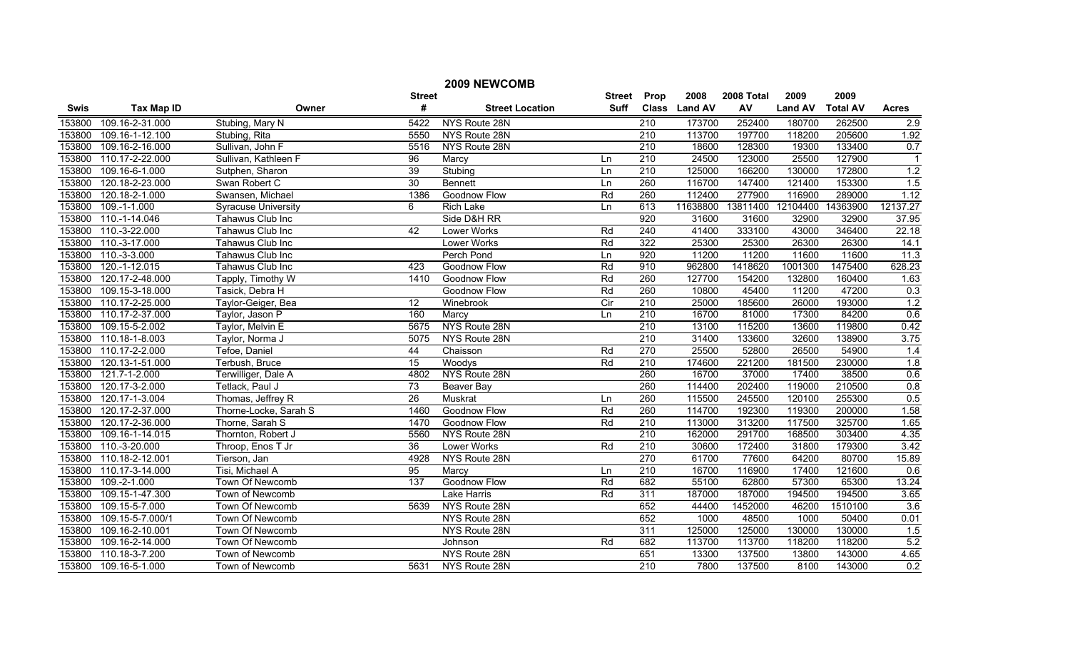|             |                   |                            |                 | 2009 NEWCOMB           |               |                  |               |            |                |                 |                |
|-------------|-------------------|----------------------------|-----------------|------------------------|---------------|------------------|---------------|------------|----------------|-----------------|----------------|
|             |                   |                            | <b>Street</b>   |                        | <b>Street</b> | Prop             | 2008          | 2008 Total | 2009           | 2009            |                |
| <b>Swis</b> | <b>Tax Map ID</b> | Owner                      | #               | <b>Street Location</b> | Suff          |                  | Class Land AV | AV         | <b>Land AV</b> | <b>Total AV</b> | <b>Acres</b>   |
| 153800      | 109.16-2-31.000   | Stubing, Mary N            | 5422            | NYS Route 28N          |               | 210              | 173700        | 252400     | 180700         | 262500          | 2.9            |
| 153800      | 109.16-1-12.100   | Stubing, Rita              | 5550            | NYS Route 28N          |               | $\overline{210}$ | 113700        | 197700     | 118200         | 205600          | 1.92           |
| 153800      | 109.16-2-16.000   | Sullivan, John F           | 5516            | NYS Route 28N          |               | $\overline{210}$ | 18600         | 128300     | 19300          | 133400          | 0.7            |
| 153800      | 110.17-2-22.000   | Sullivan, Kathleen F       | 96              | Marcy                  | Ln            | 210              | 24500         | 123000     | 25500          | 127900          | $\overline{1}$ |
| 153800      | 109.16-6-1.000    | Sutphen, Sharon            | 39              | Stubing                | Ln            | 210              | 125000        | 166200     | 130000         | 172800          | 1.2            |
| 153800      | 120.18-2-23.000   | Swan Robert C              | 30              | <b>Bennett</b>         | Ln            | 260              | 116700        | 147400     | 121400         | 153300          | 1.5            |
| 153800      | 120.18-2-1.000    | Swansen, Michael           | 1386            | <b>Goodnow Flow</b>    | Rd            | 260              | 112400        | 277900     | 116900         | 289000          | 1.12           |
| 153800      | 109.-1-1.000      | <b>Syracuse University</b> | 6               | <b>Rich Lake</b>       | Ln            | 613              | 11638800      | 13811400   | 12104400       | 14363900        | 12137.27       |
| 153800      | 110.-1-14.046     | Tahawus Club Inc           |                 | Side D&H RR            |               | 920              | 31600         | 31600      | 32900          | 32900           | 37.95          |
| 153800      | 110.-3-22.000     | Tahawus Club Inc           | 42              | Lower Works            | Rd            | 240              | 41400         | 333100     | 43000          | 346400          | 22.18          |
| 153800      | 110.-3-17.000     | Tahawus Club Inc           |                 | Lower Works            | Rd            | 322              | 25300         | 25300      | 26300          | 26300           | 14.1           |
| 153800      | 110.-3-3.000      | Tahawus Club Inc           |                 | Perch Pond             | Ln            | 920              | 11200         | 11200      | 11600          | 11600           | 11.3           |
| 153800      | 120.-1-12.015     | Tahawus Club Inc           | 423             | Goodnow Flow           | Rd            | 910              | 962800        | 1418620    | 1001300        | 1475400         | 628.23         |
| 153800      | 120.17-2-48.000   | Tapply, Timothy W          | 1410            | Goodnow Flow           | Rd            | 260              | 127700        | 154200     | 132800         | 160400          | 1.63           |
| 153800      | 109.15-3-18.000   | Tasick, Debra H            |                 | Goodnow Flow           | Rd            | 260              | 10800         | 45400      | 11200          | 47200           | 0.3            |
| 153800      | 110.17-2-25.000   | Taylor-Geiger, Bea         | 12              | Winebrook              | Cir           | 210              | 25000         | 185600     | 26000          | 193000          | 1.2            |
| 153800      | 110.17-2-37.000   | Taylor, Jason P            | 160             | Marcy                  | Ln            | 210              | 16700         | 81000      | 17300          | 84200           | 0.6            |
| 153800      | 109.15-5-2.002    | Taylor, Melvin E           | 5675            | NYS Route 28N          |               | 210              | 13100         | 115200     | 13600          | 119800          | 0.42           |
| 153800      | 110.18-1-8.003    | Taylor, Norma J            | 5075            | NYS Route 28N          |               | 210              | 31400         | 133600     | 32600          | 138900          | 3.75           |
| 153800      | 110.17-2-2.000    | Tefoe, Daniel              | 44              | Chaisson               | Rd            | 270              | 25500         | 52800      | 26500          | 54900           | 1.4            |
| 153800      | 120.13-1-51.000   | Terbush, Bruce             | 15              | Woodys                 | Rd            | $\overline{210}$ | 174600        | 221200     | 181500         | 230000          | 1.8            |
| 153800      | 121.7-1-2.000     | Terwilliger, Dale A        | 4802            | NYS Route 28N          |               | 260              | 16700         | 37000      | 17400          | 38500           | 0.6            |
| 153800      | 120.17-3-2.000    | Tetlack, Paul J            | $\overline{73}$ | Beaver Bay             |               | 260              | 114400        | 202400     | 119000         | 210500          | 0.8            |
| 153800      | 120.17-1-3.004    | Thomas, Jeffrey R          | $\overline{26}$ | Muskrat                | Ln            | 260              | 115500        | 245500     | 120100         | 255300          | 0.5            |
| 153800      | 120.17-2-37.000   | Thorne-Locke, Sarah S      | 1460            | Goodnow Flow           | Rd            | 260              | 114700        | 192300     | 119300         | 200000          | 1.58           |
| 153800      | 120.17-2-36.000   | Thorne, Sarah S            | 1470            | Goodnow Flow           | Rd            | 210              | 113000        | 313200     | 117500         | 325700          | 1.65           |
| 153800      | 109.16-1-14.015   | Thornton, Robert J         | 5560            | NYS Route 28N          |               | $\overline{210}$ | 162000        | 291700     | 168500         | 303400          | 4.35           |
| 153800      | 110.-3-20.000     | Throop, Enos T Jr          | 36              | Lower Works            | Rd            | $\overline{210}$ | 30600         | 172400     | 31800          | 179300          | 3.42           |
| 153800      | 110.18-2-12.001   | Tierson, Jan               | 4928            | NYS Route 28N          |               | 270              | 61700         | 77600      | 64200          | 80700           | 15.89          |
| 153800      | 110.17-3-14.000   | Tisi, Michael A            | 95              | Marcy                  | Ln            | 210              | 16700         | 116900     | 17400          | 121600          | 0.6            |
| 153800      | 109.-2-1.000      | <b>Town Of Newcomb</b>     | 137             | <b>Goodnow Flow</b>    | Rd            | 682              | 55100         | 62800      | 57300          | 65300           | 13.24          |
| 153800      | 109.15-1-47.300   | Town of Newcomb            |                 | <b>Lake Harris</b>     | Rd            | 311              | 187000        | 187000     | 194500         | 194500          | 3.65           |
| 153800      | 109.15-5-7.000    | Town Of Newcomb            | 5639            | NYS Route 28N          |               | 652              | 44400         | 1452000    | 46200          | 1510100         | 3.6            |
| 153800      | 109.15-5-7.000/1  | Town Of Newcomb            |                 | NYS Route 28N          |               | 652              | 1000          | 48500      | 1000           | 50400           | 0.01           |
| 153800      | 109.16-2-10.001   | Town Of Newcomb            |                 | NYS Route 28N          |               | 311              | 125000        | 125000     | 130000         | 130000          | 1.5            |
| 153800      | 109.16-2-14.000   | Town Of Newcomb            |                 | Johnson                | Rd            | 682              | 113700        | 113700     | 118200         | 118200          | 5.2            |
| 153800      | 110.18-3-7.200    | Town of Newcomb            |                 | NYS Route 28N          |               | 651              | 13300         | 137500     | 13800          | 143000          | 4.65           |
| 153800      | 109.16-5-1.000    | Town of Newcomb            | 5631            | NYS Route 28N          |               | 210              | 7800          | 137500     | 8100           | 143000          | 0.2            |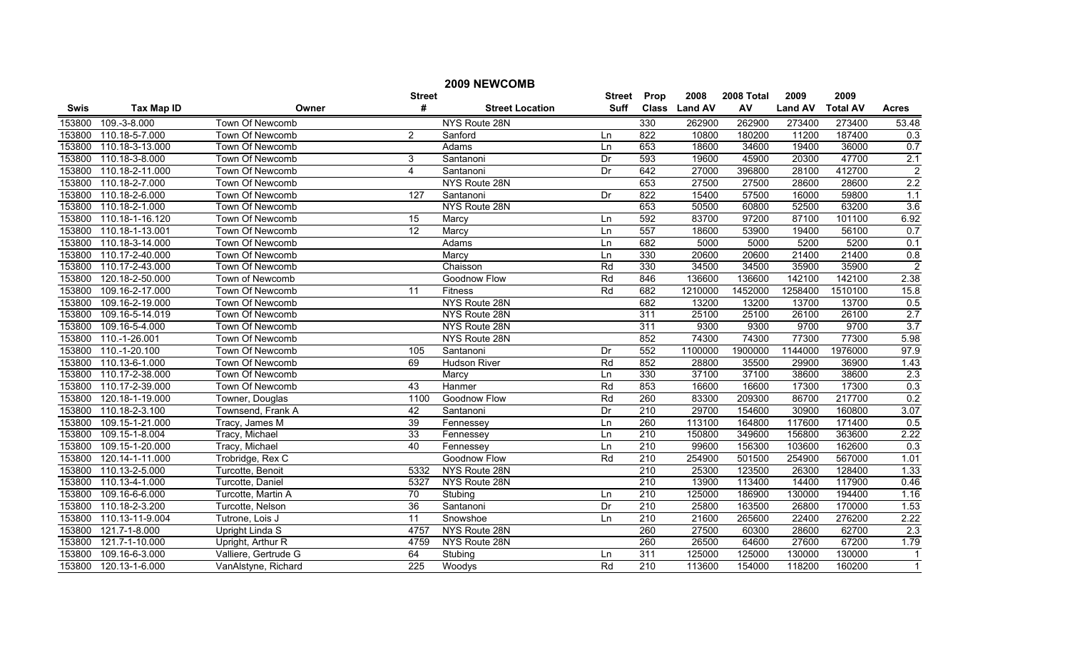|             |                   |                        |                  | 2009 NEWCOMB           |               |                  |               |            |                |                 |                |
|-------------|-------------------|------------------------|------------------|------------------------|---------------|------------------|---------------|------------|----------------|-----------------|----------------|
|             |                   |                        | <b>Street</b>    |                        | <b>Street</b> | Prop             | 2008          | 2008 Total | 2009           | 2009            |                |
| <b>Swis</b> | <b>Tax Map ID</b> | Owner                  | #                | <b>Street Location</b> | Suff          |                  | Class Land AV | AV         | <b>Land AV</b> | <b>Total AV</b> | <b>Acres</b>   |
| 153800      | $109.-3-8.000$    | Town Of Newcomb        |                  | NYS Route 28N          |               | 330              | 262900        | 262900     | 273400         | 273400          | 53.48          |
| 153800      | 110.18-5-7.000    | Town Of Newcomb        | $\overline{2}$   | Sanford                | Ln            | 822              | 10800         | 180200     | 11200          | 187400          | 0.3            |
| 153800      | 110.18-3-13.000   | Town Of Newcomb        |                  | Adams                  | Ln            | 653              | 18600         | 34600      | 19400          | 36000           | 0.7            |
| 153800      | 110.18-3-8.000    | <b>Town Of Newcomb</b> | 3                | Santanoni              | Dr            | 593              | 19600         | 45900      | 20300          | 47700           | 2.1            |
| 153800      | 110.18-2-11.000   | <b>Town Of Newcomb</b> | $\overline{4}$   | Santanoni              | Dr            | 642              | 27000         | 396800     | 28100          | 412700          | $\overline{2}$ |
| 153800      | 110.18-2-7.000    | <b>Town Of Newcomb</b> |                  | NYS Route 28N          |               | 653              | 27500         | 27500      | 28600          | 28600           | 2.2            |
| 153800      | 110.18-2-6.000    | Town Of Newcomb        | 127              | Santanoni              | Dr            | 822              | 15400         | 57500      | 16000          | 59800           | 1.1            |
| 153800      | 110.18-2-1.000    | Town Of Newcomb        |                  | NYS Route 28N          |               | 653              | 50500         | 60800      | 52500          | 63200           | 3.6            |
| 153800      | 110.18-1-16.120   | Town Of Newcomb        | $\overline{15}$  | Marcy                  | Ln            | 592              | 83700         | 97200      | 87100          | 101100          | 6.92           |
| 153800      | 110.18-1-13.001   | Town Of Newcomb        | $\overline{12}$  | Marcy                  | Ln            | 557              | 18600         | 53900      | 19400          | 56100           | 0.7            |
| 153800      | 110.18-3-14.000   | Town Of Newcomb        |                  | Adams                  | Ln            | 682              | 5000          | 5000       | 5200           | 5200            | 0.1            |
| 153800      | 110.17-2-40.000   | Town Of Newcomb        |                  | Marcy                  | Ln            | 330              | 20600         | 20600      | 21400          | 21400           | 0.8            |
| 153800      | 110.17-2-43.000   | Town Of Newcomb        |                  | Chaisson               | Rd            | 330              | 34500         | 34500      | 35900          | 35900           | $\overline{2}$ |
| 153800      | 120.18-2-50.000   | Town of Newcomb        |                  | Goodnow Flow           | Rd            | 846              | 136600        | 136600     | 142100         | 142100          | 2.38           |
| 153800      | 109.16-2-17.000   | Town Of Newcomb        | 11               | Fitness                | Rd            | 682              | 1210000       | 1452000    | 1258400        | 1510100         | 15.8           |
| 153800      | 109.16-2-19.000   | Town Of Newcomb        |                  | NYS Route 28N          |               | 682              | 13200         | 13200      | 13700          | 13700           | 0.5            |
| 153800      | 109.16-5-14.019   | <b>Town Of Newcomb</b> |                  | NYS Route 28N          |               | 311              | 25100         | 25100      | 26100          | 26100           | 2.7            |
| 153800      | 109.16-5-4.000    | Town Of Newcomb        |                  | NYS Route 28N          |               | 311              | 9300          | 9300       | 9700           | 9700            | 3.7            |
| 153800      | 110.-1-26.001     | Town Of Newcomb        |                  | NYS Route 28N          |               | 852              | 74300         | 74300      | 77300          | 77300           | 5.98           |
| 153800      | 110.-1-20.100     | Town Of Newcomb        | 105              | Santanoni              | Dr            | 552              | 1100000       | 1900000    | 1144000        | 1976000         | 97.9           |
| 153800      | 110.13-6-1.000    | Town Of Newcomb        | 69               | <b>Hudson River</b>    | Rd            | 852              | 28800         | 35500      | 29900          | 36900           | 1.43           |
| 153800      | 110.17-2-38.000   | Town Of Newcomb        |                  | Marcy                  | Ln            | 330              | 37100         | 37100      | 38600          | 38600           | 2.3            |
| 153800      | 110.17-2-39.000   | Town Of Newcomb        | 43               | Hanmer                 | Rd            | 853              | 16600         | 16600      | 17300          | 17300           | 0.3            |
| 153800      | 120.18-1-19.000   | Towner, Douglas        | 1100             | Goodnow Flow           | Rd            | 260              | 83300         | 209300     | 86700          | 217700          | 0.2            |
| 153800      | 110.18-2-3.100    | Townsend, Frank A      | 42               | Santanoni              | Dr            | 210              | 29700         | 154600     | 30900          | 160800          | 3.07           |
| 153800      | 109.15-1-21.000   | Tracy, James M         | 39               | Fennessey              | Ln            | 260              | 113100        | 164800     | 117600         | 171400          | 0.5            |
| 153800      | 109.15-1-8.004    | Tracy, Michael         | 33               | Fennessey              | Ln            | 210              | 150800        | 349600     | 156800         | 363600          | 2.22           |
| 153800      | 109.15-1-20.000   | Tracy, Michael         | 40               | Fennessey              | Ln            | $\overline{210}$ | 99600         | 156300     | 103600         | 162600          | 0.3            |
| 153800      | 120.14-1-11.000   | Trobridge, Rex C       |                  | <b>Goodnow Flow</b>    | Rd            | 210              | 254900        | 501500     | 254900         | 567000          | 1.01           |
| 153800      | 110.13-2-5.000    | Turcotte, Benoit       | 5332             | NYS Route 28N          |               | 210              | 25300         | 123500     | 26300          | 128400          | 1.33           |
| 153800      | 110.13-4-1.000    | Turcotte, Daniel       | 5327             | NYS Route 28N          |               | 210              | 13900         | 113400     | 14400          | 117900          | 0.46           |
| 153800      | 109.16-6-6.000    | Turcotte, Martin A     | 70               | Stubing                | Ln            | 210              | 125000        | 186900     | 130000         | 194400          | 1.16           |
| 153800      | 110.18-2-3.200    | Turcotte, Nelson       | 36               | Santanoni              | Dr            | 210              | 25800         | 163500     | 26800          | 170000          | 1.53           |
| 153800      | 110.13-11-9.004   | Tutrone, Lois J        | 11               | Snowshoe               | Ln            | $\overline{210}$ | 21600         | 265600     | 22400          | 276200          | 2.22           |
| 153800      | 121.7-1-8.000     | Upright Linda S        | 4757             | NYS Route 28N          |               | 260              | 27500         | 60300      | 28600          | 62700           | 2.3            |
| 153800      | 121.7-1-10.000    | Upright, Arthur R      | 4759             | NYS Route 28N          |               | 260              | 26500         | 64600      | 27600          | 67200           | 1.79           |
| 153800      | 109.16-6-3.000    | Valliere, Gertrude G   | 64               | Stubing                | Ln            | 311              | 125000        | 125000     | 130000         | 130000          | $\mathbf 1$    |
| 153800      | 120.13-1-6.000    | VanAlstyne, Richard    | $\overline{225}$ | Woodys                 | Rd            | 210              | 113600        | 154000     | 118200         | 160200          | $\overline{1}$ |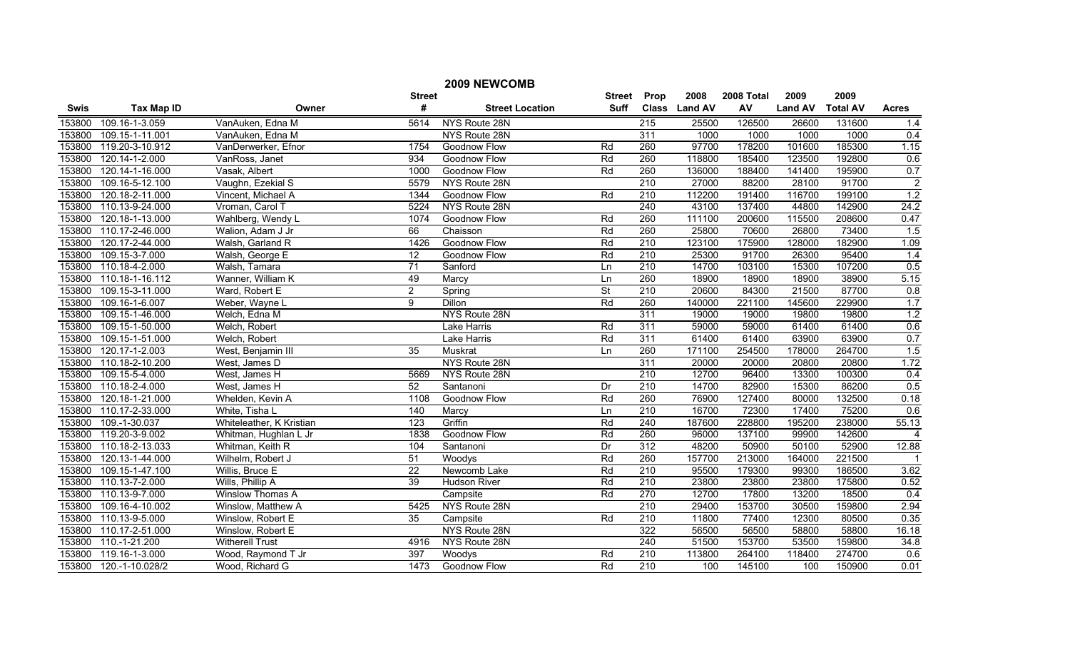|             |                   |                          |                 | 2009 NEWCOMB           |               |                  |               |            |                |                 |                |
|-------------|-------------------|--------------------------|-----------------|------------------------|---------------|------------------|---------------|------------|----------------|-----------------|----------------|
|             |                   |                          | <b>Street</b>   |                        | <b>Street</b> | Prop             | 2008          | 2008 Total | 2009           | 2009            |                |
| <b>Swis</b> | <b>Tax Map ID</b> | Owner                    | #               | <b>Street Location</b> | Suff          |                  | Class Land AV | AV         | <b>Land AV</b> | <b>Total AV</b> | <b>Acres</b>   |
| 153800      | 109.16-1-3.059    | VanAuken, Edna M         | 5614            | NYS Route 28N          |               | 215              | 25500         | 126500     | 26600          | 131600          | 1.4            |
| 153800      | 109.15-1-11.001   | VanAuken, Edna M         |                 | NYS Route 28N          |               | 311              | 1000          | 1000       | 1000           | 1000            | 0.4            |
| 153800      | 119.20-3-10.912   | VanDerwerker, Efnor      | 1754            | Goodnow Flow           | Rd            | 260              | 97700         | 178200     | 101600         | 185300          | 1.15           |
| 153800      | 120.14-1-2.000    | VanRoss, Janet           | 934             | <b>Goodnow Flow</b>    | Rd            | 260              | 118800        | 185400     | 123500         | 192800          | 0.6            |
| 153800      | 120.14-1-16.000   | Vasak, Albert            | 1000            | <b>Goodnow Flow</b>    | Rd            | 260              | 136000        | 188400     | 141400         | 195900          | 0.7            |
| 153800      | 109.16-5-12.100   | Vaughn, Ezekial S        | 5579            | NYS Route 28N          |               | 210              | 27000         | 88200      | 28100          | 91700           | $\overline{2}$ |
| 153800      | 120.18-2-11.000   | Vincent, Michael A       | 1344            | <b>Goodnow Flow</b>    | Rd            | 210              | 112200        | 191400     | 116700         | 199100          | 1.2            |
| 153800      | 110.13-9-24.000   | Vroman, Carol T          | 5224            | NYS Route 28N          |               | 240              | 43100         | 137400     | 44800          | 142900          | 24.2           |
| 153800      | 120.18-1-13.000   | Wahlberg, Wendy L        | 1074            | Goodnow Flow           | Rd            | 260              | 111100        | 200600     | 115500         | 208600          | 0.47           |
| 153800      | 110.17-2-46.000   | Walion, Adam J Jr        | 66              | Chaisson               | Rd            | 260              | 25800         | 70600      | 26800          | 73400           | 1.5            |
| 153800      | 120.17-2-44.000   | Walsh, Garland R         | 1426            | Goodnow Flow           | Rd            | 210              | 123100        | 175900     | 128000         | 182900          | 1.09           |
| 153800      | 109.15-3-7.000    | Walsh, George E          | $\overline{12}$ | Goodnow Flow           | Rd            | 210              | 25300         | 91700      | 26300          | 95400           | 1.4            |
| 153800      | 110.18-4-2.000    | Walsh, Tamara            | $\overline{71}$ | Sanford                | Ln            | $\overline{210}$ | 14700         | 103100     | 15300          | 107200          | 0.5            |
| 153800      | 110.18-1-16.112   | Wanner, William K        | 49              | Marcy                  | Ln            | 260              | 18900         | 18900      | 18900          | 38900           | 5.15           |
| 153800      | 109.15-3-11.000   | Ward, Robert E           | $\overline{2}$  | Spring                 | St            | 210              | 20600         | 84300      | 21500          | 87700           | 0.8            |
| 153800      | 109.16-1-6.007    | Weber, Wayne L           | 9               | <b>Dillon</b>          | Rd            | 260              | 140000        | 221100     | 145600         | 229900          | 1.7            |
| 153800      | 109.15-1-46.000   | Welch, Edna M            |                 | NYS Route 28N          |               | 311              | 19000         | 19000      | 19800          | 19800           | 1.2            |
| 153800      | 109.15-1-50.000   | Welch, Robert            |                 | Lake Harris            | Rd            | 311              | 59000         | 59000      | 61400          | 61400           | 0.6            |
| 153800      | 109.15-1-51.000   | Welch, Robert            |                 | <b>Lake Harris</b>     | Rd            | 311              | 61400         | 61400      | 63900          | 63900           | 0.7            |
| 153800      | 120.17-1-2.003    | West, Benjamin III       | 35              | Muskrat                | Ln            | 260              | 171100        | 254500     | 178000         | 264700          | 1.5            |
| 153800      | 110.18-2-10.200   | West, James D            |                 | NYS Route 28N          |               | 311              | 20000         | 20000      | 20800          | 20800           | 1.72           |
| 153800      | 109.15-5-4.000    | West, James H            | 5669            | NYS Route 28N          |               | 210              | 12700         | 96400      | 13300          | 100300          | 0.4            |
| 153800      | 110.18-2-4.000    | West, James H            | $\overline{52}$ | Santanoni              | Dr            | $\overline{210}$ | 14700         | 82900      | 15300          | 86200           | 0.5            |
| 153800      | 120.18-1-21.000   | Whelden, Kevin A         | 1108            | Goodnow Flow           | Rd            | 260              | 76900         | 127400     | 80000          | 132500          | 0.18           |
| 153800      | 110.17-2-33.000   | White, Tisha L           | 140             | Marcy                  | Ln            | $\overline{210}$ | 16700         | 72300      | 17400          | 75200           | 0.6            |
| 153800      | 109.-1-30.037     | Whiteleather, K Kristian | 123             | Griffin                | Rd            | 240              | 187600        | 228800     | 195200         | 238000          | 55.13          |
| 153800      | 119.20-3-9.002    | Whitman, Hughlan L Jr    | 1838            | <b>Goodnow Flow</b>    | Rd            | 260              | 96000         | 137100     | 99900          | 142600          | 4              |
| 153800      | 110.18-2-13.033   | Whitman, Keith R         | 104             | Santanoni              | Dr            | 312              | 48200         | 50900      | 50100          | 52900           | 12.88          |
| 153800      | 120.13-1-44.000   | Wilhelm, Robert J        | 51              | Woodys                 | Rd            | 260              | 157700        | 213000     | 164000         | 221500          | $\overline{1}$ |
| 153800      | 109.15-1-47.100   | Willis, Bruce E          | $\overline{22}$ | Newcomb Lake           | Rd            | 210              | 95500         | 179300     | 99300          | 186500          | 3.62           |
| 153800      | 110.13-7-2.000    | Wills, Phillip A         | 39              | <b>Hudson River</b>    | Rd            | 210              | 23800         | 23800      | 23800          | 175800          | 0.52           |
| 153800      | 110.13-9-7.000    | <b>Winslow Thomas A</b>  |                 | Campsite               | Rd            | 270              | 12700         | 17800      | 13200          | 18500           | 0.4            |
| 153800      | 109.16-4-10.002   | Winslow, Matthew A       | 5425            | NYS Route 28N          |               | 210              | 29400         | 153700     | 30500          | 159800          | 2.94           |
| 153800      | 110.13-9-5.000    | Winslow, Robert E        | $\overline{35}$ | Campsite               | Rd            | $\overline{210}$ | 11800         | 77400      | 12300          | 80500           | 0.35           |
| 153800      | 110.17-2-51.000   | Winslow, Robert E        |                 | NYS Route 28N          |               | 322              | 56500         | 56500      | 58800          | 58800           | 16.18          |
| 153800      | 110.-1-21.200     | <b>Witherell Trust</b>   | 4916            | NYS Route 28N          |               | $\overline{240}$ | 51500         | 153700     | 53500          | 159800          | 34.8           |
| 153800      | 119.16-1-3.000    | Wood, Raymond T Jr       | 397             | Woodys                 | Rd            | $\overline{210}$ | 113800        | 264100     | 118400         | 274700          | 0.6            |
| 153800      | 120.-1-10.028/2   | Wood, Richard G          | 1473            | <b>Goodnow Flow</b>    | Rd            | 210              | 100           | 145100     | 100            | 150900          | 0.01           |